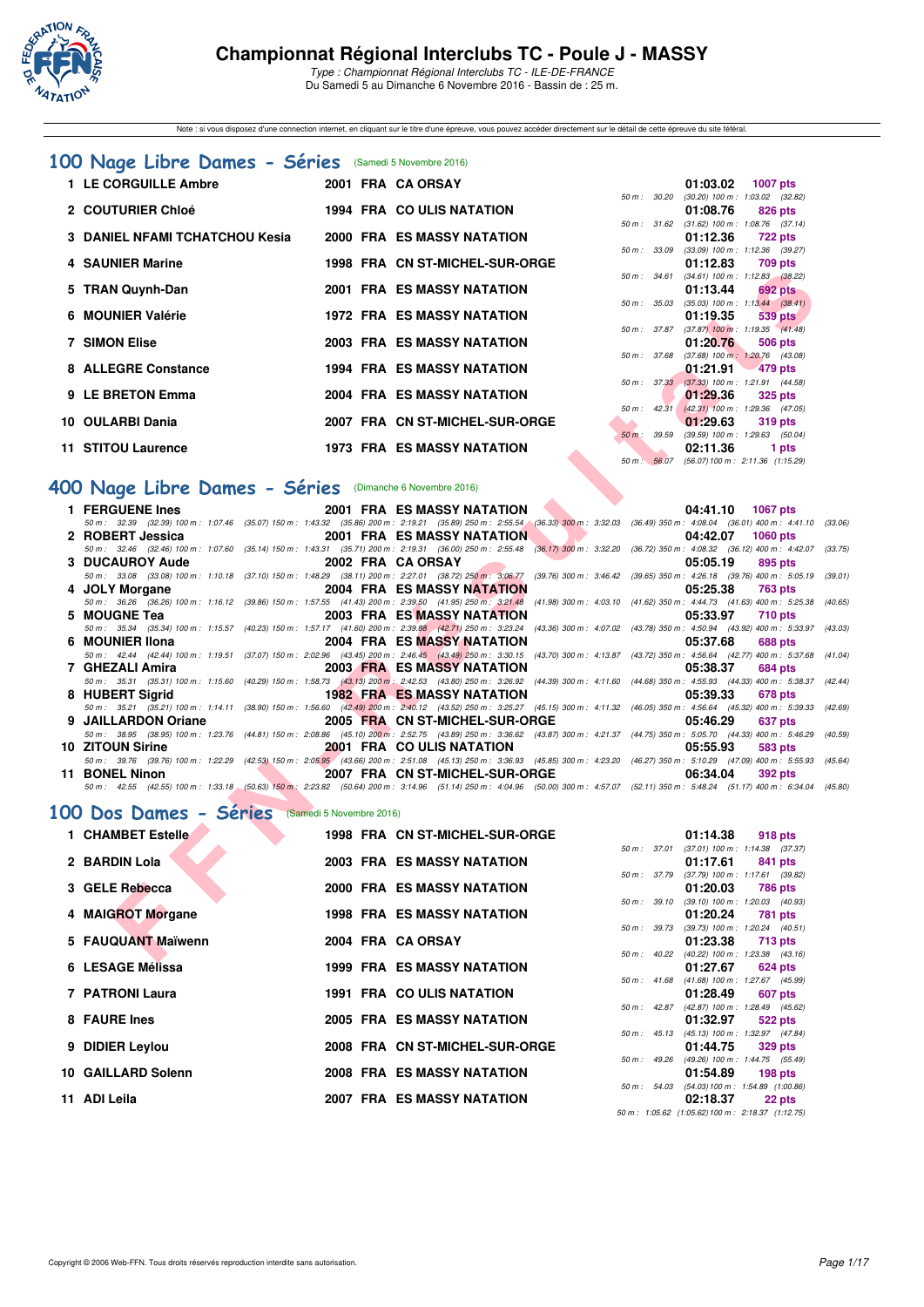

Note : si vous disposez d'une connection internet, en cliquant sur le titre d'une épreuve, vous pouvez accéder directement sur le détail de cette épreuve du site féféral.

#### **[100 Nage Libre Dames - Séries](http://www.ffnatation.fr/webffn/resultats.php?idact=nat&go=epr&idcpt=42139&idepr=2)** (Samedi 5 Novembre 2016)

| 1 LE CORGUILLE Ambre                  |  | 2001 FRA CA ORSAY                 |              |              | 01:03.02                                   | 1007 pts   |                |
|---------------------------------------|--|-----------------------------------|--------------|--------------|--------------------------------------------|------------|----------------|
|                                       |  |                                   | 50 m : 30.20 |              | $(30.20)$ 100 m : 1:03.02 (32.             |            |                |
| 2 COUTURIER Chloé                     |  | 1994 FRA COULIS NATATION          |              |              | 01:08.76                                   | 826 pts    |                |
|                                       |  |                                   |              | 50 m : 31.62 | $(31.62)$ 100 m : 1:08.76 (37.             |            |                |
| <b>3 DANIEL NFAMI TCHATCHOU Kesia</b> |  | <b>2000 FRA ES MASSY NATATION</b> |              |              | 01:12.36                                   |            | <b>722 pts</b> |
|                                       |  |                                   |              | 50 m : 33.09 | $(33.09)$ 100 m : 1:12.36 (39.             |            |                |
| 4 SAUNIER Marine                      |  | 1998 FRA CN ST-MICHEL-SUR-ORGE    |              |              | 01:12.83                                   |            | 709 pts        |
|                                       |  |                                   |              | 50 m : 34.61 | $(34.61)$ 100 m : 1:12.83 (38.             |            |                |
| 5 TRAN Quynh-Dan                      |  | <b>2001 FRA ES MASSY NATATION</b> |              |              | 01:13.44                                   |            | 692 pts        |
| 6 MOUNIER Valérie                     |  | <b>1972 FRA ES MASSY NATATION</b> |              | 50 m : 35.03 | $(35.03)$ 100 m : 1:13.44 (38.<br>01:19.35 |            |                |
|                                       |  |                                   |              |              | 50 m: 37.87 (37.87) 100 m: 1:19.35 (41.    |            | 539 pts        |
| <b>7 SIMON Elise</b>                  |  | 2003 FRA ES MASSY NATATION        |              |              | 01:20.76 506 pts                           |            |                |
|                                       |  |                                   |              | 50 m : 37.68 | $(37.68)$ 100 m : 1:20.76 (43.             |            |                |
| 8 ALLEGRE Constance                   |  | <b>1994 FRA ES MASSY NATATION</b> |              |              | 01:21.91                                   | $-479$ pts |                |
|                                       |  |                                   |              |              | 50 m: 37.33 (37.33) 100 m: 1:21.91 (44.    |            |                |
| 9 LE BRETON Emma                      |  | 2004 FRA ES MASSY NATATION        |              |              | $01:29.36$ 325 pts                         |            |                |
|                                       |  |                                   |              | 50 m: 42.31  | $(42.31)$ 100 m : 1:29.36 (47.             |            |                |
| 10 OULARBI Dania                      |  | 2007 FRA CN ST-MICHEL-SUR-ORGE    |              |              | 01:29.63                                   |            | 319 pts        |
|                                       |  |                                   | 50 m : 39.59 |              | $(39.59)$ 100 m : 1:29.63 (50.             |            |                |
| 11 STITOU Laurence                    |  | <b>1973 FRA ES MASSY NATATION</b> |              |              | 02:11.36                                   |            | 1 pts          |

| 01:03.02          | 1007 pts                                                                                                                                                                                                |
|-------------------|---------------------------------------------------------------------------------------------------------------------------------------------------------------------------------------------------------|
| $(30.20)$ 100 m : | $1:03.02$ $(32.82)$                                                                                                                                                                                     |
|                   | 01:08.76 826 pts                                                                                                                                                                                        |
| $(31.62)$ 100 m : | $1:08.76$ $(37.14)$                                                                                                                                                                                     |
|                   | 01:12.36 722 pts                                                                                                                                                                                        |
| $(33.09)$ 100 m : | $1:12.36$ (39.27)                                                                                                                                                                                       |
|                   | 01:12.83 709 pts                                                                                                                                                                                        |
|                   | $(34.61)$ 100 m : 1:12.83 $(38.22)$                                                                                                                                                                     |
|                   | 01:13.44 692 pts                                                                                                                                                                                        |
|                   | $(35.03)$ 100 m : 1:13.44 $(38.41)$                                                                                                                                                                     |
|                   | $01:19.35$ 539 pts                                                                                                                                                                                      |
|                   |                                                                                                                                                                                                         |
|                   | 01:20.76 506 pts                                                                                                                                                                                        |
|                   | $(37.68)$ 100 m : 1:20.76 $(43.08)$                                                                                                                                                                     |
|                   | $01:21.91$ 479 pts                                                                                                                                                                                      |
|                   | $(37.33)$ 100 m : 1:21.91 $(44.58)$                                                                                                                                                                     |
|                   | $01:29.36$ 325 pts                                                                                                                                                                                      |
|                   | $(42.31)$ 100 m : 1:29.36 $(47.05)$                                                                                                                                                                     |
|                   | 01:29.63 319 pts                                                                                                                                                                                        |
|                   | $(39.59)$ 100 m : 1:29.63 $(50.04)$                                                                                                                                                                     |
|                   | 02:11.36 1 pts                                                                                                                                                                                          |
|                   | (56.07) 100 m: 2:11.36 (1:15.29)                                                                                                                                                                        |
|                   | 50 m : 30.20<br>50 m : 31.62<br>50 m : 33.09<br>50 m : 34.61<br>50 m : 35.03<br>50 m: 37.87 (37.87) 100 m: 1:19.35 (41.48)<br>50 m : 37.68<br>50 m: 37.33<br>50 m: 42.31<br>50 m : 39.59<br>50 m: 56.07 |

**1 LE CORGUILLE Ambre 2001 FRA CA ORSAY 01:03.02 1007 pts**

#### **[400 Nage Libre Dames - Séries](http://www.ffnatation.fr/webffn/resultats.php?idact=nat&go=epr&idcpt=42139&idepr=4)** (Dimanche 6 Novembre 2016)

|    |                                                                                                                                                                                                                |                          |                                   |  |              |          | 50 m: 34.61 (34.61) 100 m: 1:12.83 (38.22)                   |         |
|----|----------------------------------------------------------------------------------------------------------------------------------------------------------------------------------------------------------------|--------------------------|-----------------------------------|--|--------------|----------|--------------------------------------------------------------|---------|
|    | 5 TRAN Quynh-Dan                                                                                                                                                                                               |                          | <b>2001 FRA ES MASSY NATATION</b> |  |              | 01:13.44 | 692 pts                                                      |         |
|    | 6 MOUNIER Valérie                                                                                                                                                                                              |                          | <b>1972 FRA ES MASSY NATATION</b> |  |              |          | 50 m: 35.03 (35.03) 100 m: 1:13.44 (38.41)                   |         |
|    |                                                                                                                                                                                                                |                          |                                   |  |              | 01:19.35 | 539 pts<br>50 m: 37.87 (37.87) 100 m: 1:19.35 (41.48)        |         |
|    | <b>7 SIMON Elise</b>                                                                                                                                                                                           |                          | <b>2003 FRA ES MASSY NATATION</b> |  |              | 01:20.76 | 506 pts                                                      |         |
|    | 8 ALLEGRE Constance                                                                                                                                                                                            |                          | <b>1994 FRA ES MASSY NATATION</b> |  |              | 01:21.91 | 50 m: 37.68 (37.68) 100 m: 1:20.76 (43.08)<br>479 pts        |         |
|    |                                                                                                                                                                                                                |                          |                                   |  |              |          | 50 m: 37.33 (37.33) 100 m: 1:21.91 (44.58)                   |         |
|    | 9 LE BRETON Emma                                                                                                                                                                                               |                          | <b>2004 FRA ES MASSY NATATION</b> |  |              | 01:29.36 | <b>325 pts</b>                                               |         |
|    | 10 OULARBI Dania                                                                                                                                                                                               |                          | 2007 FRA CN ST-MICHEL-SUR-ORGE    |  | 50 m: 42.31  | 01:29.63 | $(42.31)$ 100 m : 1:29.36 $(47.05)$                          |         |
|    |                                                                                                                                                                                                                |                          |                                   |  | 50 m : 39.59 |          | <b>319 pts</b><br>$(39.59)$ 100 m : 1:29.63 $(50.04)$        |         |
|    | 11 STITOU Laurence                                                                                                                                                                                             |                          | <b>1973 FRA ES MASSY NATATION</b> |  |              | 02:11.36 | 1 pts                                                        |         |
|    |                                                                                                                                                                                                                |                          |                                   |  |              |          | 50 m : 56.07 (56.07) 100 m : 2:11.36 (1:15.29)               |         |
|    | 00 Nage Libre Dames - Séries (Dimanche 6 Novembre 2016)                                                                                                                                                        |                          |                                   |  |              |          |                                                              |         |
|    |                                                                                                                                                                                                                |                          |                                   |  |              |          |                                                              |         |
|    | 1 FERGUENE Ines                                                                                                                                                                                                |                          | <b>2001 FRA ES MASSY NATATION</b> |  |              | 04:41.10 | <b>1067 pts</b>                                              |         |
|    | 50 m: 32.39 (32.39) 100 m: 1:07.46 (35.07) 150 m: 1:43.32 (35.86) 200 m: 2:19.21 (35.89) 250 m: 2:55.54 (36.33) 300 m: 3:32.03 (36.49) 350 m: 4:08.04 (36.01) 400 m: 4:41.10<br>2 ROBERT Jessica               |                          | <b>2001 FRA ES MASSY NATATION</b> |  |              | 04:42.07 | <b>1060 pts</b>                                              | (33.06) |
|    | 50 m : 32.46 (32.46) 100 m : 1:07.60 (35.14) 150 m : 1:43.31 (35.71) 200 m : 2:19.31 (36.00) 250 m : 2:55.48 (36.17) 300 m : 3:32.20 (36.72) 350 m : 4:08.32 (36.12) 400 m : 4:42.07                           |                          |                                   |  |              |          |                                                              | (33.75) |
|    | <b>3 DUCAUROY Aude</b>                                                                                                                                                                                         |                          | 2002 FRA CA ORSAY                 |  |              | 05:05.19 | 895 pts                                                      |         |
|    | 50 m: 33.08 (33.08) 100 m: 1:10.18 (37.10) 150 m: 1:48.29 (38.11) 200 m: 2:27.01 (38.72) 250 m: 3:06.77 (39.76) 300 m: 3:46.42 (39.65) 350 m: 4:26.18 (39.76) 400 m: 5:05.19                                   |                          |                                   |  |              |          |                                                              | (39.01) |
|    | 4 JOLY Morgane                                                                                                                                                                                                 |                          | <b>2004 FRA ES MASSY NATATION</b> |  |              | 05:25.38 | <b>763 pts</b>                                               |         |
|    | 50 m: 36.26 (36.26) 100 m: 1:16.12 (39.86) 150 m: 1:57.55 (41.43) 200 m: 2:39.50 (41.95) 250 m: 3:21.48 (41.98) 300 m: 4:03.10 (41.62) 350 m: 4:44.73 (41.63) 400 m: 5:25.38                                   |                          |                                   |  |              |          |                                                              | (40.65) |
|    | 5 MOUGNE Tea                                                                                                                                                                                                   |                          | <b>2003 FRA ES MASSY NATATION</b> |  |              | 05:33.97 | <b>710 pts</b>                                               |         |
|    | 50 m: 35.34 (35.34) 100 m: 1:15.57 (40.23) 150 m: 1:57.17 (41.60) 200 m: 2:39.88 (42.71) 250 m: 3:23.24 (43.36) 300 m: 4:07.02 (43.78) 350 m: 4:50.94 (43.92) 400 m: 5:33.97                                   |                          |                                   |  |              |          |                                                              | (43.03) |
| 6. | <b>MOUNIER IIona</b>                                                                                                                                                                                           |                          | <b>2004 FRA ES MASSY NATATION</b> |  |              | 05:37.68 | <b>688 pts</b>                                               |         |
|    | 50 m: 42.44 (42.44) 100 m: 1:19.51 (37.07) 150 m: 2:02.96 (43.45) 200 m: 2:46.45 (43.49) 250 m: 3:30.15 (43.70) 300 m: 4:13.87 (43.72) 350 m: 4:56.64 (42.77) 400 m: 5:37.68                                   |                          |                                   |  |              |          |                                                              | (41.04) |
|    | 7 GHEZALI Amira                                                                                                                                                                                                |                          | <b>2003 FRA ES MASSY NATATION</b> |  |              | 05:38.37 | 684 pts                                                      |         |
|    | 50 m: 35.31 (35.31) 100 m: 1:15.60 (40.29) 150 m: 1:58.73 (43.13) 200 m: 2:42.53 (43.80) 250 m: 3:26.92 (44.39) 300 m: 4:11.60 (44.68) 350 m: 4:55.93 (44.33) 400 m: 5:38.37                                   |                          |                                   |  |              |          |                                                              | (42.44) |
|    | 8 HUBERT Sigrid                                                                                                                                                                                                |                          | <b>1982 FRA ES MASSY NATATION</b> |  |              | 05:39.33 | 678 pts                                                      |         |
|    | 50 m: 35.21 (35.21) 100 m: 1:14.11 (38.90) 150 m: 1:56.60 (42.49) 200 m: 2:40.12 (43.52) 250 m: 3:25.27 (45.15) 300 m: 4:11.32 (46.05) 350 m: 4:56.64 (45.32) 400 m: 5:39.33                                   |                          |                                   |  |              |          |                                                              | (42.69) |
|    | 9 JAILLARDON Oriane                                                                                                                                                                                            |                          | 2005 FRA CN ST-MICHEL-SUR-ORGE    |  |              | 05:46.29 | 637 pts                                                      |         |
|    | 50 m : 38.95 (38.95) 100 m : 1:23.76 (44.81) 150 m : 2:08.86 (45.10) 200 m : 2:52.75 (43.89) 250 m : 3:36.62 (43.87) 300 m : 4:21.37 (44.75) 350 m : 5:05.70 (44.33) 400 m : 5:46.29                           |                          |                                   |  |              |          |                                                              | (40.59) |
|    | 10 ZITOUN Sirine                                                                                                                                                                                               |                          | 2001 FRA COULIS NATATION          |  |              | 05:55.93 | 583 pts                                                      |         |
|    | 50 m : 39.76 (39.76) 100 m : 1:22.29 (42.53) 150 m : 2:05.95 (43.66) 200 m : 2:51.08 (45.13) 250 m : 3:36.93 (45.85) 300 m : 4:23.20 (46.27) 350 m : 5:10.29 (47.09) 400 m : 5:55.93 (45.64)<br>11 BONEL Ninon |                          | 2007 FRA CN ST-MICHEL-SUR-ORGE    |  |              | 06:34.04 |                                                              |         |
|    | 50 m: 42.55 (42.55) 100 m: 1:33.18 (50.63) 150 m; 2:23.82 (50.64) 200 m: 3:14.96 (51.14) 250 m: 4:04.96 (50.00) 300 m: 4:57.07 (52.11) 350 m: 5:48.24 (51.17) 400 m: 6:34.04 (45.80)                           |                          |                                   |  |              |          | <b>392 pts</b>                                               |         |
|    |                                                                                                                                                                                                                |                          |                                   |  |              |          |                                                              |         |
|    | 00 Dos Dames - Séries                                                                                                                                                                                          | (Samedi 5 Novembre 2016) |                                   |  |              |          |                                                              |         |
|    | 1 CHAMBET Estelle                                                                                                                                                                                              |                          | 1998 FRA CN ST-MICHEL-SUR-ORGE    |  |              | 01:14.38 | 918 pts                                                      |         |
|    |                                                                                                                                                                                                                |                          |                                   |  |              |          | 50 m: 37.01 (37.01) 100 m: 1:14.38 (37.37)                   |         |
|    | 2 BARDIN Lola                                                                                                                                                                                                  |                          | <b>2003 FRA ES MASSY NATATION</b> |  |              | 01:17.61 | 841 pts                                                      |         |
|    |                                                                                                                                                                                                                |                          |                                   |  |              |          | 50 m: 37.79 (37.79) 100 m: 1:17.61 (39.82)                   |         |
|    | 3 GELE Rebecca                                                                                                                                                                                                 |                          | <b>2000 FRA ES MASSY NATATION</b> |  |              | 01:20.03 | <b>786 pts</b>                                               |         |
|    |                                                                                                                                                                                                                |                          |                                   |  |              |          | 50 m: 39.10 (39.10) 100 m: 1:20.03 (40.93)                   |         |
|    | 4 MAIGROT Morgane                                                                                                                                                                                              |                          | <b>1998 FRA ES MASSY NATATION</b> |  |              | 01:20.24 | <b>781 pts</b>                                               |         |
|    | 5 FAUQUANT Maïwenn                                                                                                                                                                                             |                          | 2004 FRA CA ORSAY                 |  |              |          | 50 m: 39.73 (39.73) 100 m: 1:20.24 (40.51)                   |         |
|    |                                                                                                                                                                                                                |                          |                                   |  |              | 01:23.38 | <b>713 pts</b><br>50 m: 40.22 (40.22) 100 m: 1:23.38 (43.16) |         |
|    |                                                                                                                                                                                                                |                          |                                   |  |              |          |                                                              |         |

# **[100 Dos Dames - Séries](http://www.ffnatation.fr/webffn/resultats.php?idact=nat&go=epr&idcpt=42139&idepr=12)** (Samedi 5 Novembre 2016)

| 1 CHAMBET Estelle  |  | 1998 FRA CN ST-MICHEL-SUR-ORGE    |                  | 01:14.38                                         | 918 pts        |
|--------------------|--|-----------------------------------|------------------|--------------------------------------------------|----------------|
|                    |  |                                   | 50 m : 37.01     | $(37.01)$ 100 m : 1:14.38 $(37.37)$              |                |
| 2 BARDIN Lola      |  | <b>2003 FRA ES MASSY NATATION</b> |                  | 01:17.61                                         | 841 pts        |
|                    |  |                                   | 50 m : 37.79     | $(37.79)$ 100 m : 1:17.61 $(39.82)$              |                |
| 3 GELE Rebecca     |  | <b>2000 FRA ES MASSY NATATION</b> |                  | 01:20.03                                         | 786 pts        |
|                    |  |                                   | 50 m : 39.10     | $(39.10)$ 100 m : 1:20.03 $(40.93)$              |                |
| 4 MAIGROT Morgane  |  | <b>1998 FRA ES MASSY NATATION</b> |                  | 01:20.24                                         | 781 pts        |
| 5 FAUQUANT Maïwenn |  | 2004 FRA CA ORSAY                 | 50 m: 39.73      | $(39.73)$ 100 m : 1:20.24 $(40.51)$<br>01:23.38  | <b>713 pts</b> |
|                    |  |                                   | $50 m$ : $40.22$ | $(40.22)$ 100 m : 1:23.38 $(43.16)$              |                |
| 6 LESAGE Mélissa   |  | <b>1999 FRA ES MASSY NATATION</b> |                  | 01:27.67                                         | 624 pts        |
|                    |  |                                   | 50 m : 41.68     | $(41.68)$ 100 m : 1:27.67 $(45.99)$              |                |
| 7 PATRONI Laura    |  | <b>1991 FRA COULIS NATATION</b>   |                  | 01:28.49                                         | 607 pts        |
|                    |  |                                   | $50 m$ : 42.87   | (42.87) 100 m: 1:28.49 (45.62)                   |                |
| 8 FAURE Ines       |  | <b>2005 FRA ES MASSY NATATION</b> |                  | 01:32.97                                         | 522 pts        |
|                    |  |                                   | 50 m: 45.13      | $(45.13)$ 100 m : 1:32.97 $(47.84)$              |                |
| 9 DIDIER Levlou    |  | 2008 FRA CN ST-MICHEL-SUR-ORGE    |                  | 01:44.75                                         | <b>329 pts</b> |
|                    |  |                                   | 50 m : 49.26     | (49.26) 100 m: 1:44.75 (55.49)                   |                |
| 10 GAILLARD Solenn |  | 2008 FRA ES MASSY NATATION        |                  | 01:54.89                                         | $198$ pts      |
|                    |  |                                   | 50 m : 54.03     | $(54.03)$ 100 m : 1:54.89 $(1:00.86)$            |                |
| 11 ADI Leila       |  | 2007 FRA ES MASSY NATATION        |                  | 02:18.37                                         | 22 pts         |
|                    |  |                                   |                  | 50 m: 1:05.62 (1:05.62) 100 m: 2:18.37 (1:12.75) |                |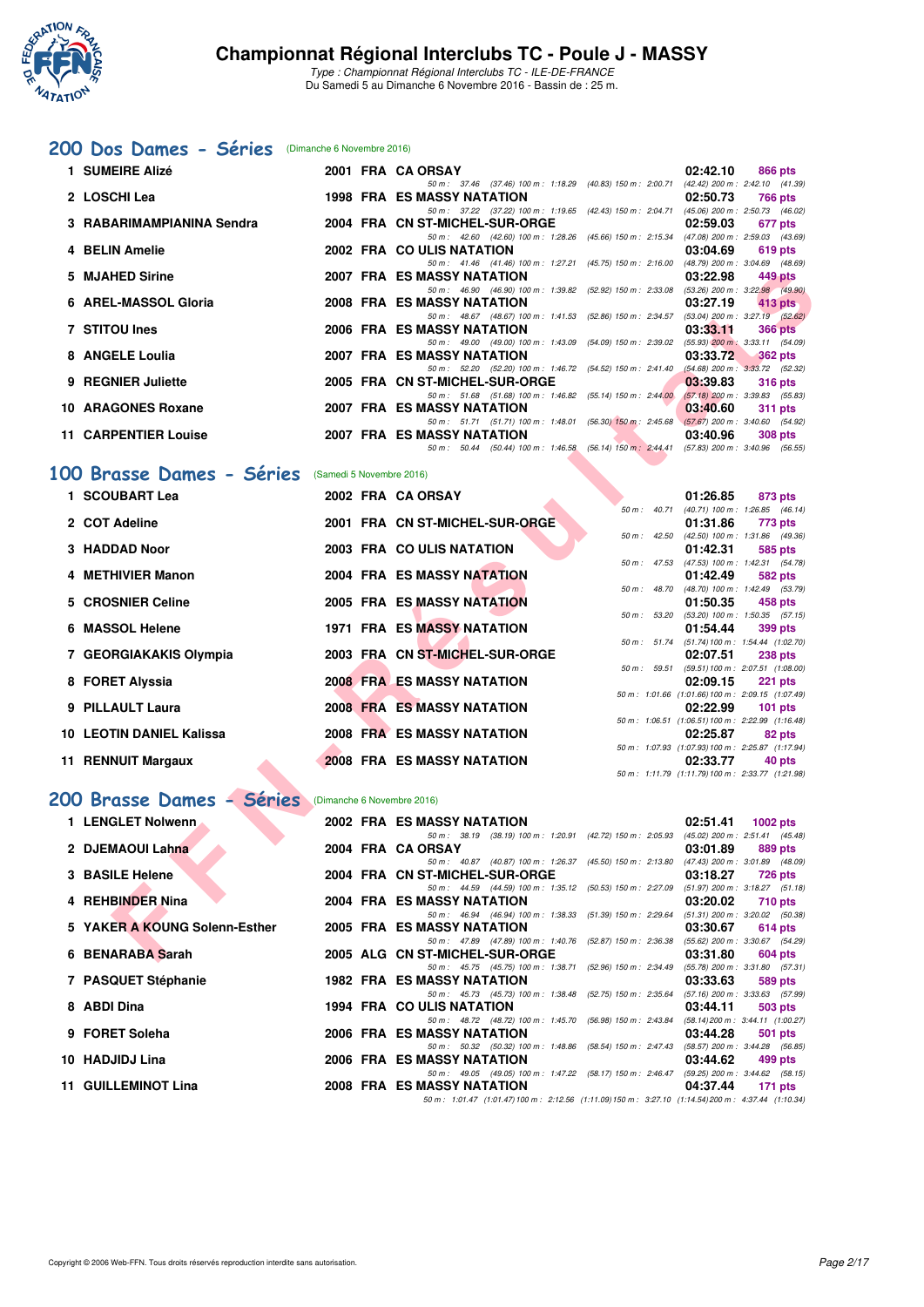

#### **[200 Dos Dames - Séries](http://www.ffnatation.fr/webffn/resultats.php?idact=nat&go=epr&idcpt=42139&idepr=13)** (Dimanche 6 Novembre 2016)

| 1 SUMEIRE Alizé             |  | 2001 FRA CA ORSAY                                                                        | 02:42.10 | 866 pts        |
|-----------------------------|--|------------------------------------------------------------------------------------------|----------|----------------|
|                             |  | 50 m: 37.46 (37.46) 100 m: 1:18.29 (40.83) 150 m: 2:00.71 (42.42) 200 m: 2:42.10 (41.39) |          |                |
| 2 LOSCHI Lea                |  | <b>1998 FRA ES MASSY NATATION</b>                                                        | 02:50.73 | 766 pts        |
|                             |  | 50 m: 37.22 (37.22) 100 m: 1:19.65 (42.43) 150 m: 2:04.71 (45.06) 200 m: 2:50.73 (46.02) |          |                |
| 3 RABARIMAMPIANINA Sendra   |  | 2004 FRA CN ST-MICHEL-SUR-ORGE                                                           | 02:59.03 | 677 pts        |
|                             |  | 50 m: 42.60 (42.60) 100 m: 1:28.26 (45.66) 150 m: 2:15.34 (47.08) 200 m: 2:59.03 (43.69) |          |                |
| 4 BELIN Amelie              |  | 2002 FRA COULIS NATATION                                                                 | 03:04.69 | 619 pts        |
|                             |  | 50 m: 41.46 (41.46) 100 m: 1:27.21 (45.75) 150 m: 2:16.00 (48.79) 200 m: 3:04.69 (48.69) |          |                |
| 5 MJAHED Sirine             |  | 2007 FRA ES MASSY NATATION                                                               | 03:22.98 | 449 pts        |
|                             |  | 50 m: 46.90 (46.90) 100 m: 1:39.82 (52.92) 150 m: 2:33.08 (53.26) 200 m: 3:22.98 (49.90) |          |                |
| 6 AREL-MASSOL Gloria        |  | 2008 FRA ES MASSY NATATION                                                               | 03:27.19 | $413$ pts      |
|                             |  | 50 m: 48.67 (48.67) 100 m: 1:41.53 (52.86) 150 m: 2:34.57 (53.04) 200 m: 3:27.19 (52.62) |          |                |
| 7 STITOU Ines               |  | 2006 FRA ES MASSY NATATION                                                               | 03:33.11 | <b>366 pts</b> |
|                             |  | 50 m: 49.00 (49.00) 100 m: 1:43.09 (54.09) 150 m: 2:39.02 (55.93) 200 m: 3:33.11 (54.09) |          |                |
| 8 ANGELE Loulia             |  | 2007 FRA ES MASSY NATATION                                                               | 03:33.72 | 362 pts        |
|                             |  | 50 m: 52.20 (52.20) 100 m: 1:46.72 (54.52) 150 m: 2:41.40 (54.68) 200 m: 3:33.72 (52.32) |          |                |
| 9 REGNIER Juliette          |  | 2005 FRA CN ST-MICHEL-SUR-ORGE 2005 2003:39.83                                           |          | <b>316 pts</b> |
|                             |  | 50 m: 51.68 (51.68) 100 m: 1:46.82 (55.14) 150 m: 2:44.00 (57.18) 200 m: 3:39.83 (55.83) |          |                |
| 10 ARAGONES Roxane          |  | 2007 FRA ES MASSY NATATION                                                               | 03:40.60 | <b>311 pts</b> |
|                             |  | 50 m: 51.71 (51.71) 100 m: 1:48.01 (56.30) 150 m: 2:45.68 (57.67) 200 m: 3:40.60 (54.92) |          |                |
| <b>11 CARPENTIER Louise</b> |  | 2007 FRA ES MASSY NATATION                                                               | 03:40.96 | <b>308 pts</b> |
|                             |  | 50 m: 50.44 (50.44) 100 m: 1:46.58 (56.14) 150 m: 2:44.41 (57.83) 200 m: 3:40.96 (56.55) |          |                |

#### [100 Brasse Dames - Séries](http://www.ffnatation.fr/webffn/resultats.php?idact=nat&go=epr&idcpt=42139&idepr=22) (Samedi 5 Novembre 2016)

|           | 5 MJAHED Sirine                 |                          | <b>2007 FRA ES MASSY NATATION</b>                                                              |                  | 03:22.98 | 449 pts                                                     |
|-----------|---------------------------------|--------------------------|------------------------------------------------------------------------------------------------|------------------|----------|-------------------------------------------------------------|
|           |                                 |                          | 50 m: 46.90 (46.90) 100 m: 1:39.82 (52.92) 150 m: 2:33.08                                      |                  |          | $(53.26)$ 200 m : 3:22.98 (49.90)                           |
|           | 6 AREL-MASSOL Gloria            |                          | <b>2008 FRA ES MASSY NATATION</b><br>50 m: 48.67 (48.67) 100 m: 1:41.53 (52.86) 150 m: 2:34.57 |                  | 03:27.19 | $413$ pts<br>$(53.04)$ 200 m : 3:27.19 $(52.62)$            |
|           | <b>7 STITOU Ines</b>            |                          | 2006 FRA ES MASSY NATATION                                                                     |                  | 03:33.11 | <b>366 pts</b>                                              |
|           |                                 |                          | 50 m: 49.00 (49.00) 100 m: 1:43.09 (54.09) 150 m: 2:39.02 (55.93) 200 m: 3:33.11 (54.09)       |                  |          |                                                             |
|           | 8 ANGELE Loulia                 |                          | 2007 FRA ES MASSY NATATION                                                                     |                  | 03:33.72 | <b>362 pts</b>                                              |
|           |                                 |                          | 50 m: 52.20 (52.20) 100 m: 1:46.72 (54.52) 150 m: 2:41.40                                      |                  |          | $(54.68)$ 200 m : 3:33.72 $(52.32)$                         |
|           | 9 REGNIER Juliette              |                          | 2005 FRA CN ST-MICHEL-SUR-ORGE<br>50 m: 51.68 (51.68) 100 m: 1:46.82 (55.14) 150 m: 2:44.00    |                  | 03:39.83 | <b>316 pts</b><br>$(57.18)$ 200 m : 3:39.83 $(55.83)$       |
|           | 10 ARAGONES Roxane              |                          | <b>2007 FRA ES MASSY NATATION</b>                                                              |                  | 03:40.60 | 311 pts                                                     |
|           |                                 |                          | 50 m: 51.71 (51.71) 100 m: 1:48.01 (56.30) 150 m: 2:45.68                                      |                  |          | $(57.67)$ 200 m : 3:40.60 $(54.92)$                         |
|           | <b>11 CARPENTIER Louise</b>     |                          | 2007 FRA ES MASSY NATATION                                                                     |                  | 03:40.96 | 308 pts                                                     |
|           |                                 |                          | 50 m: 50.44 (50.44) 100 m: 1:46.58 (56.14) 150 m: 2:44.41                                      |                  |          | $(57.83)$ 200 m : 3:40.96 $(56.55)$                         |
| <b>OO</b> | <b>Brasse Dames - Séries</b>    |                          |                                                                                                |                  |          |                                                             |
|           |                                 | (Samedi 5 Novembre 2016) |                                                                                                |                  |          |                                                             |
|           | 1 SCOUBART Lea                  |                          | 2002 FRA CA ORSAY                                                                              |                  | 01:26.85 | 873 pts                                                     |
|           |                                 |                          |                                                                                                | $50 m$ : $40.71$ |          | $(40.71)$ 100 m : 1:26.85 $(46.14)$                         |
|           | 2 COT Adeline                   |                          | 2001 FRA CN ST-MICHEL-SUR-ORGE                                                                 | 50 m: 42.50      | 01:31.86 | 773 pts<br>(42.50) 100 m: 1:31.86 (49.36)                   |
|           | 3 HADDAD Noor                   |                          | 2003 FRA COULIS NATATION                                                                       |                  | 01:42.31 | 585 pts                                                     |
|           |                                 |                          |                                                                                                | $50 m$ : 47.53   |          | (47.53) 100 m: 1:42.31 (54.78)                              |
|           | 4 METHIVIER Manon               |                          | 2004 FRA ES MASSY NATATION                                                                     |                  | 01:42.49 | 582 pts                                                     |
|           |                                 |                          |                                                                                                | 50 m : 48.70     |          | (48.70) 100 m : 1:42.49 (53.79)                             |
|           | 5 CROSNIER Celine               |                          | <b>2005 FRA ES MASSY NATATION</b>                                                              | 50 m: 53.20      | 01:50.35 | 458 pts                                                     |
|           | 6 MASSOL Helene                 |                          | <b>1971 FRA ES MASSY NATATION</b>                                                              |                  | 01:54.44 | $(53.20)$ 100 m : 1:50.35 $(57.15)$<br><b>399 pts</b>       |
|           |                                 |                          |                                                                                                |                  |          | 50 m: 51.74 (51.74) 100 m: 1:54.44 (1:02.70)                |
|           | 7 GEORGIAKAKIS Olympia          |                          | 2003 FRA CN ST-MICHEL-SUR-ORGE                                                                 |                  | 02:07.51 | 238 pts                                                     |
|           |                                 |                          |                                                                                                | 50 m : 59.51     |          | (59.51) 100 m : 2:07.51 (1:08.00)                           |
|           | 8 FORET Alyssia                 |                          | <b>2008 FRAMES MASSY NATATION</b>                                                              |                  | 02:09.15 | 221 pts<br>50 m: 1:01.66 (1:01.66) 100 m: 2:09.15 (1:07.49) |
|           | 9 PILLAULT Laura                |                          | <b>2008 FRA ES MASSY NATATION</b>                                                              |                  | 02:22.99 | $101$ pts                                                   |
|           |                                 |                          |                                                                                                |                  |          | 50 m: 1:06.51 (1:06.51) 100 m: 2:22.99 (1:16.48)            |
|           | <b>10 LEOTIN DANIEL Kalissa</b> |                          | <b>2008 FRA ES MASSY NATATION</b>                                                              |                  | 02:25.87 | 82 pts                                                      |
|           |                                 |                          |                                                                                                |                  |          | 50 m: 1:07.93 (1:07.93) 100 m: 2:25.87 (1:17.94)            |
|           | 11 RENNUIT Margaux              |                          | <b>2008 FRA ES MASSY NATATION</b>                                                              |                  | 02:33.77 | 40 pts                                                      |
|           |                                 |                          |                                                                                                |                  |          | 50 m: 1:11.79 (1:11.79) 100 m: 2:33.77 (1:21.98)            |
|           | 200 Brasse Dames - Séries       |                          | (Dimanche 6 Novembre 2016)                                                                     |                  |          |                                                             |
|           |                                 |                          |                                                                                                |                  |          |                                                             |
|           | 1 LENGLET Nolwenn               |                          | 2002 FRA ES MASSY NATATION<br>50 m: 38.19 (38.19) 100 m: 1:20.91 (42.72) 150 m: 2:05.93        |                  | 02:51.41 | $1002$ pts<br>$(45.02)$ 200 m : 2:51.41 $(45.48)$           |
|           | 2 DJEMAOUI Lahna                |                          | 2004 FRA CAORSAY                                                                               |                  | 03:01.89 | 889 pts                                                     |
|           |                                 |                          | 50 m: 40.87 (40.87) 100 m: 1:26.37 (45.50) 150 m: 2:13.80                                      |                  |          | $(47.43)$ 200 m : 3:01.89 $(48.09)$                         |
|           | 3 BASILE Helene                 |                          | 2004 FRA CN ST-MICHEL-SUR-ORGE                                                                 |                  | 03:18.27 | <b>726 pts</b>                                              |
|           |                                 |                          | 50 m: 44.59 (44.59) 100 m: 1:35.12 (50.53) 150 m: 2:27.09                                      |                  |          | $(51.97)$ 200 m : 3:18.27 $(51.18)$                         |
|           | 4 REHBINDER Nina                |                          | 2004 FRA ES MASSY NATATION<br>50 m: 46.94 (46.94) 100 m: 1:38.33 (51.39) 150 m: 2:29.64        |                  | 03:20.02 | <b>710 pts</b><br>$(51.31)$ 200 m : 3:20.02 $(50.38)$       |
|           | YAKER A KOUNG Solenn-Esther     |                          | 2005 FRA ES MASSY NATATION                                                                     |                  | 03:30.67 | 614 pts                                                     |
|           |                                 |                          | 50 m: 47.89 (47.89) 100 m: 1:40.76 (52.87) 150 m: 2:36.38                                      |                  |          | (55.62) 200 m : 3:30.67 (54.29)                             |
|           | 6 BENARABA Sarah                |                          | 2005 ALG CN ST-MICHEL-SUR-ORGE                                                                 |                  | 03:31.80 | 604 pts                                                     |

# [200 Brasse Dames - Séries](http://www.ffnatation.fr/webffn/resultats.php?idact=nat&go=epr&idcpt=42139&idepr=23) (Dimanche 6 Novembre 2016)

| 1 LENGLET Nolwenn             |  | 2002 FRA ES MASSY NATATION                                                                         | 02:51.41 | 1002 pts       |
|-------------------------------|--|----------------------------------------------------------------------------------------------------|----------|----------------|
|                               |  | 50 m: 38.19 (38.19) 100 m: 1:20.91 (42.72) 150 m: 2:05.93 (45.02) 200 m: 2:51.41 (45.48)           |          |                |
| 2 DJEMAOUI Lahna              |  | 2004 FRA CA ORSAY                                                                                  | 03:01.89 | 889 pts        |
|                               |  | 50 m: 40.87 (40.87) 100 m: 1:26.37 (45.50) 150 m: 2:13.80 (47.43) 200 m: 3:01.89 (48.09)           |          |                |
| 3 BASILE Helene               |  | 2004 FRA CN ST-MICHEL-SUR-ORGE                                                                     | 03:18.27 | 726 pts        |
|                               |  | 50 m: 44.59 (44.59) 100 m: 1:35.12 (50.53) 150 m: 2:27.09 (51.97) 200 m: 3:18.27 (51.18)           |          |                |
| 4 REHBINDER Nina              |  | 2004 FRA ES MASSY NATATION                                                                         | 03:20.02 | <b>710 pts</b> |
|                               |  | 50 m: 46.94 (46.94) 100 m: 1:38.33 (51.39) 150 m: 2:29.64 (51.31) 200 m: 3:20.02 (50.38)           |          |                |
| 5 YAKER A KOUNG Solenn-Esther |  | 2005 FRA ES MASSY NATATION                                                                         | 03:30.67 | 614 pts        |
|                               |  | 50 m: 47.89 (47.89) 100 m: 1:40.76 (52.87) 150 m: 2:36.38 (55.62) 200 m: 3:30.67 (54.29)           |          |                |
| 6 BENARABA Sarah              |  | 2005 ALG CN ST-MICHEL-SUR-ORGE                                                                     | 03:31.80 | 604 pts        |
|                               |  | 50 m: 45.75 (45.75) 100 m: 1:38.71 (52.96) 150 m: 2:34.49 (55.78) 200 m: 3:31.80 (57.31)           |          |                |
| 7 PASQUET Stéphanie           |  | <b>1982 FRA ES MASSY NATATION</b>                                                                  | 03:33.63 | 589 pts        |
|                               |  | 50 m: 45.73 (45.73) 100 m: 1:38.48 (52.75) 150 m: 2:35.64 (57.16) 200 m: 3:33.63 (57.99)           |          |                |
| 8 ABDI Dina                   |  | 1994 FRA COULIS NATATION                                                                           | 03:44.11 | 503 pts        |
|                               |  | 50 m: 48.72 (48.72) 100 m: 1:45.70 (56.98) 150 m: 2:43.84 (58.14) 200 m: 3:44.11 (1:00.27)         |          |                |
| 9 FORET Soleha                |  | 2006 FRA ES MASSY NATATION                                                                         | 03:44.28 | 501 pts        |
|                               |  | 50 m: 50.32 (50.32) 100 m: 1:48.86 (58.54) 150 m: 2:47.43 (58.57) 200 m: 3:44.28 (56.85)           |          |                |
| 10 HADJIDJ Lina               |  | 2006 FRA ES MASSY NATATION                                                                         | 03:44.62 | 499 pts        |
|                               |  | 50 m: 49.05 (49.05) 100 m: 1:47.22 (58.17) 150 m: 2:46.47 (59.25) 200 m: 3:44.62 (58.15)           |          |                |
| 11 GUILLEMINOT Lina           |  | 2008 FRA ES MASSY NATATION                                                                         | 04:37.44 | 171 pts        |
|                               |  | 50 m: 1:01.47 (1:01.47) 100 m: 2:12.56 (1:11.09) 150 m: 3:27.10 (1:14.54) 200 m: 4:37.44 (1:10.34) |          |                |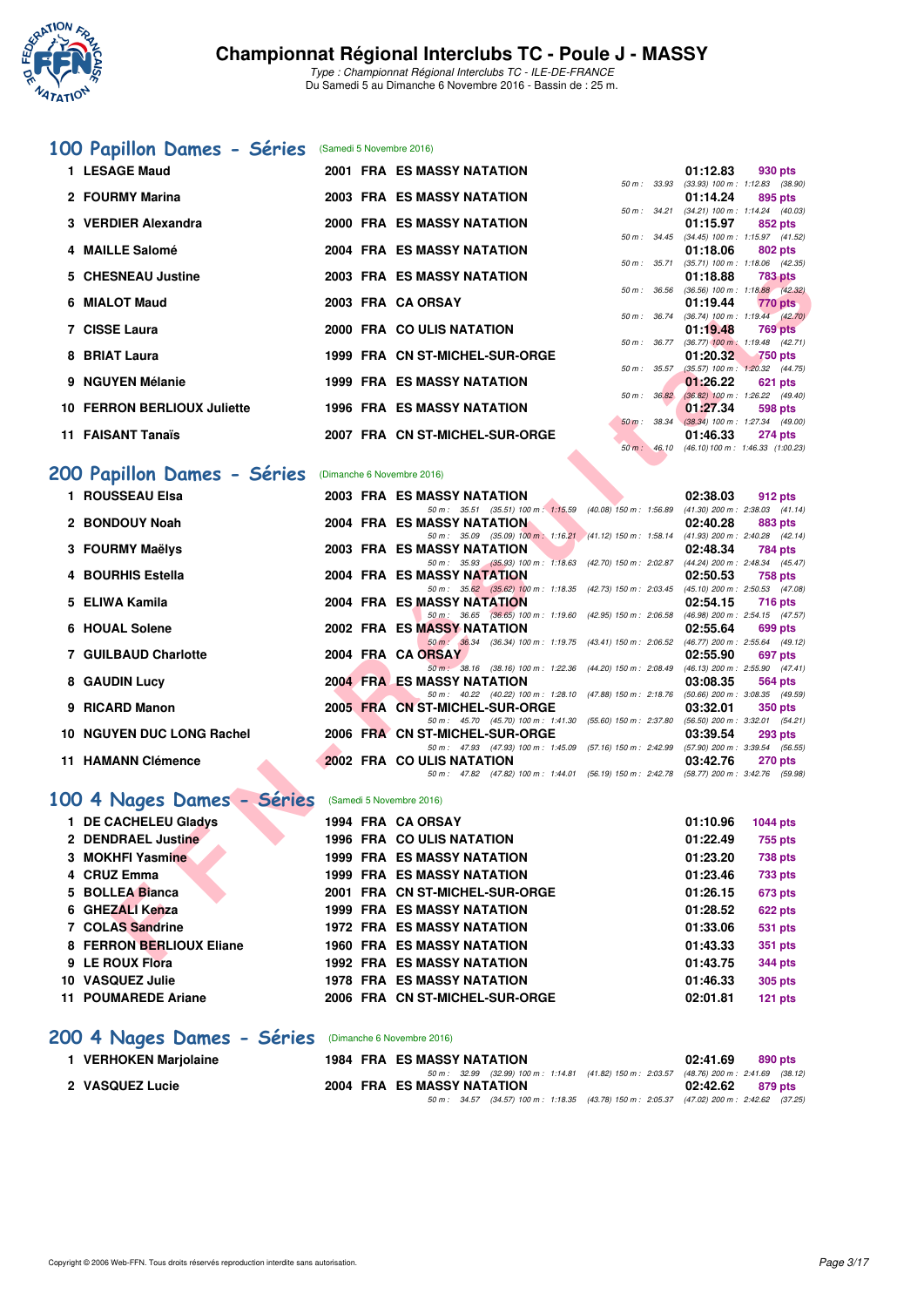

Type : Championnat Régional Interclubs TC - ILE-DE-FRANCE Du Samedi 5 au Dimanche 6 Novembre 2016 - Bassin de : 25 m.

# **[100 Papillon Dames - Séries](http://www.ffnatation.fr/webffn/resultats.php?idact=nat&go=epr&idcpt=42139&idepr=32)** (Samedi 5 Novembre 2016)

| 1 LESAGE Maud                      |  | <b>2001 FRA ES MASSY NATATION</b> |                  | $01:12.83$ 930 pts                             |         |
|------------------------------------|--|-----------------------------------|------------------|------------------------------------------------|---------|
|                                    |  |                                   | 50 m: 33.93      | $(33.93)$ 100 m : 1:12.83 $(38.90)$            |         |
| 2 FOURMY Marina                    |  | 2003 FRA ES MASSY NATATION        |                  | $01:14.24$ 895 pts                             |         |
|                                    |  |                                   | $50 m$ : $34.21$ | $(34.21)$ 100 m : 1:14.24 $(40.03)$            |         |
| 3 VERDIER Alexandra                |  | 2000 FRA ES MASSY NATATION        |                  | $01:15.97$ 852 pts                             |         |
|                                    |  |                                   |                  | 50 m: 34.45 (34.45) 100 m: 1:15.97 (41.52)     |         |
| 4 MAILLE Salomé                    |  | 2004 FRA ES MASSY NATATION        |                  | 01:18.06                                       | 802 pts |
|                                    |  |                                   | 50 m : 35.71     | $(35.71)$ 100 m : 1:18.06 $(42.35)$            |         |
| 5 CHESNEAU Justine                 |  | 2003 FRA ES MASSY NATATION        |                  | 01:18.88 783 pts                               |         |
|                                    |  |                                   |                  | 50 m: 36.56 (36.56) 100 m: 1:18.88 (42.32)     |         |
| 6 MIALOT Maud                      |  | 2003 FRA CA ORSAY                 |                  | 01:19.44 770 pts                               |         |
|                                    |  |                                   | $50 m$ : $36.74$ | $(36.74)$ 100 m : 1:19.44 $(42.70)$            |         |
| 7 CISSE Laura                      |  | 2000 FRA COULIS NATATION          |                  | $01:19.48$ 769 pts                             |         |
|                                    |  |                                   |                  | 50 m: 36.77 (36.77) 100 m: 1:19.48 (42.71)     |         |
| 8 BRIAT Laura                      |  | 1999 FRA CN ST-MICHEL-SUR-ORGE    |                  | 01:20.32 750 pts                               |         |
|                                    |  |                                   | 50 m: 35.57      | $(35.57)$ 100 m : 1:20.32 $(44.75)$            |         |
| 9 NGUYEN Mélanie                   |  | <b>1999 FRA ES MASSY NATATION</b> |                  | $01:26.22$ 621 pts                             |         |
|                                    |  |                                   | 50 m : 36.82     | $(36.82)$ 100 m : 1:26.22 $(49.40)$            |         |
| <b>10 FERRON BERLIOUX Juliette</b> |  | <b>1996 FRA ES MASSY NATATION</b> |                  | $01:27.34$ 598 pts                             |         |
|                                    |  |                                   |                  | 50 m : 38.34 (38.34) 100 m : 1:27.34 (49.00)   |         |
| 11 FAISANT Tanaïs                  |  | 2007 FRA CN ST-MICHEL-SUR-ORGE    |                  | $01:46.33$ 274 pts                             |         |
|                                    |  |                                   |                  | 50 m : 46.10 (46.10) 100 m : 1:46.33 (1:00.23) |         |
|                                    |  |                                   |                  |                                                |         |

# **[200 Papillon Dames - Séries](http://www.ffnatation.fr/webffn/resultats.php?idact=nat&go=epr&idcpt=42139&idepr=33)** (Dimanche 6 Novembre 2016)

| 5 CHESNEAU Justine                                           |  | <b>2003 FRA ES MASSY NATATION</b>                                                                                                 |                  | 01:18.88 | <b>783 pts</b>                                          |
|--------------------------------------------------------------|--|-----------------------------------------------------------------------------------------------------------------------------------|------------------|----------|---------------------------------------------------------|
| 6 MIALOT Maud                                                |  | 2003 FRA CA ORSAY                                                                                                                 |                  |          | 50 m : 36.56 (36.56) 100 m : 1:18.88 (42.32)            |
|                                                              |  |                                                                                                                                   |                  | 01:19.44 | 770 pts<br>50 m : 36.74 (36.74) 100 m : 1:19.44 (42.70) |
| 7 CISSE Laura                                                |  | 2000 FRA COULIS NATATION                                                                                                          |                  | 01:19.48 | <b>769 pts</b>                                          |
|                                                              |  |                                                                                                                                   | 50 m : 36.77     |          | $(36.77)$ 100 m : 1:19.48 $(42.71)$                     |
| 8 BRIAT Laura                                                |  | 1999 FRA CN ST-MICHEL-SUR-ORGE                                                                                                    |                  | 01:20.32 | <b>750 pts</b>                                          |
| 9 NGUYEN Mélanie                                             |  | <b>1999 FRA ES MASSY NATATION</b>                                                                                                 | $50 m$ : $35.57$ | 01:26.22 | $(35.57)$ 100 m : 1:20.32 $(44.75)$<br>621 pts          |
|                                                              |  |                                                                                                                                   | 50 m: 36.82      |          | $(36.82)$ 100 m : 1:26.22 $(49.40)$                     |
| 10 FERRON BERLIOUX Juliette                                  |  | <b>1996 FRA ES MASSY NATATION</b>                                                                                                 |                  | 01:27.34 | 598 pts                                                 |
|                                                              |  |                                                                                                                                   |                  |          | 50 m : 38.34 (38.34) 100 m : 1:27.34 (49.00)            |
| 11 FAISANT Tanaïs                                            |  | 2007 FRA CN ST-MICHEL-SUR-ORGE                                                                                                    | $50 m$ : 46.10   | 01:46.33 | 274 pts<br>$(46.10) 100 m$ : 1:46.33 $(1:00.23)$        |
|                                                              |  |                                                                                                                                   |                  |          |                                                         |
| <b>00 Papillon Dames - Séries</b> (Dimanche 6 Novembre 2016) |  |                                                                                                                                   |                  |          |                                                         |
| 1 ROUSSEAU Elsa                                              |  | <b>2003 FRA ES MASSY NATATION</b>                                                                                                 |                  | 02:38.03 | 912 pts                                                 |
|                                                              |  | 50 m: 35.51 (35.51) 100 m: 1:15.59 (40.08) 150 m: 1:56.89 (41.30) 200 m: 2:38.03 (41.14)                                          |                  |          |                                                         |
| 2 BONDOUY Noah                                               |  | <b>2004 FRA ES MASSY NATATION</b>                                                                                                 |                  | 02:40.28 | 883 pts                                                 |
|                                                              |  | 50 m: 35.09 (35.09) 100 m: 1:16.21 (41.12) 150 m: 1:58.14 (41.93) 200 m: 2:40.28 (42.14)                                          |                  |          |                                                         |
| 3 FOURMY Maëlys                                              |  | <b>2003 FRA ES MASSY NATATION</b><br>50 m: 35.93 (35.93) 100 m: 1:18.63 (42.70) 150 m: 2:02.87 (44.24) 200 m: 2:48.34 (45.47)     |                  | 02:48.34 | 784 pts                                                 |
| 4 BOURHIS Estella                                            |  | 2004 FRA ES MASSY NATATION                                                                                                        |                  | 02:50.53 | 758 pts                                                 |
|                                                              |  | 50 m: 35.62 (35.62) 100 m: 1:18.35 (42.73) 150 m: 2:03.45 (45.10) 200 m: 2:50.53 (47.08)                                          |                  |          |                                                         |
| 5 ELIWA Kamila                                               |  | <b>2004 FRA ES MASSY NATATION</b>                                                                                                 |                  | 02:54.15 | 716 pts                                                 |
|                                                              |  | 50 m: 36.65 (36.65) 100 m: 1:19.60 (42.95) 150 m: 2:06.58 (46.98) 200 m: 2:54.15 (47.57)                                          |                  |          |                                                         |
| 6 HOUAL Solene                                               |  | <b>2002 FRA ES MASSY NATATION</b><br>50 m : 36.34 (36.34) 100 m : 1:19.75 (43.41) 150 m : 2:06.52 (46.77) 200 m : 2:55.64 (49.12) |                  | 02:55.64 | 699 pts                                                 |
| <b>7 GUILBAUD Charlotte</b>                                  |  | 2004 FRA CA ORSAY                                                                                                                 |                  | 02:55.90 | 697 pts                                                 |
|                                                              |  | 50 m: 38.16 (38.16) 100 m: 1:22.36 (44.20) 150 m: 2:08.49 (46.13) 200 m: 2:55.90 (47.41)                                          |                  |          |                                                         |
| 8 GAUDIN Lucy                                                |  | <b>2004 FRA ES MASSY NATATION</b>                                                                                                 |                  | 03:08.35 | 564 pts                                                 |
|                                                              |  | 50 m: 40.22 (40.22) 100 m: 1:28.10 (47.88) 150 m: 2:18.76 (50.66) 200 m: 3:08.35 (49.59)                                          |                  |          |                                                         |
| 9 RICARD Manon                                               |  | 2005 FRA CN ST-MICHEL-SUR-ORGE<br>50 m: 45.70 (45.70) 100 m: 1:41.30 (55.60) 150 m: 2:37.80 (56.50) 200 m: 3:32.01 (54.21)        |                  | 03:32.01 | <b>350 pts</b>                                          |
| 10 NGUYEN DUC LONG Rachel                                    |  | 2006 FRA CN ST-MICHEL-SUR-ORGE                                                                                                    |                  | 03:39.54 | <b>293 pts</b>                                          |
|                                                              |  | 50 m: 47.93 (47.93) 100 m: 1:45.09 (57.16) 150 m: 2:42.99 (57.90) 200 m: 3:39.54 (56.55)                                          |                  |          |                                                         |
| 11 HAMANN Clémence                                           |  | 2002 FRA CO ULIS NATATION                                                                                                         |                  | 03:42.76 | <b>270 pts</b>                                          |
|                                                              |  | 50 m: 47.82 (47.82) 100 m: 1:44.01 (56.19) 150 m: 2:42.78 (58.77) 200 m: 3:42.76 (59.98)                                          |                  |          |                                                         |
| 00 4 Nages Dames - Séries                                    |  | (Samedi 5 Novembre 2016)                                                                                                          |                  |          |                                                         |
| 1 DE CACHELEU Gladys                                         |  | 1994 FRA CA ORSAY                                                                                                                 |                  | 01:10.96 | <b>1044 pts</b>                                         |
| 2 DENDRAEL Justine                                           |  | 1996 FRA COULIS NATATION                                                                                                          |                  | 01:22.49 | 755 pts                                                 |
| 3 MOKHFI Yasmine                                             |  | <b>1999 FRA ES MASSY NATATION</b>                                                                                                 |                  | 01:23.20 | <b>738 pts</b>                                          |
| 4 CRUZ Emma                                                  |  | <b>1999 FRA ES MASSY NATATION</b>                                                                                                 |                  | 01:23.46 | <b>733 pts</b>                                          |
| 5 BOLLEA Bianca                                              |  | 2001 FRA CN ST-MICHEL-SUR-ORGE                                                                                                    |                  | 01:26.15 |                                                         |
|                                                              |  |                                                                                                                                   |                  |          | <b>673 pts</b>                                          |
| 6 GHEZALI Kenza                                              |  | <b>1999 FRA ES MASSY NATATION</b>                                                                                                 |                  | 01:28.52 | <b>622 pts</b>                                          |
| 7 COLAS Sandrine                                             |  | <b>1972 FRA ES MASSY NATATION</b>                                                                                                 |                  | 01:33.06 | <b>531 pts</b>                                          |
| 8 FERRON BERLIOUX Eliane                                     |  | <b>1960 FRA ES MASSY NATATION</b>                                                                                                 |                  | 01:43.33 | <b>351 pts</b>                                          |
| <b>CIEDOUVEL</b>                                             |  | 1000 EDA EC MACCV NATATION                                                                                                        |                  | 04.427   | $0.44 m +$                                              |

# [100 4 Nages Dames - Séries](http://www.ffnatation.fr/webffn/resultats.php?idact=nat&go=epr&idcpt=42139&idepr=40) (Samedi 5 Novembre 2016)

| 1 DE CACHELEU Gladys       |  | 1994 FRA CA ORSAY                 | 01:10.96 | <b>1044 pts</b> |
|----------------------------|--|-----------------------------------|----------|-----------------|
| 2 DENDRAEL Justine         |  | <b>1996 FRA COULIS NATATION</b>   | 01:22.49 | 755 pts         |
| 3 MOKHFI Yasmine           |  | <b>1999 FRA ES MASSY NATATION</b> | 01:23.20 | <b>738 pts</b>  |
| 4 CRUZ Emma                |  | <b>1999 FRA ES MASSY NATATION</b> | 01:23.46 | 733 pts         |
| 5 BOLLEA Bianca            |  | 2001 FRA CN ST-MICHEL-SUR-ORGE    | 01:26.15 | <b>673 pts</b>  |
| 6 GHEZALI Kenza            |  | <b>1999 FRA ES MASSY NATATION</b> | 01:28.52 | <b>622 pts</b>  |
| 7 COLAS Sandrine           |  | <b>1972 FRA ES MASSY NATATION</b> | 01:33.06 | <b>531 pts</b>  |
| 8 FERRON BERLIOUX Eliane   |  | <b>1960 FRA ES MASSY NATATION</b> | 01:43.33 | 351 pts         |
| 9 LE ROUX Flora            |  | <b>1992 FRA ES MASSY NATATION</b> | 01:43.75 | 344 pts         |
| 10 VASQUEZ Julie           |  | <b>1978 FRA ES MASSY NATATION</b> | 01:46.33 | <b>305 pts</b>  |
| <b>11 POUMAREDE Ariane</b> |  | 2006 FRA CN ST-MICHEL-SUR-ORGE    | 02:01.81 | $121$ pts       |

# **[200 4 Nages Dames - Séries](http://www.ffnatation.fr/webffn/resultats.php?idact=nat&go=epr&idcpt=42139&idepr=41)** (Dimanche 6 Novembre 2016)

| <b>VERHOKEN Marjolaine</b> | <b>1984 FRA ES MASSY NATATION</b> | 02:41.69                                                                                     | 890 pts |
|----------------------------|-----------------------------------|----------------------------------------------------------------------------------------------|---------|
|                            |                                   | 50 m : 32.99 (32.99) 100 m : 1:14.81 (41.82) 150 m : 2:03.57 (48.76) 200 m : 2:41.69 (38.12  |         |
| 2 VASQUEZ Lucie            | 2004 FRA ES MASSY NATATION        | 02:42.62                                                                                     | 879 pts |
|                            |                                   | 50 m : 34.57 (34.57) 100 m : 1:18.35 (43.78) 150 m : 2:05.37 (47.02) 200 m : 2:42.62 (37.25, |         |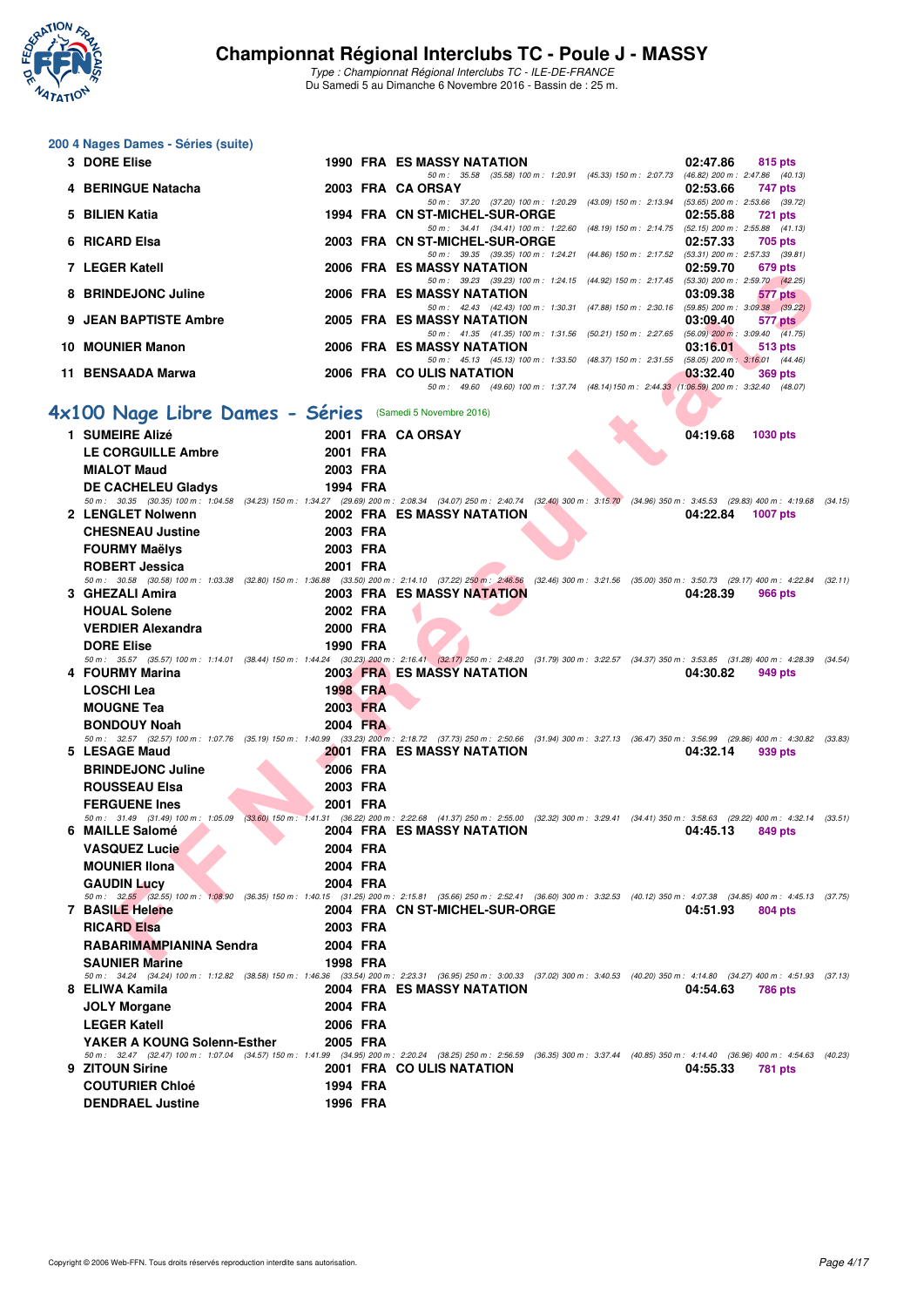

| 200 4 Nages Dames - Séries (suite)                       |          |                                                                                                                                                                                                                                                      |
|----------------------------------------------------------|----------|------------------------------------------------------------------------------------------------------------------------------------------------------------------------------------------------------------------------------------------------------|
| 3 DORE Elise                                             |          | 1990 FRA ES MASSY NATATION<br>02:47.86<br>815 pts                                                                                                                                                                                                    |
| 4 BERINGUE Natacha                                       |          | 50 m: 35.58 (35.58) 100 m: 1:20.91 (45.33) 150 m: 2:07.73 (46.82) 200 m: 2:47.86 (40.13)<br>2003 FRA CA ORSAY<br>02:53.66<br>747 pts                                                                                                                 |
| 5 BILIEN Katia                                           |          | 50 m: 37.20 (37.20) 100 m: 1:20.29 (43.09) 150 m: 2:13.94 (53.65) 200 m: 2:53.66 (39.72)<br>1994 FRA CN ST-MICHEL-SUR-ORGE<br>02:55.88<br><b>721 pts</b><br>50 m: 34.41 (34.41) 100 m: 1:22.60 (48.19) 150 m: 2:14.75 (52.15) 200 m: 2:55.88 (41.13) |
| 6 RICARD Elsa                                            |          | 2003 FRA CN ST-MICHEL-SUR-ORGE<br>02:57.33<br>705 pts<br>50 m: 39.35 (39.35) 100 m: 1:24.21 (44.86) 150 m: 2:17.52 (53.31) 200 m: 2:57.33 (39.81)                                                                                                    |
| 7 LEGER Katell                                           |          | 2006 FRA ES MASSY NATATION<br>02:59.70<br>679 pts<br>50 m: 39.23 (39.23) 100 m: 1:24.15 (44.92) 150 m: 2:17.45 (53.30) 200 m: 2:59.70 (42.25)                                                                                                        |
| 8 BRINDEJONC Juline                                      |          | 2006 FRA ES MASSY NATATION<br>03:09.38<br>577 pts<br>50 m: 42.43 (42.43) 100 m: 1:30.31 (47.88) 150 m: 2:30.16 (59.85) 200 m: 3:09.38 (39.22)                                                                                                        |
| 9 JEAN BAPTISTE Ambre                                    |          | <b>2005 FRA ES MASSY NATATION</b><br>03:09.40<br>577 pts<br>50 m: 41.35 (41.35) 100 m: 1:31.56 (50.21) 150 m: 2:27.65 (56.09) 200 m: 3:09.40 (41.75)                                                                                                 |
| <b>10 MOUNIER Manon</b>                                  |          | 2006 FRA ES MASSY NATATION<br>03:16.01<br><b>513 pts</b><br>50 m: 45.13 (45.13) 100 m: 1:33.50 (48.37) 150 m: 2:31.55 (58.05) 200 m: 3:16.01 (44.46)                                                                                                 |
| 11 BENSAADA Marwa                                        |          | 2006 FRA COULIS NATATION<br>03:32.40<br><b>369 pts</b><br>50 m: 49.60 (49.60) 100 m: 1:37.74 (48.14) 150 m: 2:44.33 (1:06.59) 200 m: 3:32.40 (48.07)                                                                                                 |
| 4x100 Nage Libre Dames - Séries (Samedi 5 Novembre 2016) |          |                                                                                                                                                                                                                                                      |
| 1 SUMEIRE Alizé                                          |          | 2001 FRA CA ORSAY<br>04:19.68<br><b>1030 pts</b>                                                                                                                                                                                                     |
| <b>LE CORGUILLE Ambre</b>                                | 2001 FRA |                                                                                                                                                                                                                                                      |
| <b>MIALOT Maud</b>                                       | 2003 FRA |                                                                                                                                                                                                                                                      |
| <b>DE CACHELEU Gladys</b>                                | 1994 FRA | 50 m: 30.35 (30.35) 100 m: 1:04.58 (34.23) 150 m: 1:34.27 (29.69) 200 m: 2:08.34 (34.07) 250 m: 2:40.74 (32.40) 300 m: 3:15.70 (34.96) 350 m: 3:45.53 (29.83) 400 m: 4:19.68 (34.15)                                                                 |
| 2 LENGLET Nolwenn                                        |          | 2002 FRA ES MASSY NATATION<br>04:22.84<br><b>1007 pts</b>                                                                                                                                                                                            |
| <b>CHESNEAU Justine</b>                                  | 2003 FRA |                                                                                                                                                                                                                                                      |
| <b>FOURMY Maëlys</b>                                     | 2003 FRA |                                                                                                                                                                                                                                                      |
| <b>ROBERT Jessica</b>                                    | 2001 FRA |                                                                                                                                                                                                                                                      |
|                                                          |          | 50 m: 30.58 (30.58) 100 m: 1:03.38 (32.80) 150 m: 1:36.88 (33.50) 200 m: 2:14.10 (37.22) 250 m: 2:46.56 (32.46) 300 m: 3:21.56 (35.00) 350 m: 3:50.73 (29.17) 400 m: 4:22.84 (32.11)                                                                 |
| 3 GHEZALI Amira<br><b>HOUAL Solene</b>                   | 2002 FRA | <b>2003 FRA ES MASSY NATATION</b><br>04:28.39<br>966 pts                                                                                                                                                                                             |
| <b>VERDIER Alexandra</b>                                 | 2000 FRA |                                                                                                                                                                                                                                                      |
| <b>DORE Elise</b>                                        | 1990 FRA |                                                                                                                                                                                                                                                      |
|                                                          |          | 50 m: 35.57 (35.57) 100 m: 1:14.01 (38.44) 150 m: 1:44.24 (30.23) 200 m: 2:16.41 (32.17) 250 m: 2:48.20 (31.79) 300 m: 3:22.57 (34.37) 350 m: 3:53.85 (31.28) 400 m: 4:28.39 (34.54)                                                                 |
| 4 FOURMY Marina                                          |          | <b>2003 FRA ES MASSY NATATION</b><br>04:30.82<br>949 pts                                                                                                                                                                                             |
| <b>LOSCHI Lea</b>                                        | 1998 FRA |                                                                                                                                                                                                                                                      |
| <b>MOUGNE Tea</b>                                        | 2003 FRA |                                                                                                                                                                                                                                                      |
| <b>BONDOUY Noah</b>                                      | 2004 FRA | 50 m: 32.57 (32.57) 100 m: 1:07.76 (35.19) 150 m: 1:40.99 (33.23) 200 m: 2:18.72 (37.73) 250 m: 2:50.66 (31.94) 300 m: 3:27.13 (36.47) 350 m: 3:56.99 (29.86) 400 m: 4:30.82 (33.83)                                                                 |
| 5 LESAGE Maud                                            |          | <b>2001 FRA ES MASSY NATATION</b><br>04:32.14<br>939 pts                                                                                                                                                                                             |
| <b>BRINDEJONC Juline</b>                                 | 2006 FRA |                                                                                                                                                                                                                                                      |
| <b>ROUSSEAU Elsa</b>                                     | 2003 FRA |                                                                                                                                                                                                                                                      |
| <b>FERGUENE Ines</b>                                     | 2001 FRA |                                                                                                                                                                                                                                                      |
| 6 MAILLE Salomé                                          |          | 50 m: 31.49 (31.49) 100 m: 1:05.09 (33.60) 150 m: 1:41.31 (36.22) 200 m: 2:22.68 (41.37) 250 m: 2:55.00 (32.32) 300 m: 3:29.41 (34.41) 350 m: 3:58.63 (29.22) 400 m: 4:32.14 (33.51)<br>2004 FRA ES MASSY NATATION<br>04:45.13<br>849 pts            |
| <b>VASQUEZ Lucie</b>                                     | 2004 FRA |                                                                                                                                                                                                                                                      |
| <b>MOUNIER IIona</b>                                     | 2004 FRA |                                                                                                                                                                                                                                                      |
| <b>GAUDIN Lucy</b>                                       | 2004 FRA |                                                                                                                                                                                                                                                      |
| 7 BASILE Helene                                          |          | 50 m: 32,55 (32.55) 100 m: 1:08.90 (36.35) 150 m: 1:40.15 (31.25) 200 m: 2:15.81 (35.66) 250 m: 2:52.41 (36.60) 300 m: 3:32.53 (40.12) 350 m: 4:07.38 (34.85) 400 m: 4:45.13 (37.75)                                                                 |
| <b>RICARD Elsa</b>                                       | 2003 FRA | 2004 FRA CN ST-MICHEL-SUR-ORGE<br>04:51.93<br>804 pts                                                                                                                                                                                                |
| RABARIMAMPIANINA Sendra                                  | 2004 FRA |                                                                                                                                                                                                                                                      |
| <b>SAUNIER Marine</b>                                    | 1998 FRA |                                                                                                                                                                                                                                                      |
|                                                          |          | 50 m: 34.24 (34.24) 100 m: 1:12.82 (38.58) 150 m: 1:46.36 (33.54) 200 m: 2:23.31 (36.95) 250 m: 3:00.33 (37.02) 300 m: 3:40.53 (40.20) 350 m: 4:14.80 (34.27) 400 m: 4:51.93 (37.13)                                                                 |
| 8 ELIWA Kamila                                           |          | <b>2004 FRA ES MASSY NATATION</b><br>04:54.63<br><b>786 pts</b>                                                                                                                                                                                      |
| <b>JOLY Morgane</b>                                      | 2004 FRA |                                                                                                                                                                                                                                                      |
| <b>LEGER Katell</b>                                      | 2006 FRA |                                                                                                                                                                                                                                                      |
| YAKER A KOUNG Solenn-Esther<br>9 ZITOUN Sirine           | 2005 FRA | 50 m: 32.47 (32.47) 100 m: 1:07.04 (34.57) 150 m: 1:41.99 (34.95) 200 m: 2:20.24 (38.25) 250 m: 2:56.59 (36.35) 300 m: 3:37.44 (40.85) 350 m: 4:14.40 (36.96) 400 m: 4:54.63 (40.23)<br>2001 FRA COULIS NATATION<br>04:55.33<br>781 pts              |
| <b>COUTURIER Chloé</b>                                   | 1994 FRA |                                                                                                                                                                                                                                                      |
| <b>DENDRAEL Justine</b>                                  | 1996 FRA |                                                                                                                                                                                                                                                      |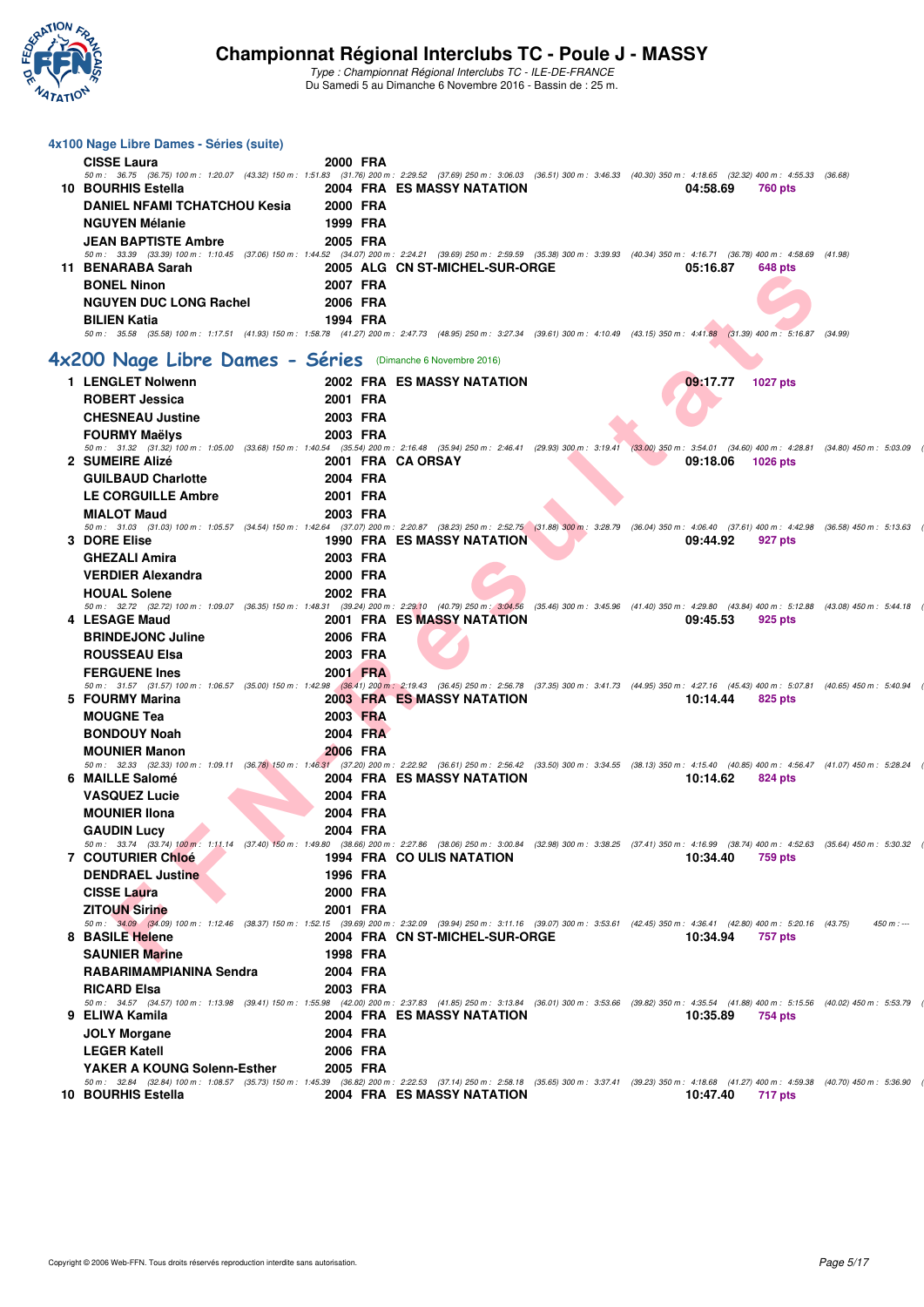

| 4x100 Nage Libre Dames - Séries (suite)                                                                                                                                                                                    |                      |                                   |          |                 |             |
|----------------------------------------------------------------------------------------------------------------------------------------------------------------------------------------------------------------------------|----------------------|-----------------------------------|----------|-----------------|-------------|
| <b>CISSE Laura</b><br>50 m: 36.75 (36.75) 100 m: 1:20.07 (43.32) 150 m: 1:51.83 (31.76) 200 m: 2:29.52 (37.69) 250 m: 3:06.03 (36.51) 300 m: 3:46.33 (40.30) 350 m: 4:18.65 (32.32) 400 m: 4:55.33 (36.68)                 | 2000 FRA             |                                   |          |                 |             |
| 10 BOURHIS Estella                                                                                                                                                                                                         |                      | 2004 FRA ES MASSY NATATION        | 04:58.69 | <b>760 pts</b>  |             |
| <b>DANIEL NFAMI TCHATCHOU Kesia</b>                                                                                                                                                                                        | <b>2000 FRA</b>      |                                   |          |                 |             |
| <b>NGUYEN Mélanie</b>                                                                                                                                                                                                      | 1999 FRA             |                                   |          |                 |             |
| <b>JEAN BAPTISTE Ambre</b>                                                                                                                                                                                                 | 2005 FRA             |                                   |          |                 |             |
| 50 m: 33.39 (33.39) 100 m: 1:10.45 (37.06) 150 m: 1:44.52 (34.07) 200 m: 2:24.21 (39.69) 250 m: 2:59.59 (35.38) 300 m: 3:39.93 (40.34) 350 m: 4:16.71 (36.78) 400 m: 4:58.69 (41.98)<br>11 BENARABA Sarah                  |                      | 2005 ALG CN ST-MICHEL-SUR-ORGE    | 05:16.87 | 648 pts         |             |
| <b>BONEL Ninon</b>                                                                                                                                                                                                         | 2007 FRA             |                                   |          |                 |             |
| <b>NGUYEN DUC LONG Rachel</b>                                                                                                                                                                                              | 2006 FRA             |                                   |          |                 |             |
| <b>BILIEN Katia</b>                                                                                                                                                                                                        | 1994 FRA             |                                   |          |                 |             |
| 50 m: 35.58 (35.58) 100 m: 1:17.51 (41.93) 150 m: 1:58.78 (41.27) 200 m: 2:47.73 (48.95) 250 m: 3:27.34 (39.61) 300 m: 4:10.49 (43.15) 350 m: 4:41.88 (31.39) 400 m: 5:16.87 (34.99)                                       |                      |                                   |          |                 |             |
| 4x200 Nage Libre Dames - Séries (Dimanche 6 Novembre 2016)                                                                                                                                                                 |                      |                                   |          |                 |             |
| 1 LENGLET Nolwenn                                                                                                                                                                                                          |                      | 2002 FRA ES MASSY NATATION        | 09:17.77 | <b>1027 pts</b> |             |
| <b>ROBERT Jessica</b>                                                                                                                                                                                                      | 2001 FRA             |                                   |          |                 |             |
| <b>CHESNEAU Justine</b>                                                                                                                                                                                                    | 2003 FRA             |                                   |          |                 |             |
| <b>FOURMY Maëlys</b>                                                                                                                                                                                                       | 2003 FRA             |                                   |          |                 |             |
| 50 m: 31.32 (31.32) 100 m: 1:05.00 (33.68) 150 m: 1:40.54 (35.54) 200 m: 2:16.48 (35.94) 250 m: 2:46.41 (29.93) 300 m: 3:19.41 (33.00) 350 m: 3:54.01 (34.60) 400 m: 4:28.81 (34.80) 450 m: 5:03.09                        | 2001 FRA CA ORSAY    |                                   |          |                 |             |
| 2 SUMEIRE Alizé<br><b>GUILBAUD Charlotte</b>                                                                                                                                                                               | 2004 FRA             |                                   | 09:18.06 | 1026 pts        |             |
| <b>LE CORGUILLE Ambre</b>                                                                                                                                                                                                  | 2001 FRA             |                                   |          |                 |             |
| <b>MIALOT Maud</b>                                                                                                                                                                                                         | 2003 FRA             |                                   |          |                 |             |
| 50 m: 31.03 (31.03) 100 m: 1:05.57 (34.54) 150 m: 1:42.64 (37.07) 200 m: 2:20.87 (38.23) 250 m: 2:52.75 (31.88) 300 m: 3:28.79 (36.04) 350 m: 4:06.40 (37.61) 400 m: 4:42.98 (36.58) 450 m: 5:13.63                        |                      |                                   |          |                 |             |
| 3 DORE Elise                                                                                                                                                                                                               |                      | <b>1990 FRA ES MASSY NATATION</b> | 09:44.92 | 927 pts         |             |
| <b>GHEZALI Amira</b>                                                                                                                                                                                                       | 2003 FRA             |                                   |          |                 |             |
| <b>VERDIER Alexandra</b>                                                                                                                                                                                                   | 2000 FRA             |                                   |          |                 |             |
| <b>HOUAL Solene</b><br>50 m: 32.72 (32.72) 100 m: 1:09.07 (36.35) 150 m: 1:48.31 (39.24) 200 m: 2:29.10 (40.79) 250 m: 3:04.56 (35.46) 300 m: 3:45.96 (41.40) 350 m: 4:29.80 (43.84) 400 m: 5:12.88 (43.08) 450 m: 5:12.88 | 2002 FRA             |                                   |          |                 |             |
| 4 LESAGE Maud                                                                                                                                                                                                              |                      | <b>2001 FRA ES MASSY NATATION</b> | 09:45.53 | 925 pts         |             |
| <b>BRINDEJONC Juline</b>                                                                                                                                                                                                   | 2006 FRA             |                                   |          |                 |             |
| <b>ROUSSEAU Elsa</b>                                                                                                                                                                                                       | 2003 FRA             |                                   |          |                 |             |
| <b>FERGUENE Ines</b>                                                                                                                                                                                                       | 2001 FRA             |                                   |          |                 |             |
| 50 m: 31.57 (31.57) 100 m: 1:06.57 (35.00) 150 m: 1:42.98 (36.41) 200 m: 2:19.43 (36.45) 250 m: 2:56.78 (37.35) 300 m: 3:41.73 (44.95) 350 m: 4:27.16 (45.43) 400 m: 5:07.81 (40.65) 450 m: 5:40.94<br>5 FOURMY Marina     |                      | <b>2003 FRA ES MASSY NATATION</b> | 10:14.44 | 825 pts         |             |
| <b>MOUGNE Tea</b>                                                                                                                                                                                                          | 2003 FRA             |                                   |          |                 |             |
| <b>BONDOUY Noah</b>                                                                                                                                                                                                        | 2004 FRA             |                                   |          |                 |             |
| <b>MOUNIER Manon</b>                                                                                                                                                                                                       | 2006 FRA             |                                   |          |                 |             |
| 50 m: 32.33 (32.33) 100 m: 1:09.11 (36.78) 150 m: 1:46.31 (37.20) 200 m: 2:22.92 (36.61) 250 m: 2:56.42 (33.50) 300 m: 3:34.55 (38.13) 350 m: 4:15.40 (40.85) 400 m: 4:56.47 (41.07) 450 m: 5:28.24                        |                      |                                   |          |                 |             |
| 6 MAILLE Salomé                                                                                                                                                                                                            |                      | 2004 FRA ES MASSY NATATION        | 10:14.62 | 824 pts         |             |
| <b>VASQUEZ Lucie</b><br><b>MOUNIER IIona</b>                                                                                                                                                                               | 2004 FRA<br>2004 FRA |                                   |          |                 |             |
| <b>GAUDIN Lucy</b>                                                                                                                                                                                                         | 2004 FRA             |                                   |          |                 |             |
| 50 m: 33.74 (33.74) 100 m: 1:11.14 (37.40) 150 m: 1:49.80 (38.66) 200 m: 2:27.86 (38.06) 250 m: 3:00.84 (32.98) 300 m: 3:38.25 (37.41) 350 m: 4:16.99 (38.74) 400 m: 4:52.63 (35.64) 450 m: 5:30.32                        |                      |                                   |          |                 |             |
| <b>7 COUTURIER Chloé</b>                                                                                                                                                                                                   |                      | 1994 FRA COULIS NATATION          | 10:34.40 | <b>759 pts</b>  |             |
| <b>DENDRAEL Justine</b>                                                                                                                                                                                                    | 1996 FRA             |                                   |          |                 |             |
| <b>CISSE Laura</b>                                                                                                                                                                                                         | 2000 FRA             |                                   |          |                 |             |
| <b>ZITOUN Sirine</b><br>50 m: 34.09 (34.09) 100 m: 1:12.46 (38.37) 150 m: 1:52.15 (39.69) 200 m: 2:32.09 (39.94) 250 m: 3:11.16 (39.07) 300 m: 3:53.61 (42.45) 350 m: 4:36.41 (42.80) 400 m: 5:20.16 (43.75)               | 2001 FRA             |                                   |          |                 | $450 m : -$ |
| 8 BASILE Helene                                                                                                                                                                                                            |                      | 2004 FRA CN ST-MICHEL-SUR-ORGE    | 10:34.94 | 757 pts         |             |
| <b>SAUNIER Marine</b>                                                                                                                                                                                                      | 1998 FRA             |                                   |          |                 |             |
| RABARIMAMPIANINA Sendra                                                                                                                                                                                                    | 2004 FRA             |                                   |          |                 |             |
| <b>RICARD Elsa</b>                                                                                                                                                                                                         | 2003 FRA             |                                   |          |                 |             |
| 50 m: 34.57 (34.57) 100 m: 1:13.98 (39.41) 150 m: 1:55.98 (42.00) 200 m: 2:37.83 (41.85) 250 m: 3:13.84 (36.01) 300 m: 3:53.66 (39.82) 350 m: 4:35.54 (41.88) 400 m: 5:15.56 (40.02) 450 m: 5:53.79<br>9 ELIWA Kamila      |                      | <b>2004 FRA ES MASSY NATATION</b> | 10:35.89 |                 |             |
| <b>JOLY Morgane</b>                                                                                                                                                                                                        | 2004 FRA             |                                   |          | 754 pts         |             |
| <b>LEGER Katell</b>                                                                                                                                                                                                        | 2006 FRA             |                                   |          |                 |             |
| YAKER A KOUNG Solenn-Esther                                                                                                                                                                                                | 2005 FRA             |                                   |          |                 |             |
| 50 m: 32.84 (32.84) 100 m: 1:08.57 (35.73) 150 m: 1:45.39 (36.82) 200 m: 2:22.53 (37.14) 250 m: 2:58.18 (35.65) 300 m: 3:37.41 (39.23) 350 m: 4:18.68 (41.27) 400 m: 4:59.38 (40.70) 450 m: 5:36.90                        |                      |                                   |          |                 |             |
| 10 BOURHIS Estella                                                                                                                                                                                                         |                      | 2004 FRA ES MASSY NATATION        | 10:47.40 | 717 pts         |             |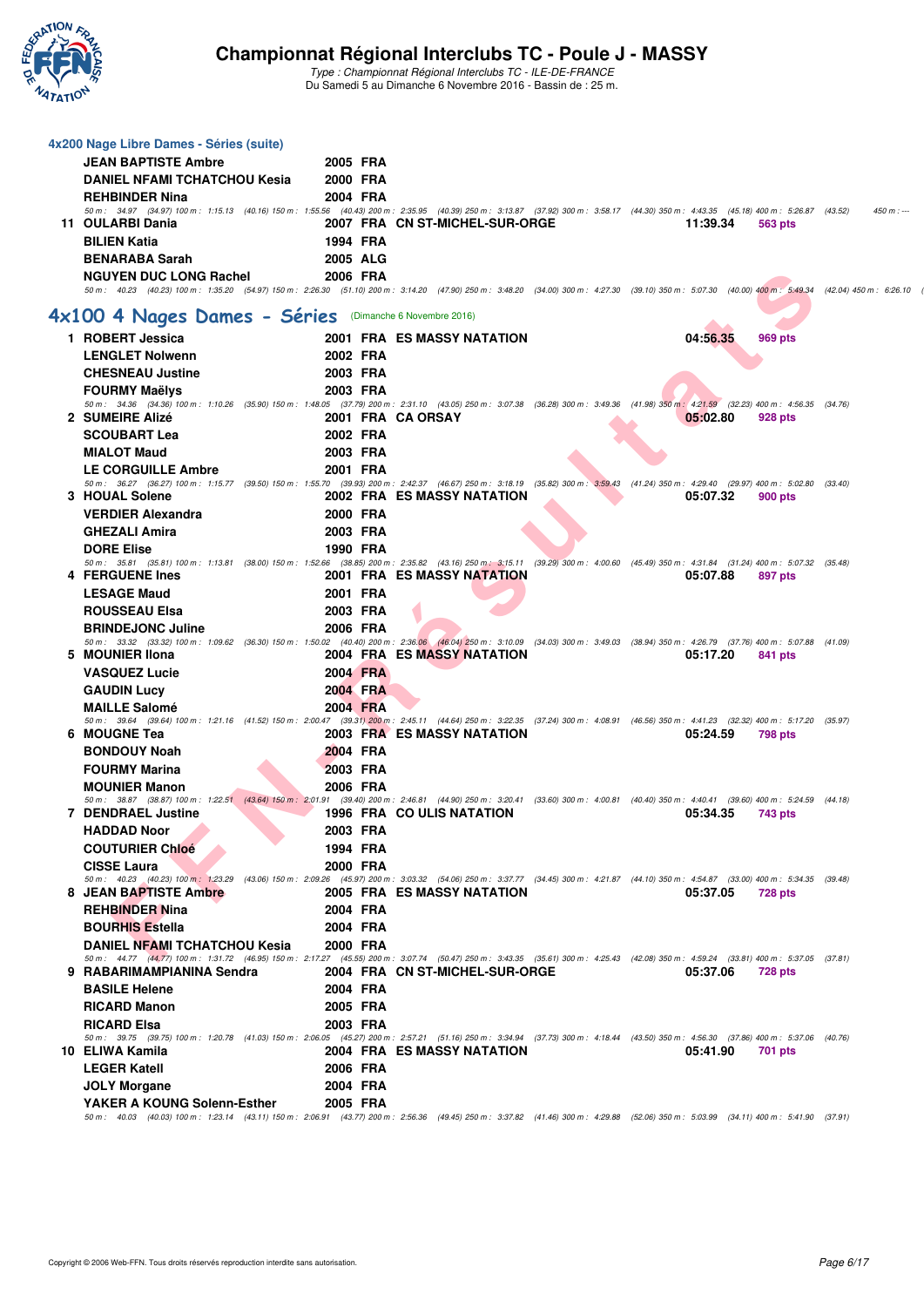

| 4x200 Nage Libre Dames - Séries (suite)                                                                                                                                                                                              |                 |                                |  |          |                |            |
|--------------------------------------------------------------------------------------------------------------------------------------------------------------------------------------------------------------------------------------|-----------------|--------------------------------|--|----------|----------------|------------|
| <b>JEAN BAPTISTE Ambre</b>                                                                                                                                                                                                           | 2005 FRA        |                                |  |          |                |            |
| <b>DANIEL NFAMI TCHATCHOU Kesia</b>                                                                                                                                                                                                  | 2000 FRA        |                                |  |          |                |            |
| <b>REHBINDER Nina</b>                                                                                                                                                                                                                | 2004 FRA        |                                |  |          |                |            |
| 50 m: 34.97 (34.97) 100 m: 1:15.13 (40.16) 150 m: 1:55.56 (40.43) 200 m: 2:35.95 (40.39) 250 m: 3:13.87 (37.92) 300 m: 3:58.17 (44.30) 350 m: 4:43.35 (45.18) 400 m: 5:26.87 (43.52)                                                 |                 |                                |  |          |                | $450 m: -$ |
| 11 OULARBI Dania                                                                                                                                                                                                                     |                 | 2007 FRA CN ST-MICHEL-SUR-ORGE |  | 11:39.34 | 563 pts        |            |
| <b>BILIEN Katia</b>                                                                                                                                                                                                                  | 1994 FRA        |                                |  |          |                |            |
| <b>BENARABA Sarah</b>                                                                                                                                                                                                                | <b>2005 ALG</b> |                                |  |          |                |            |
| <b>NGUYEN DUC LONG Rachel</b><br>50 m: 40.23 (40.23) 100 m: 1:35.20 (54.97) 150 m: 2:26.30 (51.10) 200 m: 3:14.20 (47.90) 250 m: 3:48.20 (34.00) 300 m: 4:27.30 (39.10) 350 m: 5:07.30 (40.00) 400 m: 5:49.34 (42.04) 450 m: 6:26.10 | 2006 FRA        |                                |  |          |                |            |
|                                                                                                                                                                                                                                      |                 |                                |  |          |                |            |
| 4x100 4 Nages Dames - Séries (Dimanche 6 Novembre 2016)                                                                                                                                                                              |                 |                                |  |          |                |            |
| 1 ROBERT Jessica                                                                                                                                                                                                                     |                 | 2001 FRA ES MASSY NATATION     |  | 04:56.35 | <b>969 pts</b> |            |
| <b>LENGLET Nolwenn</b>                                                                                                                                                                                                               | 2002 FRA        |                                |  |          |                |            |
| <b>CHESNEAU Justine</b>                                                                                                                                                                                                              | 2003 FRA        |                                |  |          |                |            |
| <b>FOURMY Maëlys</b>                                                                                                                                                                                                                 | 2003 FRA        |                                |  |          |                |            |
| 50 m : 34.36 (34.36) 100 m : 1:10.26 (35.90) 150 m : 1:48.05 (37.79) 200 m : 2:31.10 (43.05) 250 m : 3:07.38 (36.28) 300 m : 3:49.36 (41.98) 350 m : 4:21.59 (32.23) 400 m : 4:56.35 (34.76)                                         |                 |                                |  |          |                |            |
| 2 SUMEIRE Alizé<br><b>SCOUBART Lea</b>                                                                                                                                                                                               | 2002 FRA        | 2001 FRA CA ORSAY              |  | 05:02.80 | 928 pts        |            |
|                                                                                                                                                                                                                                      |                 |                                |  |          |                |            |
| <b>MIALOT Maud</b>                                                                                                                                                                                                                   | 2003 FRA        |                                |  |          |                |            |
| <b>LE CORGUILLE Ambre</b><br>50 m : 36.27 (36.27) 100 m : 1:15.77 (39.50) 150 m : 1:55.70 (39.93) 200 m : 2:42.37 (46.67) 250 m : 3:18.19 (35.82) 300 m : 3:59.43 (41.24) 350 m : 4:29.40 (29.97) 400 m : 5:02.80 (33.40)            | 2001 FRA        |                                |  |          |                |            |
| 3 HOUAL Solene                                                                                                                                                                                                                       |                 | 2002 FRA ES MASSY NATATION     |  | 05:07.32 | 900 pts        |            |
| <b>VERDIER Alexandra</b>                                                                                                                                                                                                             | 2000 FRA        |                                |  |          |                |            |
| <b>GHEZALI Amira</b>                                                                                                                                                                                                                 | 2003 FRA        |                                |  |          |                |            |
| <b>DORE Elise</b>                                                                                                                                                                                                                    | 1990 FRA        |                                |  |          |                |            |
| 50 m: 35.81 (35.81) 100 m: 1:13.81 (38.00) 150 m: 1:52.66 (38.85) 200 m: 2:35.82 (43.16) 250 m; 3:15.11 (39.29) 300 m: 4:00.60 (45.49) 350 m: 4:31.84 (31.24) 400 m: 5:07.32 (35.48)                                                 |                 | 2001 FRA ES MASSY NATATION     |  | 05:07.88 |                |            |
| 4 FERGUENE Ines<br><b>LESAGE Maud</b>                                                                                                                                                                                                | 2001 FRA        |                                |  |          | 897 pts        |            |
| <b>ROUSSEAU Elsa</b>                                                                                                                                                                                                                 | 2003 FRA        |                                |  |          |                |            |
| <b>BRINDEJONC Juline</b>                                                                                                                                                                                                             | 2006 FRA        |                                |  |          |                |            |
| 50 m : 33.32 (33.32) 100 m : 1:09.62 (36.30) 150 m : 1:50.02 (40.40) 200 m : 2:36.06 (46.04) 250 m : 3:10.09 (34.03) 300 m : 3:49.03 (38.94) 350 m : 4:26.79 (37.76) 400 m : 5:07.88 (41.09)                                         |                 |                                |  |          |                |            |
| 5 MOUNIER IIona                                                                                                                                                                                                                      |                 | 2004 FRA ES MASSY NATATION     |  | 05:17.20 | 841 pts        |            |
| <b>VASQUEZ Lucie</b>                                                                                                                                                                                                                 | 2004 FRA        |                                |  |          |                |            |
| <b>GAUDIN Lucy</b>                                                                                                                                                                                                                   | 2004 FRA        |                                |  |          |                |            |
| <b>MAILLE Salomé</b>                                                                                                                                                                                                                 | 2004 FRA        |                                |  |          |                |            |
| 50 m: 39.64 (39.64) 100 m: 1:21.16 (41.52) 150 m: 2:00.47 (39.31) 200 m: 2:45.11 (44.64) 250 m: 3:22.35 (37.24) 300 m: 4:08.91 (46.56) 350 m: 4:41.23 (32.32) 400 m: 5:17.20 (35.97)<br>6 MOUGNE Tea                                 |                 | 2003 FRA ES MASSY NATATION     |  | 05:24.59 |                |            |
| <b>BONDOUY Noah</b>                                                                                                                                                                                                                  | 2004 FRA        |                                |  |          | 798 pts        |            |
| <b>FOURMY Marina</b>                                                                                                                                                                                                                 | 2003 FRA        |                                |  |          |                |            |
| <b>MOUNIER Manon</b>                                                                                                                                                                                                                 | 2006 FRA        |                                |  |          |                |            |
| 50 m: 38.87 (38.87) 100 m: 1:22.51 (43.64) 150 m: 2:01.91 (39.40) 200 m: 2:46.81 (44.90) 250 m: 3:20.41 (33.60) 300 m: 4:00.81 (40.40) 350 m: 4:40.41 (39.60) 400 m: 5:24.59 (44.18)                                                 |                 |                                |  |          |                |            |
| <b>7 DENDRAEL Justine</b>                                                                                                                                                                                                            |                 | 1996 FRA COULIS NATATION       |  | 05:34.35 | 743 pts        |            |
| <b>HADDAD Noor</b>                                                                                                                                                                                                                   | 2003 FRA        |                                |  |          |                |            |
| <b>COUTURIER Chloé</b>                                                                                                                                                                                                               | 1994 FRA        |                                |  |          |                |            |
| <b>CISSE Laura</b>                                                                                                                                                                                                                   | 2000 FRA        |                                |  |          |                |            |
| 50 m: 40.23 (40.23) 100 m: 1:23.29 (43.06) 150 m: 2:09.26 (45.97) 200 m: 3:03.32 (54.06) 250 m: 3:37.77 (34.45) 300 m: 4:21.87 (44.10) 350 m: 4:54.87 (33.00) 400 m: 5:34.35 (39.48)<br><b>8 JEAN BAPTISTE Ambre</b>                 |                 | 2005 FRA ES MASSY NATATION     |  | 05:37.05 | <b>728 pts</b> |            |
| <b>REHBINDER Nina</b>                                                                                                                                                                                                                | 2004 FRA        |                                |  |          |                |            |
| <b>BOURHIS Estella</b>                                                                                                                                                                                                               | 2004 FRA        |                                |  |          |                |            |
| <b>DANIEL NFAMI TCHATCHOU Kesia</b>                                                                                                                                                                                                  | 2000 FRA        |                                |  |          |                |            |
| 50 m: 44.77 (44.77) 100 m: 1:31.72 (46.95) 150 m: 2:17.27 (45.55) 200 m: 3:07.74 (50.47) 250 m: 3:43.35 (35.61) 300 m: 4:25.43 (42.08) 350 m: 4:59.24 (33.81) 400 m: 5:37.05 (37.81)                                                 |                 |                                |  |          |                |            |
| 9 RABARIMAMPIANINA Sendra                                                                                                                                                                                                            |                 | 2004 FRA CN ST-MICHEL-SUR-ORGE |  | 05:37.06 | <b>728 pts</b> |            |
| <b>BASILE Helene</b>                                                                                                                                                                                                                 | 2004 FRA        |                                |  |          |                |            |
| <b>RICARD Manon</b>                                                                                                                                                                                                                  | 2005 FRA        |                                |  |          |                |            |
| <b>RICARD Elsa</b>                                                                                                                                                                                                                   | 2003 FRA        |                                |  |          |                |            |
| 50 m: 39.75 (39.75) 100 m: 1:20.78 (41.03) 150 m: 2:06.05 (45.27) 200 m: 2:57.21 (51.16) 250 m: 3:34.94 (37.73) 300 m: 4:18.44 (43.50) 350 m: 4:56.30 (37.86) 400 m: 5:37.06 (40.76)<br>10 ELIWA Kamila                              |                 | 2004 FRA ES MASSY NATATION     |  | 05:41.90 | 701 pts        |            |
| <b>LEGER Katell</b>                                                                                                                                                                                                                  | 2006 FRA        |                                |  |          |                |            |
| <b>JOLY Morgane</b>                                                                                                                                                                                                                  | 2004 FRA        |                                |  |          |                |            |
| YAKER A KOUNG Solenn-Esther                                                                                                                                                                                                          | 2005 FRA        |                                |  |          |                |            |
| 50 m : 40.03 (40.03) 100 m : 1:23.14 (43.11) 150 m : 2:06.91 (43.77) 200 m : 2:56.36 (49.45) 250 m : 3:37.82 (41.46) 300 m : 4:29.88 (52.06) 350 m : 5:03.99 (34.11) 400 m : 5:41.90 (37.91)                                         |                 |                                |  |          |                |            |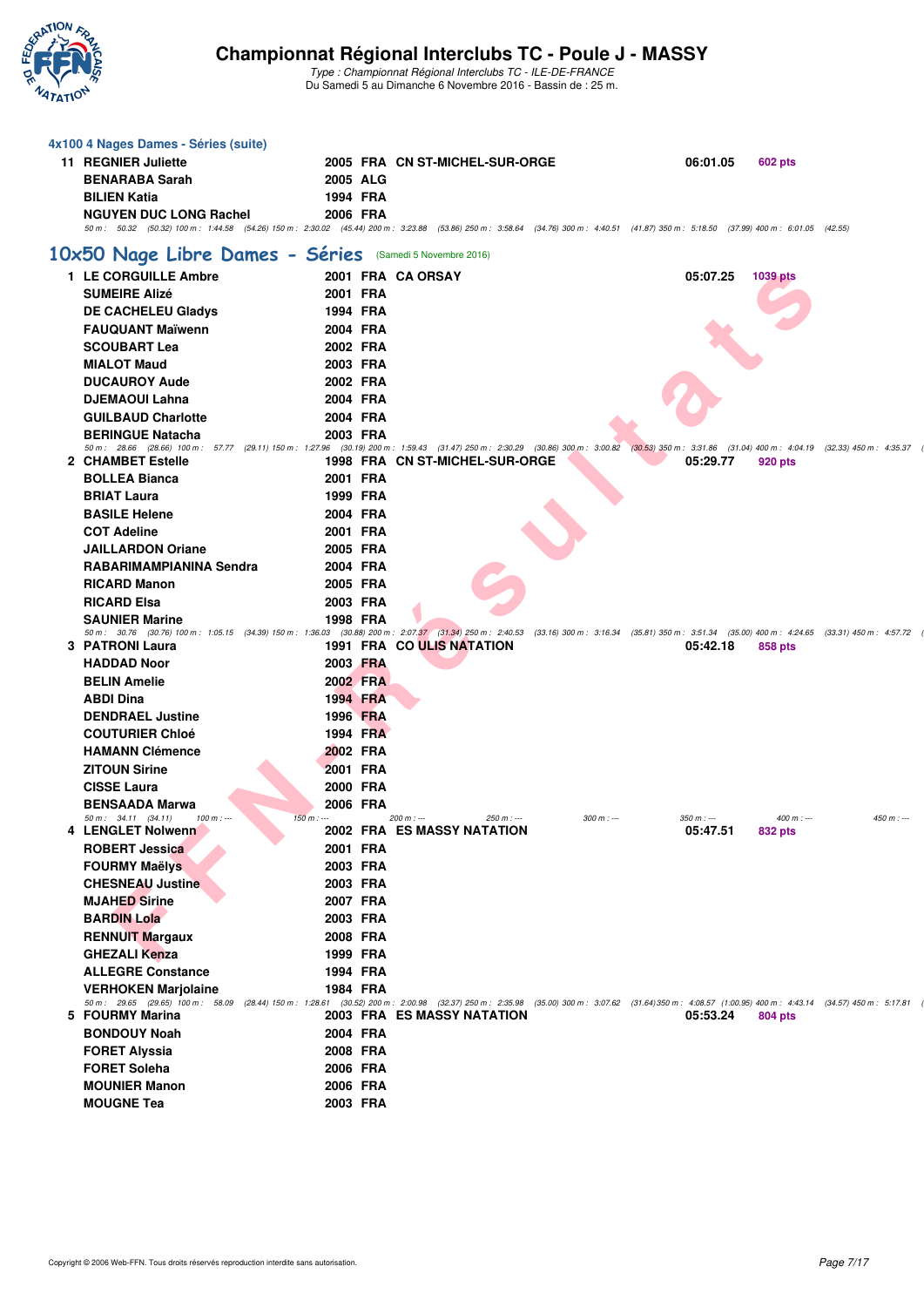

| 4x100 4 Nages Dames - Séries (suite)                                     |                      |                                                                                                                                                                                                                                          |                         |                                         |  |
|--------------------------------------------------------------------------|----------------------|------------------------------------------------------------------------------------------------------------------------------------------------------------------------------------------------------------------------------------------|-------------------------|-----------------------------------------|--|
| 11 REGNIER Juliette                                                      |                      | 2005 FRA CN ST-MICHEL-SUR-ORGE                                                                                                                                                                                                           | 06:01.05                | <b>602 pts</b>                          |  |
| <b>BENARABA Sarah</b>                                                    | 2005 ALG             |                                                                                                                                                                                                                                          |                         |                                         |  |
| <b>BILIEN Katia</b>                                                      | 1994 FRA             |                                                                                                                                                                                                                                          |                         |                                         |  |
| <b>NGUYEN DUC LONG Rachel</b>                                            | 2006 FRA             |                                                                                                                                                                                                                                          |                         |                                         |  |
|                                                                          |                      | 50 m: 50.32 (50.32) 100 m: 1:44.58 (54.26) 150 m: 2:30.02 (45.44) 200 m: 3:23.88 (53.86) 250 m: 3:58.64 (34.76) 300 m: 4:40.51 (41.87) 350 m: 5:18.50 (37.99) 400 m: 6:01.05 (42.55)                                                     |                         |                                         |  |
| 10x50 Nage Libre Dames - Séries                                          |                      | (Samedi 5 Novembre 2016)                                                                                                                                                                                                                 |                         |                                         |  |
| 1 LE CORGUILLE Ambre                                                     |                      | 2001 FRA CA ORSAY                                                                                                                                                                                                                        | 05:07.25                | 1039 pts                                |  |
| <b>SUMEIRE Alizé</b>                                                     | 2001 FRA             |                                                                                                                                                                                                                                          |                         |                                         |  |
| <b>DE CACHELEU Gladys</b>                                                | 1994 FRA             |                                                                                                                                                                                                                                          |                         |                                         |  |
| <b>FAUQUANT Maïwenn</b>                                                  | 2004 FRA             |                                                                                                                                                                                                                                          |                         |                                         |  |
| <b>SCOUBART Lea</b>                                                      | 2002 FRA             |                                                                                                                                                                                                                                          |                         |                                         |  |
| <b>MIALOT Maud</b>                                                       | 2003 FRA             |                                                                                                                                                                                                                                          |                         |                                         |  |
| <b>DUCAUROY Aude</b>                                                     | 2002 FRA             |                                                                                                                                                                                                                                          |                         |                                         |  |
| <b>DJEMAOUI Lahna</b>                                                    | 2004 FRA             |                                                                                                                                                                                                                                          |                         |                                         |  |
| <b>GUILBAUD Charlotte</b>                                                | 2004 FRA             |                                                                                                                                                                                                                                          |                         |                                         |  |
| <b>BERINGUE Natacha</b>                                                  | 2003 FRA             |                                                                                                                                                                                                                                          |                         |                                         |  |
|                                                                          |                      | 50 m: 28.66 (28.66) 100 m: 57.77 (29.11) 150 m: 1:27.96 (30.19) 200 m: 1:59.43 (31.47) 250 m: 2:30.29 (30.86) 300 m: 3:00.82 (30.53) 350 m: 3:31.86 (31.04) 400 m: 4:04.19 (32.33) 450 m: 4:35.37                                        |                         |                                         |  |
| 2 CHAMBET Estelle<br><b>BOLLEA Bianca</b>                                | 2001 FRA             | 1998 FRA CN ST-MICHEL-SUR-ORGE                                                                                                                                                                                                           | 05:29.77                | 920 pts                                 |  |
|                                                                          |                      |                                                                                                                                                                                                                                          |                         |                                         |  |
| <b>BRIAT Laura</b><br><b>BASILE Helene</b>                               | 1999 FRA<br>2004 FRA |                                                                                                                                                                                                                                          |                         |                                         |  |
| <b>COT Adeline</b>                                                       | 2001 FRA             |                                                                                                                                                                                                                                          |                         |                                         |  |
| <b>JAILLARDON Oriane</b>                                                 | 2005 FRA             |                                                                                                                                                                                                                                          |                         |                                         |  |
| RABARIMAMPIANINA Sendra                                                  | 2004 FRA             |                                                                                                                                                                                                                                          |                         |                                         |  |
| <b>RICARD Manon</b>                                                      | 2005 FRA             |                                                                                                                                                                                                                                          |                         |                                         |  |
| <b>RICARD Elsa</b>                                                       | 2003 FRA             |                                                                                                                                                                                                                                          |                         |                                         |  |
| <b>SAUNIER Marine</b>                                                    | 1998 FRA             |                                                                                                                                                                                                                                          |                         |                                         |  |
|                                                                          |                      | 50 m: 30.76 (30.76) 100 m: 1:05.15 (34.39) 150 m: 1:36.03 (30.88) 200 m: 2:07.37 (31.34) 250 m: 2:40.53 (33.16) 300 m: 3:16.34 (35.81) 350 m: 3:51.34 (35.00) 400 m: 4:24.65 (33.31) 450 m: 4:57.72                                      |                         |                                         |  |
| 3 PATRONI Laura                                                          |                      | 1991 FRA CO ULIS NATATION                                                                                                                                                                                                                | 05:42.18                | 858 pts                                 |  |
| <b>HADDAD Noor</b>                                                       | 2003 FRA             |                                                                                                                                                                                                                                          |                         |                                         |  |
| <b>BELIN Amelie</b>                                                      | 2002 FRA             |                                                                                                                                                                                                                                          |                         |                                         |  |
| <b>ABDI Dina</b>                                                         | 1994 FRA             |                                                                                                                                                                                                                                          |                         |                                         |  |
| <b>DENDRAEL Justine</b>                                                  | 1996 FRA             |                                                                                                                                                                                                                                          |                         |                                         |  |
| <b>COUTURIER Chloé</b>                                                   | 1994 FRA             |                                                                                                                                                                                                                                          |                         |                                         |  |
| <b>HAMANN Clémence</b>                                                   | 2002 FRA             |                                                                                                                                                                                                                                          |                         |                                         |  |
| <b>ZITOUN Sirine</b>                                                     | 2001 FRA             |                                                                                                                                                                                                                                          |                         |                                         |  |
| <b>CISSE Laura</b>                                                       | 2000 FRA             |                                                                                                                                                                                                                                          |                         |                                         |  |
| <b>BENSAADA Marwa</b>                                                    | 2006 FRA             |                                                                                                                                                                                                                                          |                         |                                         |  |
| $100 m$ : ---<br>$50 \text{ m}$ : $34.11$ $(34.11)$<br>4 LENGLET Nolwenn | $150 m: -$           | $300 m: -$<br>200 m : ---<br>250 m : ---<br>2002 FRA ES MASSY NATATION                                                                                                                                                                   | $350 m : -$<br>05:47.51 | $450 m : -$<br>$400 m$ : ---<br>832 pts |  |
| <b>ROBERT Jessica</b>                                                    | 2001 FRA             |                                                                                                                                                                                                                                          |                         |                                         |  |
| <b>FOURMY Maëlys</b>                                                     | 2003 FRA             |                                                                                                                                                                                                                                          |                         |                                         |  |
| <b>CHESNEAU Justine</b>                                                  | 2003 FRA             |                                                                                                                                                                                                                                          |                         |                                         |  |
| <b>MJAHED Sirine</b>                                                     | 2007 FRA             |                                                                                                                                                                                                                                          |                         |                                         |  |
| <b>BARDIN Lola</b>                                                       | 2003 FRA             |                                                                                                                                                                                                                                          |                         |                                         |  |
| <b>RENNUIT Margaux</b>                                                   | 2008 FRA             |                                                                                                                                                                                                                                          |                         |                                         |  |
| <b>GHEZALI Kenza</b>                                                     | 1999 FRA             |                                                                                                                                                                                                                                          |                         |                                         |  |
| <b>ALLEGRE Constance</b>                                                 | 1994 FRA             |                                                                                                                                                                                                                                          |                         |                                         |  |
| <b>VERHOKEN Marjolaine</b>                                               | 1984 FRA             |                                                                                                                                                                                                                                          |                         |                                         |  |
| 5 FOURMY Marina                                                          |                      | 50 m: 29.65 (29.65) 100 m: 58.09 (28.44) 150 m: 1:28.61 (30.52) 200 m: 2:00.98 (32.37) 250 m: 2:35.98 (35.00) 300 m: 3:07.62 (31.64) 350 m: 4:08.57 (1:00.95) 400 m: 4:43.14 (34.57) 450 m: 5:17.81<br><b>2003 FRA ES MASSY NATATION</b> |                         |                                         |  |
| <b>BONDOUY Noah</b>                                                      | 2004 FRA             |                                                                                                                                                                                                                                          | 05:53.24                | <b>804 pts</b>                          |  |
|                                                                          |                      |                                                                                                                                                                                                                                          |                         |                                         |  |
| <b>FORET Alyssia</b><br><b>FORET Soleha</b>                              | 2008 FRA<br>2006 FRA |                                                                                                                                                                                                                                          |                         |                                         |  |
| <b>MOUNIER Manon</b>                                                     | 2006 FRA             |                                                                                                                                                                                                                                          |                         |                                         |  |
| <b>MOUGNE Tea</b>                                                        | 2003 FRA             |                                                                                                                                                                                                                                          |                         |                                         |  |
|                                                                          |                      |                                                                                                                                                                                                                                          |                         |                                         |  |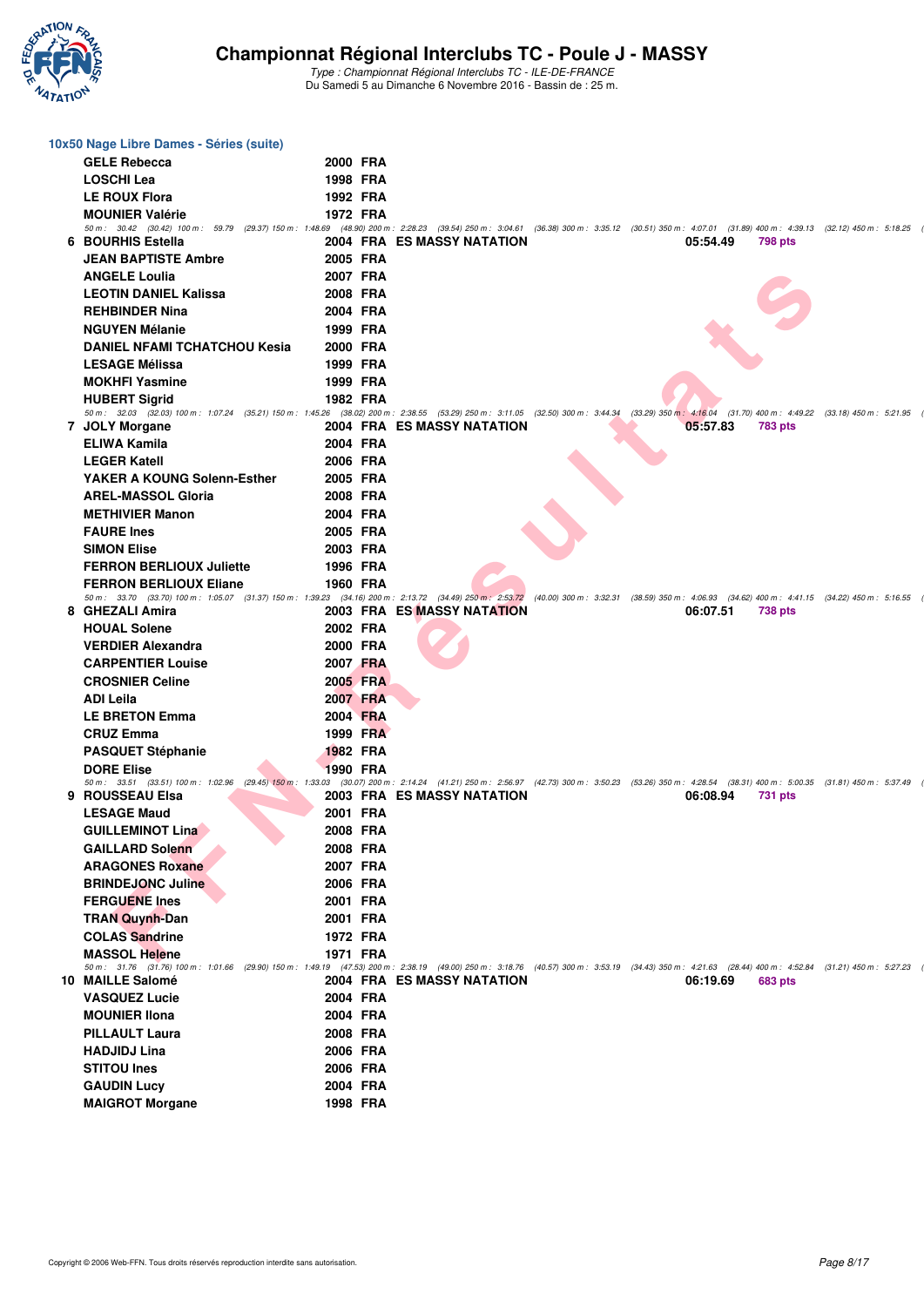

| 10x50 Nage Libre Dames - Séries (suite)                                                                                                                                                                                     |                 |                                                                                                                                                                         |  |          |                                             |                           |  |
|-----------------------------------------------------------------------------------------------------------------------------------------------------------------------------------------------------------------------------|-----------------|-------------------------------------------------------------------------------------------------------------------------------------------------------------------------|--|----------|---------------------------------------------|---------------------------|--|
| <b>GELE Rebecca</b>                                                                                                                                                                                                         | 2000 FRA        |                                                                                                                                                                         |  |          |                                             |                           |  |
| <b>LOSCHI Lea</b>                                                                                                                                                                                                           | 1998 FRA        |                                                                                                                                                                         |  |          |                                             |                           |  |
| <b>LE ROUX Flora</b>                                                                                                                                                                                                        | 1992 FRA        |                                                                                                                                                                         |  |          |                                             |                           |  |
| <b>MOUNIER Valérie</b>                                                                                                                                                                                                      | 1972 FRA        |                                                                                                                                                                         |  |          |                                             |                           |  |
| 50 m: 30.42 (30.42) 100 m: 59.79 (29.37) 150 m: 1:48.69 (48.90) 200 m: 2:28.23 (39.54) 250 m: 3:04.61 (36.38) 300 m: 3:35.12 (30.51) 350 m: 4:07.01 (31.89) 400 m: 4:39.13 (32.12) 450 m: 5:18.25                           |                 |                                                                                                                                                                         |  |          |                                             |                           |  |
| 6 BOURHIS Estella                                                                                                                                                                                                           |                 | 2004 FRA ES MASSY NATATION                                                                                                                                              |  | 05:54.49 | <b>798 pts</b>                              |                           |  |
| <b>JEAN BAPTISTE Ambre</b>                                                                                                                                                                                                  | 2005 FRA        |                                                                                                                                                                         |  |          |                                             |                           |  |
| <b>ANGELE Loulia</b>                                                                                                                                                                                                        | 2007 FRA        |                                                                                                                                                                         |  |          |                                             |                           |  |
| <b>LEOTIN DANIEL Kalissa</b>                                                                                                                                                                                                | 2008 FRA        |                                                                                                                                                                         |  |          |                                             |                           |  |
| <b>REHBINDER Nina</b>                                                                                                                                                                                                       | 2004 FRA        |                                                                                                                                                                         |  |          |                                             |                           |  |
| <b>NGUYEN Mélanie</b>                                                                                                                                                                                                       | 1999 FRA        |                                                                                                                                                                         |  |          |                                             |                           |  |
| <b>DANIEL NFAMI TCHATCHOU Kesia</b>                                                                                                                                                                                         | 2000 FRA        |                                                                                                                                                                         |  |          |                                             |                           |  |
| <b>LESAGE Mélissa</b>                                                                                                                                                                                                       | 1999 FRA        |                                                                                                                                                                         |  |          |                                             |                           |  |
| <b>MOKHFI Yasmine</b>                                                                                                                                                                                                       | 1999 FRA        |                                                                                                                                                                         |  |          |                                             |                           |  |
| <b>HUBERT Sigrid</b>                                                                                                                                                                                                        | 1982 FRA        |                                                                                                                                                                         |  |          |                                             |                           |  |
| 50 m: 32.03 (32.03) 100 m: 1:07.24 (35.21) 150 m: 1:45.26 (38.02) 200 m: 2:38.55 (53.29) 250 m: 3:11.05 (32.50) 300 m: 3:44.34 (33.29) 350 m: 4:16.04<br>7 JOLY Morgane                                                     |                 | 2004 FRA ES MASSY NATATION                                                                                                                                              |  | 05:57.83 | $(31.70)$ 400 m : 4:49.22<br><b>783 pts</b> | $(33.18)$ 450 m : 5:21.95 |  |
| ELIWA Kamila                                                                                                                                                                                                                | 2004 FRA        |                                                                                                                                                                         |  |          |                                             |                           |  |
| <b>LEGER Katell</b>                                                                                                                                                                                                         | 2006 FRA        |                                                                                                                                                                         |  |          |                                             |                           |  |
| YAKER A KOUNG Solenn-Esther                                                                                                                                                                                                 | 2005 FRA        |                                                                                                                                                                         |  |          |                                             |                           |  |
| <b>AREL-MASSOL Gloria</b>                                                                                                                                                                                                   | 2008 FRA        |                                                                                                                                                                         |  |          |                                             |                           |  |
| <b>METHIVIER Manon</b>                                                                                                                                                                                                      | 2004 FRA        |                                                                                                                                                                         |  |          |                                             |                           |  |
| <b>FAURE Ines</b>                                                                                                                                                                                                           | 2005 FRA        |                                                                                                                                                                         |  |          |                                             |                           |  |
| <b>SIMON Elise</b>                                                                                                                                                                                                          | 2003 FRA        |                                                                                                                                                                         |  |          |                                             |                           |  |
| <b>FERRON BERLIOUX Juliette</b>                                                                                                                                                                                             | 1996 FRA        |                                                                                                                                                                         |  |          |                                             |                           |  |
| <b>FERRON BERLIOUX Eliane</b>                                                                                                                                                                                               | <b>1960 FRA</b> |                                                                                                                                                                         |  |          |                                             |                           |  |
| 50 m: 33.70 (33.70) 100 m: 1:05.07 (31.37) 150 m: 1:39.23 (34.16) 200 m: 2:13.72 (34.49) 250 m: 2:53.72 (40.00) 300 m: 3:32.31 (38.59) 350 m: 4:06.93 (34.62) 400 m: 4:41.15 (34.22) 450 m: 5:16.55                         |                 |                                                                                                                                                                         |  |          |                                             |                           |  |
| 8 GHEZALI Amira                                                                                                                                                                                                             |                 | 2003 FRA ES MASSY NATATION                                                                                                                                              |  | 06:07.51 | <b>738 pts</b>                              |                           |  |
| <b>HOUAL Solene</b>                                                                                                                                                                                                         | 2002 FRA        |                                                                                                                                                                         |  |          |                                             |                           |  |
| <b>VERDIER Alexandra</b>                                                                                                                                                                                                    | 2000 FRA        |                                                                                                                                                                         |  |          |                                             |                           |  |
| <b>CARPENTIER Louise</b>                                                                                                                                                                                                    | 2007 FRA        |                                                                                                                                                                         |  |          |                                             |                           |  |
| <b>CROSNIER Celine</b>                                                                                                                                                                                                      | 2005 FRA        |                                                                                                                                                                         |  |          |                                             |                           |  |
| <b>ADI Leila</b>                                                                                                                                                                                                            | 2007 FRA        |                                                                                                                                                                         |  |          |                                             |                           |  |
| <b>LE BRETON Emma</b>                                                                                                                                                                                                       | 2004 FRA        |                                                                                                                                                                         |  |          |                                             |                           |  |
| <b>CRUZ Emma</b>                                                                                                                                                                                                            | 1999 FRA        |                                                                                                                                                                         |  |          |                                             |                           |  |
| <b>PASQUET Stéphanie</b>                                                                                                                                                                                                    | <b>1982 FRA</b> |                                                                                                                                                                         |  |          |                                             |                           |  |
| <b>DORE Elise</b>                                                                                                                                                                                                           | <b>1990 FRA</b> |                                                                                                                                                                         |  |          |                                             |                           |  |
| 50 m: 33.51 (33.51) 100 m: 1:02.96                                                                                                                                                                                          |                 | (29.45) 150 m : 1:33.03 (30.07) 200 m : 2:14.24 (41.21) 250 m : 2:56.97 (42.73) 300 m : 3:50.23 (53.26) 350 m : 4:28.54 (38.31) 400 m : 5:00.35 (31.81) 450 m : 5:37.49 |  |          |                                             |                           |  |
| 9 ROUSSEAU Elsa                                                                                                                                                                                                             |                 | <b>2003 FRA ES MASSY NATATION</b>                                                                                                                                       |  | 06:08.94 | 731 pts                                     |                           |  |
| <b>LESAGE Maud</b>                                                                                                                                                                                                          | 2001 FRA        |                                                                                                                                                                         |  |          |                                             |                           |  |
| <b>GUILLEMINOT Lina</b>                                                                                                                                                                                                     | 2008 FRA        |                                                                                                                                                                         |  |          |                                             |                           |  |
| <b>GAILLARD Solenn</b>                                                                                                                                                                                                      | 2008 FRA        |                                                                                                                                                                         |  |          |                                             |                           |  |
| <b>ARAGONES Roxane</b>                                                                                                                                                                                                      | 2007 FRA        |                                                                                                                                                                         |  |          |                                             |                           |  |
| <b>BRINDEJONC Juline</b>                                                                                                                                                                                                    | 2006 FRA        |                                                                                                                                                                         |  |          |                                             |                           |  |
| <b>FERGUENE Ines</b>                                                                                                                                                                                                        | 2001 FRA        |                                                                                                                                                                         |  |          |                                             |                           |  |
| <b>TRAN Quynh-Dan</b>                                                                                                                                                                                                       | 2001 FRA        |                                                                                                                                                                         |  |          |                                             |                           |  |
| <b>COLAS Sandrine</b>                                                                                                                                                                                                       | 1972 FRA        |                                                                                                                                                                         |  |          |                                             |                           |  |
| <b>MASSOL Helene</b><br>50 m: 31.76 (31.76) 100 m: 1:01.66 (29.90) 150 m: 1:49.19 (47.53) 200 m: 2:38.19 (49.00) 250 m: 3:18.76 (40.57) 300 m: 3:53.19 (34.43) 350 m: 4:21.63 (28.44) 400 m: 4:52.84 (31.21) 450 m: 5:27.23 | 1971 FRA        |                                                                                                                                                                         |  |          |                                             |                           |  |
| 10 MAILLE Salomé                                                                                                                                                                                                            |                 | 2004 FRA ES MASSY NATATION                                                                                                                                              |  | 06:19.69 | <b>683 pts</b>                              |                           |  |
| <b>VASQUEZ Lucie</b>                                                                                                                                                                                                        | 2004 FRA        |                                                                                                                                                                         |  |          |                                             |                           |  |
| <b>MOUNIER IIona</b>                                                                                                                                                                                                        | 2004 FRA        |                                                                                                                                                                         |  |          |                                             |                           |  |
| <b>PILLAULT Laura</b>                                                                                                                                                                                                       | 2008 FRA        |                                                                                                                                                                         |  |          |                                             |                           |  |
| <b>HADJIDJ Lina</b>                                                                                                                                                                                                         | 2006 FRA        |                                                                                                                                                                         |  |          |                                             |                           |  |
| <b>STITOU Ines</b>                                                                                                                                                                                                          | 2006 FRA        |                                                                                                                                                                         |  |          |                                             |                           |  |
| <b>GAUDIN Lucy</b>                                                                                                                                                                                                          | 2004 FRA        |                                                                                                                                                                         |  |          |                                             |                           |  |
| <b>MAIGROT Morgane</b>                                                                                                                                                                                                      | 1998 FRA        |                                                                                                                                                                         |  |          |                                             |                           |  |
|                                                                                                                                                                                                                             |                 |                                                                                                                                                                         |  |          |                                             |                           |  |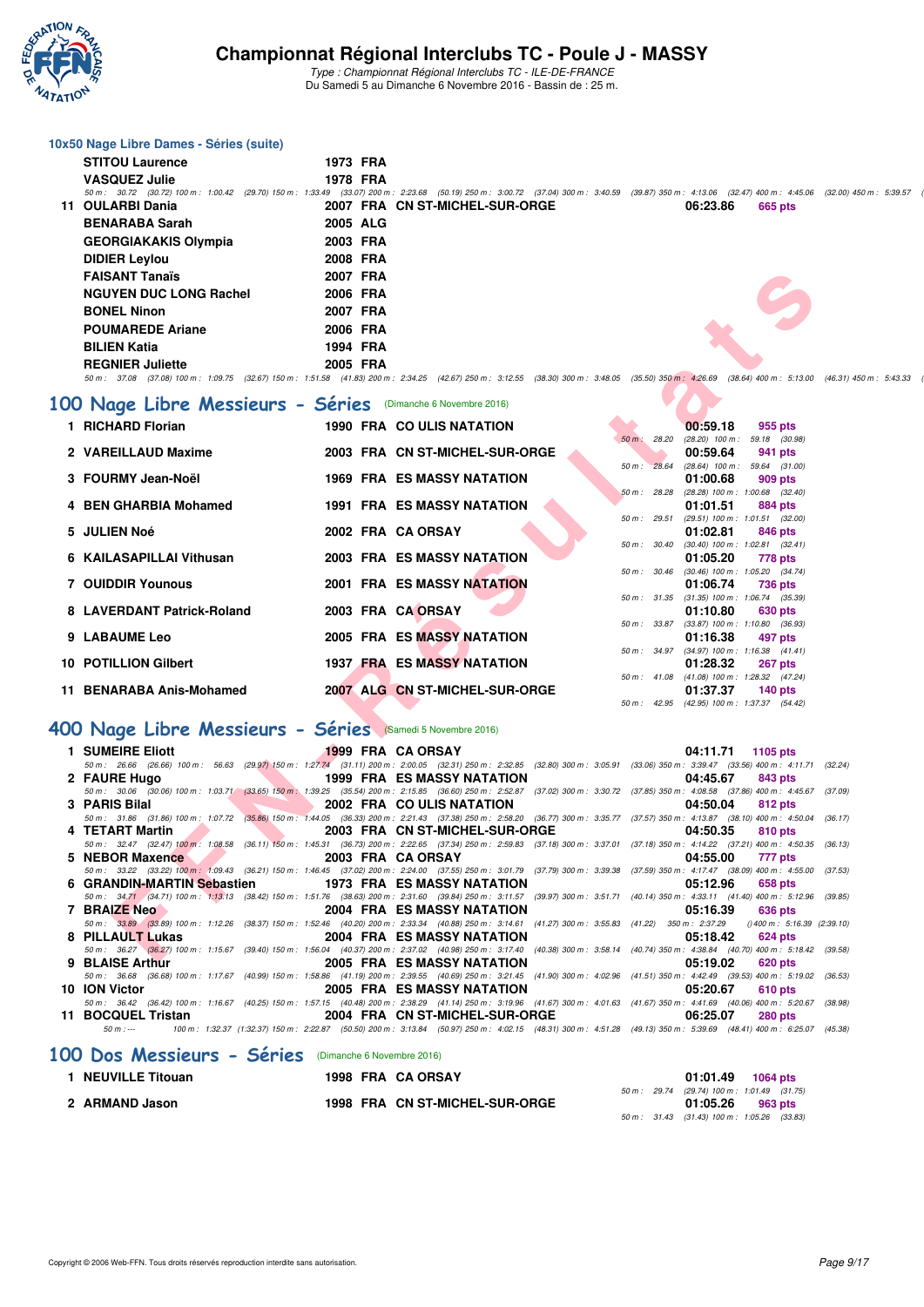

Type : Championnat Régional Interclubs TC - ILE-DE-FRANCE Du Samedi 5 au Dimanche 6 Novembre 2016 - Bassin de : 25 m.

#### **10x50 Nage Libre Dames - Séries (suite) STITOU Laurence 1973 FRA VASQUEZ Julie 1978 FRA** 50 m : 30.72 (30.72) 100 m : 1:00.42 (29.70) 150 m : 1:33.49 (33.07) 200 m : 2:23.68 (50.19) 250 m : 3:00.72 (37.04) 300 m : 3:40.59 (39.87) 350 m : 4:13.06 (32.47) 400 m : 4:45.06 (32.00) 450 m : 5:39.57 (50 m : 5:39.57 ( **12007 FRA CN ST-MICHEL-SUR-ORGE 06:23.86 BENARABA Sarah 2005 ALG GEORGIAKAKIS Olympia 2003 FRA DIDIER Leylou 2008 FRA FAISANT Tanaïs 2007 FRA NGUYEN DUC LONG Rachel 2006 FRA BONEL Ninon 2007 FRA POUMAREDE Ariane 2006 FRA BILIEN Katia 1994 FRA REGNIER Juliette 2005 FRA**

#### $50\,m:\quad 37.08\quad(37.08)\ 100\,m:\quad 1.09.75\quad(32.67)\ 150\,m:\quad 1.51.58\quad(41.83)\ 200\,m:\quad 2.34.25\quad(42.57)\ 250\,m:\quad 3.12.55\quad(38.30)\ 300\,m:\quad 3.48.05\quad(35.50)\ 350\,m:\quad 4.26.69\quad(38.64)\ 400\,m:\quad 5:13.00\quad(46.31)\ 450\,m:\quad 5.43.3$

#### **[100 Nage Libre Messieurs - Séries](http://www.ffnatation.fr/webffn/resultats.php?idact=nat&go=epr&idcpt=42139&idepr=52)** (Dimanche 6 Novembre 2016)

| <b>FAISANT Tanaïs</b>                                                                                                                                                                               | 2007 FRA          |                                              |                |                                                        |                                    |
|-----------------------------------------------------------------------------------------------------------------------------------------------------------------------------------------------------|-------------------|----------------------------------------------|----------------|--------------------------------------------------------|------------------------------------|
| <b>NGUYEN DUC LONG Rachel</b>                                                                                                                                                                       | 2006 FRA          |                                              |                |                                                        |                                    |
| <b>BONEL Ninon</b>                                                                                                                                                                                  | 2007 FRA          |                                              |                |                                                        |                                    |
| <b>POUMAREDE Ariane</b>                                                                                                                                                                             | 2006 FRA          |                                              |                |                                                        |                                    |
|                                                                                                                                                                                                     |                   |                                              |                |                                                        |                                    |
| <b>BILIEN Katia</b>                                                                                                                                                                                 | 1994 FRA          |                                              |                |                                                        |                                    |
| <b>REGNIER Juliette</b>                                                                                                                                                                             | 2005 FRA          |                                              |                |                                                        |                                    |
| 50 m : 37.08 (37.08) 100 m : 1:09.75 (32.67) 150 m : 1:51.58 (41.83) 200 m : 2:34.25 (42.67) 250 m : 3:12.55 (38.30) 300 m : 3:48.05 (35.50) 350 m : 4:26.69 (38.64) 400 m : 5:13.00 (4             |                   |                                              |                |                                                        |                                    |
| 00 Nage Libre Messieurs - Séries (Dimanche 6 Novembre 2016)                                                                                                                                         |                   |                                              |                |                                                        |                                    |
| 1 RICHARD Florian                                                                                                                                                                                   |                   | 1990 FRA COULIS NATATION                     |                | 00:59.18                                               | 955 pts                            |
|                                                                                                                                                                                                     |                   |                                              | 50 m: 28.20    | $(28.20)$ 100 m : 59.18 $(30.98)$                      |                                    |
| 2 VAREILLAUD Maxime                                                                                                                                                                                 |                   | 2003 FRA CN ST-MICHEL-SUR-ORGE               | 50 m: 28.64    | 00:59.64<br>$(28.64)$ 100 m : 59.64 $(31.00)$          | 941 pts                            |
| 3 FOURMY Jean-Noël                                                                                                                                                                                  |                   | <b>1969 FRA ES MASSY NATATION</b>            |                | 01:00.68                                               | 909 pts                            |
|                                                                                                                                                                                                     |                   |                                              | 50 m : 28.28   | $(28.28)$ 100 m : 1:00.68 $(32.40)$                    |                                    |
| 4 BEN GHARBIA Mohamed                                                                                                                                                                               |                   | <b>1991 FRA ES MASSY NATATION</b>            |                | 01:01.51                                               | 884 pts                            |
|                                                                                                                                                                                                     |                   |                                              | $50 m$ : 29.51 | $(29.51)$ 100 m : 1:01.51 $(32.00)$                    |                                    |
| 5 JULIEN Noé                                                                                                                                                                                        | 2002 FRA CA ORSAY |                                              |                | 01:02.81                                               | 846 pts                            |
| 6 KAILASAPILLAI Vithusan                                                                                                                                                                            |                   | 2003 FRA ES MASSY NATATION                   | 50 m : 30.40   | $(30.40)$ 100 m : 1:02.81 $(32.41)$<br>01:05.20        | 778 pts                            |
|                                                                                                                                                                                                     |                   |                                              |                | 50 m: 30.46 (30.46) 100 m: 1:05.20 (34.74)             |                                    |
| <b>7 OUIDDIR Younous</b>                                                                                                                                                                            |                   | <b>2001 FRA ES MASSY NATATION</b>            |                | 01:06.74                                               | 736 pts                            |
|                                                                                                                                                                                                     |                   |                                              |                | 50 m: 31.35 (31.35) 100 m: 1:06.74 (35.39)             |                                    |
| 8 LAVERDANT Patrick-Roland                                                                                                                                                                          | 2003 FRA CA ORSAY |                                              |                | 01:10.80                                               | 630 pts                            |
| 9 LABAUME Leo                                                                                                                                                                                       |                   | <b>2005 FRA ES MASSY NATATION</b>            |                | 50 m: 33.87 (33.87) 100 m: 1:10.80 (36.93)<br>01:16.38 | 497 pts                            |
|                                                                                                                                                                                                     |                   |                                              |                | 50 m: 34.97 (34.97) 100 m: 1:16.38 (41.41)             |                                    |
| <b>10 POTILLION Gilbert</b>                                                                                                                                                                         |                   | 1937 FRA ES MASSY NATATION                   |                | 01:28.32                                               | 267 pts                            |
|                                                                                                                                                                                                     |                   |                                              |                | 50 m: 41.08 (41.08) 100 m: 1:28.32 (47.24)             |                                    |
| 11 BENARABA Anis-Mohamed                                                                                                                                                                            |                   | 2007 ALG CN ST-MICHEL-SUR-ORGE               |                | 01:37.37                                               | 140 $pts$                          |
|                                                                                                                                                                                                     |                   |                                              |                | 50 m: 42.95 (42.95) 100 m: 1:37.37 (54.42)             |                                    |
| 00 Nage Libre Messieurs - Séries (Samedi 5 Novembre 2016)                                                                                                                                           |                   |                                              |                |                                                        |                                    |
| <b>1 SUMEIRE Eliott</b>                                                                                                                                                                             | 1999 FRA CA ORSAY |                                              |                | 04:11.71<br>1105 pts                                   |                                    |
| 50 m: 26.66 (26.66) 100 m: 56.63 (29.97) 150 m: 1:27.74 (31.11) 200 m: 2:00.05 (32.31) 250 m: 2:32.85 (32.80) 300 m: 3:05.91 (33.06) 350 m: 3:39.47 (33.56) 400 m: 4:11.71 (3                       |                   |                                              |                |                                                        |                                    |
| 2 FAURE Hugo<br>50 m: 30.06 (30.06) 100 m: 1:03.71 (33.65) 150 m: 1:39.25 (35.54) 200 m: 2:15.85 (36.60) 250 m: 2:52.87 (37.02) 300 m: 3:30.72 (37.85) 350 m: 4:08.58 (37.86) 400 m: 4:45.67 (3     |                   | 1999 FRA ES MASSY NATATION                   |                | 04:45.67                                               | 843 pts                            |
| 3 PARIS Bilal                                                                                                                                                                                       |                   | 2002 FRA COULIS NATATION                     |                | 04:50.04                                               | 812 pts                            |
| 50 m: 31.86 (31.86) 100 m: 1:07.72 (35.86) 150 m: 1:44.05 (36.33) 200 m: 2:21.43 (37.38) 250 m: 2:58.20 (36.77) 300 m: 3:35.77 (37.57) 350 m: 4:13.87 (38.10) 400 m: 4:50.04 (31                    |                   |                                              |                |                                                        |                                    |
| 4 TETART Martin                                                                                                                                                                                     |                   | 2003 FRA CN ST-MICHEL-SUR-ORGE               |                | 04:50.35                                               | 810 pts                            |
| 50 m: 32.47 (32.47) 100 m: 1:08.58 (36.11) 150 m: 1:45.31 (36.73) 200 m: 2:22.65 (37.34) 250 m: 2:59.83 (37.18) 300 m: 3:37.01 (37.18) 350 m: 4:14.22 (37.21) 400 m: 4:50.35 (31                    |                   |                                              |                |                                                        |                                    |
| 5 NEBOR Maxence<br>50 m: 33.22 (33.22) 100 m: 1:09.43 (36.21) 150 m: 1:46.45 (37.02) 200 m: 2:24.00 (37.55) 250 m: 3:01.79 (37.79) 300 m: 3:39.38 (37.59) 350 m: 4:17.47 (38.09) 400 m: 4:55.00 (3  | 2003 FRA CA ORSAY |                                              |                | 04:55.00                                               | 777 pts                            |
| 6 GRANDIN-MARTIN Sebastien                                                                                                                                                                          |                   | <b>1973 FRA ES MASSY NATATION</b>            |                | 05:12.96                                               | <b>658 pts</b>                     |
| 50 m: 34.71 (34.71) 100 m: 1:13.13 (38.42) 150 m: 1:51.76 (38.63) 200 m: 2:31.60 (39.84) 250 m: 3:11.57 (39.97) 300 m: 3:51.71 (40.14) 350 m: 4:33.11 (41.40) 400 m: 5:12.96 (3                     |                   |                                              |                |                                                        |                                    |
| 7 BRAIZE Neo                                                                                                                                                                                        |                   | <b>2004 FRA ES MASSY NATATION</b>            |                | 05:16.39                                               | 636 pts                            |
| 50 m : 33.89 (33.89) 100 m : 1:12.26 (38.37) 150 m : 1:52.46 (40.20) 200 m : 2:33.34 (40.88) 250 m : 3:14.61 (41.27) 300 m : 3:55.83 (41.22) 350 m : 2:37.29                                        |                   |                                              |                |                                                        | $(1400 \text{ m} : 5:16.39)$ (2:3) |
| 8 PILLAULT Lukas<br>50 m: 36.27 (36.27) 100 m: 1:15.67 (39.40) 150 m: 1:56.04 (40.37) 200 m: 2:37.02 (40.38) 250 m: 3:17.40 (40.38) 300 m: 3:58.14 (40.74) 350 m: 4:38.84 (40.70) 400 m: 5:18.42 (3 |                   | 2004 FRA ES MASSY NATATION                   |                | 05:18.42                                               | 624 pts                            |
| <b>DIAICE Author</b>                                                                                                                                                                                |                   | OCCUPATION COMPONENTATION CONTRACT OF ACTION |                | $600 - 44$                                             |                                    |

# **[400 Nage Libre Messieurs - Séries](http://www.ffnatation.fr/webffn/resultats.php?idact=nat&go=epr&idcpt=42139&idepr=54)** (Samedi 5 Novembre 2016)

| 1 SUMEIRE Eliott                                      | 1999 FRA CA ORSAY |                                                                                                                                                                                            | 04:11.71 1105 pts          |
|-------------------------------------------------------|-------------------|--------------------------------------------------------------------------------------------------------------------------------------------------------------------------------------------|----------------------------|
|                                                       |                   | 50 m : 26.66 (26.66) 100 m : 56.63 (29.97) 150 m : 1:27.74 (31.11) 200 m : 2:00.05 (32.31) 250 m : 2:32.85 (32.80) 300 m : 3:05.91 (33.06) 350 m : 3:39.47 (33.56) 400 m : 4:11.71 (32.24) |                            |
| 2 FAURE Hugo                                          |                   | <b>1999 FRA ES MASSY NATATION</b>                                                                                                                                                          | 04:45.67<br>843 pts        |
|                                                       |                   | 50 m: 30.06 (30.06) 100 m: 1:03.71 (33.65) 150 m: 1:39.25 (35.54) 200 m: 2:15.85 (36.60) 250 m: 2:52.87 (37.02) 300 m: 3:30.72 (37.85) 350 m: 4:08.58 (37.86) 400 m: 4:45.67 (37.09)       |                            |
| 3 PARIS Bilal                                         |                   | <b>EXAMPLE 2002 FRA COULIS NATATION</b>                                                                                                                                                    | 04:50.04<br>812 pts        |
|                                                       |                   | 50 m: 31.86 (31.86) 100 m: 1:07.72 (35.86) 150 m: 1:44.05 (36.33) 200 m: 2:21.43 (37.38) 250 m: 2:58.20 (36.77) 300 m: 3:35.77 (37.57) 350 m: 4:13.87 (38.10) 400 m: 4:50.04               | (36.17)                    |
| 4 TETART Martin                                       |                   | <b>EXAMPLE 2003 FRA CN ST-MICHEL-SUR-ORGE</b>                                                                                                                                              | 04:50.35<br>810 pts        |
|                                                       |                   | 50 m: 32.47 (32.47) 100 m: 1:08.58 (36.11) 150 m: 1:45.31 (36.73) 200 m: 2:22.65 (37.34) 250 m: 2:59.83 (37.18) 300 m: 3:37.01 (37.18) 350 m: 4:14.22 (37.21) 400 m: 4:50.35 (36.13)       |                            |
| 5 NEBOR Maxence                                       | 2003 FRA CA ORSAY |                                                                                                                                                                                            | 04:55.00<br>777 pts        |
|                                                       |                   | 50 m: 33.22 (33.22) 100 m: 1:09.43 (36.21) 150 m: 1:46.45 (37.02) 200 m: 2:24.00 (37.55) 250 m: 3:01.79 (37.79) 300 m: 3:39.38 (37.59) 350 m: 4:17.47 (38.09) 400 m: 4:55.00 (37.53)       |                            |
| 6 GRANDIN-MARTIN Sebastien 1973 FRA ES MASSY NATATION |                   |                                                                                                                                                                                            | 05:12.96<br>658 pts        |
|                                                       |                   | 50 m: 34.71 (34.71) 100 m: 1:13.13 (38.42) 150 m: 1:51.76 (38.63) 200 m: 2:31.60 (39.84) 250 m: 3:11.57 (39.97) 300 m: 3:51.71 (40.14) 350 m: 4:33.11 (41.40) 400 m: 5:12.96 (39.85)       |                            |
| 7 BRAIZE Neo                                          |                   | <b>2004 FRA ES MASSY NATATION</b>                                                                                                                                                          | 05:16.39<br>636 pts        |
|                                                       |                   | 50 m: 33.89 (33.89) 100 m: 1:12.26 (38.37) 150 m: 1:52.46 (40.20) 200 m: 2:33.34 (40.88) 250 m: 3:14.61 (41.27) 300 m: 3:55.83 (41.22) 350 m: 2:37.29 () 400 m: 5:16.39 (2:39.10)          |                            |
| 8 PILLAULT Lukas                                      |                   | 2004 FRA ES MASSY NATATION                                                                                                                                                                 | 05:18.42<br>624 pts        |
|                                                       |                   | 50 m: 36.27 (36.27) 100 m: 1:15.67 (39.40) 150 m: 1:56.04 (40.37) 200 m: 2:37.02 (40.98) 250 m: 3:17.40 (40.38) 300 m: 3:58.14 (40.74) 350 m: 4:38.84 (40.70) 400 m: 5:18.42 (39.58)       |                            |
| 9 BLAISE Arthur                                       |                   | 2005 FRA ES MASSY NATATION                                                                                                                                                                 | 05:19.02<br><b>620 pts</b> |
|                                                       |                   | 50 m: 36.68 (36.68) 100 m: 1:17.67 (40.99) 150 m: 1:58.86 (41.19) 200 m: 2:39.55 (40.69) 250 m: 3:21.45 (41.90) 300 m: 4:02.96 (41.51) 350 m: 4:42.49 (39.53) 400 m: 5:19.02 (36.53)       |                            |
| 10 ION Victor                                         |                   | 2005 FRA ES MASSY NATATION                                                                                                                                                                 | 05:20.67<br>610 pts        |
|                                                       |                   | 50 m: 36.42 (36.42) 100 m: 1:16.67 (40.25) 150 m: 1:57.15 (40.48) 200 m: 2:38.29 (41.14) 250 m: 3:19.96 (41.67) 300 m: 4:01.63 (41.67) 350 m: 4:41.69 (40.06) 400 m: 5:20.67 (38.98)       |                            |
| 11 BOCQUEL Tristan                                    |                   | 2004 FRA CN ST-MICHEL-SUR-ORGE                                                                                                                                                             | 06:25.07<br><b>280 pts</b> |
| $50 m : -$                                            |                   | 100 m: 1:32.37 (1:32.37) 150 m: 2:22.87 (50.50) 200 m: 3:13.84 (50.97) 250 m: 4:02.15 (48.31) 300 m: 4:51.28 (49.13) 350 m: 5:39.69 (48.41) 400 m: 6:25.07 (45.38)                         |                            |
|                                                       |                   |                                                                                                                                                                                            |                            |

#### **[100 Dos Messieurs - Séries](http://www.ffnatation.fr/webffn/resultats.php?idact=nat&go=epr&idcpt=42139&idepr=62)** (Dimanche 6 Novembre 2016)

| 1 NEUVILLE Titouan |  | 1998 FRA CA ORSAY              |  | 01:01.49 1064 pts                            |         |  |
|--------------------|--|--------------------------------|--|----------------------------------------------|---------|--|
|                    |  |                                |  | 50 m : 29.74 (29.74) 100 m : 1:01.49 (31.75) |         |  |
| 2 ARMAND Jason     |  | 1998 FRA CN ST-MICHEL-SUR-ORGE |  | 01:05.26                                     | 963 pts |  |
|                    |  |                                |  | 50 m : 31.43 (31.43) 100 m : 1:05.26 (33.83) |         |  |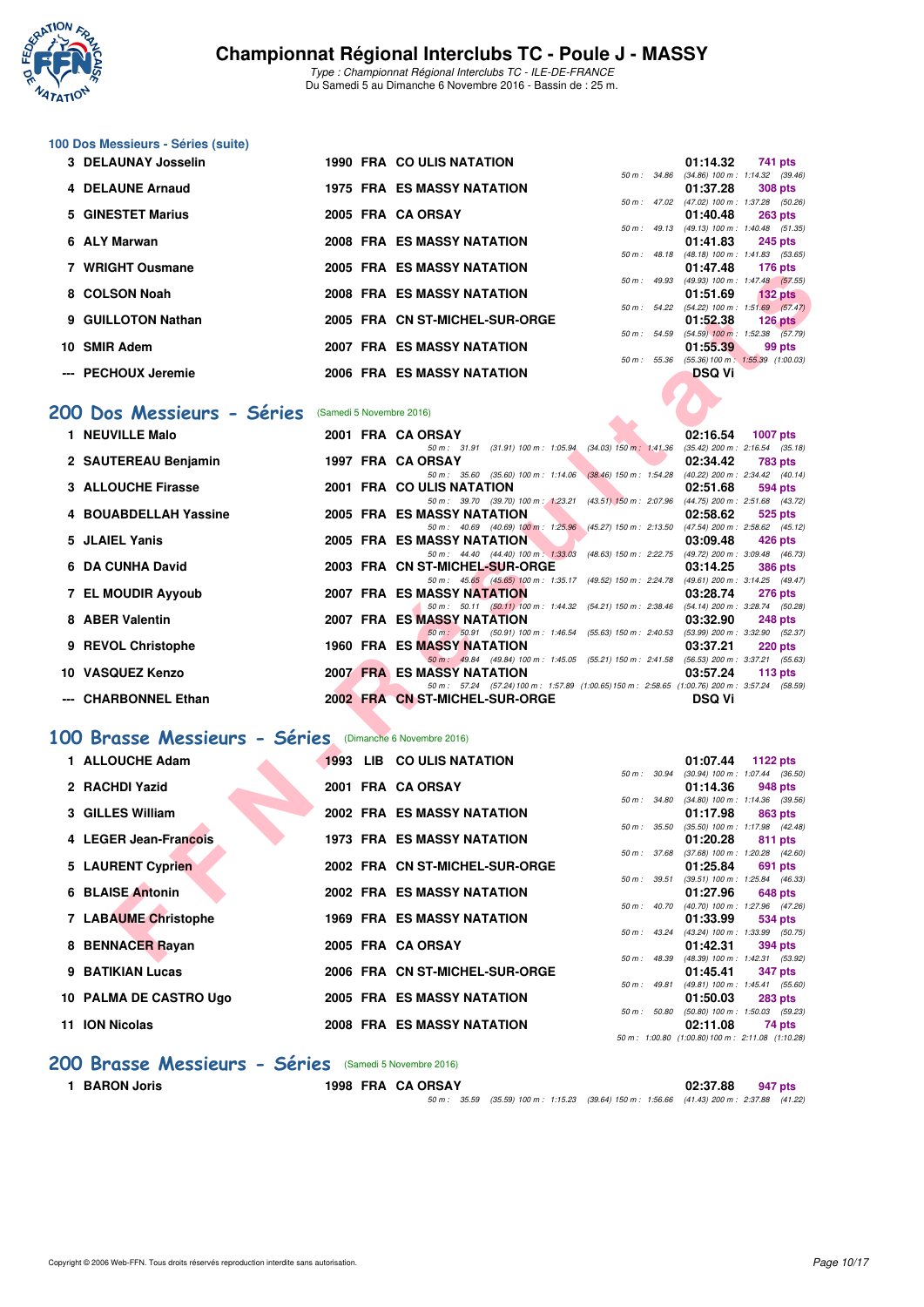

Type : Championnat Régional Interclubs TC - ILE-DE-FRANCE Du Samedi 5 au Dimanche 6 Novembre 2016 - Bassin de : 25 m.

# **100 Dos Messieurs - Séries (suite)**

| 3 DELAUNAY Josselin |  | 1990 FRA COULIS NATATION          |              | 01:14.32                                                       | 741 pts   |           |
|---------------------|--|-----------------------------------|--------------|----------------------------------------------------------------|-----------|-----------|
|                     |  |                                   |              | 50 m: 34.86 (34.86) 100 m: 1:14.32 (39.46)                     |           |           |
| 4 DELAUNE Arnaud    |  | <b>1975 FRA ES MASSY NATATION</b> |              | 01:37.28 308 pts                                               |           |           |
|                     |  |                                   |              | 50 m: 47.02 (47.02) 100 m: 1:37.28 (50.26)                     |           |           |
| 5 GINESTET Marius   |  | 2005 FRA CA ORSAY                 |              | 01:40.48 263 pts                                               |           |           |
|                     |  |                                   |              | 50 m: 49.13 (49.13) 100 m: 1:40.48 (51.35)                     |           |           |
| 6 ALY Marwan        |  | <b>2008 FRA ES MASSY NATATION</b> |              | 01:41.83                                                       | 245 pts   |           |
| 7 WRIGHT Ousmane    |  | 2005 FRA ES MASSY NATATION        |              | 50 m: 48.18 (48.18) 100 m: 1:41.83 (53.65)<br>01:47.48 176 pts |           |           |
|                     |  |                                   |              | 50 m: 49.93 (49.93) 100 m: 1:47.48 (57.55)                     |           |           |
| 8 COLSON Noah       |  | <b>2008 FRA ES MASSY NATATION</b> |              | 01:51.69                                                       |           | $132$ pts |
|                     |  |                                   |              | 50 m: 54.22 (54.22) 100 m: 1:51.69 (57.47)                     |           |           |
| 9 GUILLOTON Nathan  |  | 2005 FRA CN ST-MICHEL-SUR-ORGE    |              | 01:52.38                                                       | $126$ pts |           |
|                     |  |                                   | 50 m : 54.59 | $(54.59)$ 100 m : 1:52.38 $(57.79)$                            |           |           |
| 10 SMIR Adem        |  | 2007 FRA ES MASSY NATATION        |              | 01:55.39                                                       |           | 99 pts    |
|                     |  |                                   | 50 m: 55.36  | $(55.36) 100 \text{ m}$ : 1:55.39 $(1:00.03)$                  |           |           |
| --- PECHOUX Jeremie |  | 2006 FRA ES MASSY NATATION        |              | <b>DSQ Vi</b>                                                  |           |           |
|                     |  |                                   |              |                                                                |           |           |

#### **[200 Dos Messieurs - Séries](http://www.ffnatation.fr/webffn/resultats.php?idact=nat&go=epr&idcpt=42139&idepr=63)** (Samedi 5 Novembre 2016)

| whight vusing re                                        |  | EJ MAJJI NATATIVIY                                                                                                            |              |               | $110 \mu s$                                             |
|---------------------------------------------------------|--|-------------------------------------------------------------------------------------------------------------------------------|--------------|---------------|---------------------------------------------------------|
| 8 COLSON Noah                                           |  | <b>2008 FRA ES MASSY NATATION</b>                                                                                             |              | 01:51.69      | 50 m: 49.93 (49.93) 100 m: 1:47.48 (57.55)<br>$132$ pts |
| 9 GUILLOTON Nathan                                      |  | 2005 FRA CN ST-MICHEL-SUR-ORGE                                                                                                |              | 01:52.38      | 50 m: 54.22 (54.22) 100 m: 1:51.69 (57.47)<br>$126$ pts |
|                                                         |  |                                                                                                                               |              |               | 50 m : 54.59 (54.59) 100 m : 1:52.38 (57.79)            |
| 10 SMIR Adem                                            |  | <b>2007 FRA ES MASSY NATATION</b>                                                                                             |              | 01:55.39      | 99 pts                                                  |
|                                                         |  |                                                                                                                               |              |               | 50 m: 55.36 (55.36) 100 m: 1:55.39 (1:00.03)            |
| --- PECHOUX Jeremie                                     |  | 2006 FRA ES MASSY NATATION                                                                                                    |              | <b>DSQ Vi</b> |                                                         |
|                                                         |  |                                                                                                                               |              |               |                                                         |
| 00 Dos Messieurs - Séries                               |  |                                                                                                                               |              |               |                                                         |
|                                                         |  | (Samedi 5 Novembre 2016)                                                                                                      |              |               |                                                         |
| 1 NEUVILLE Malo                                         |  | 2001 FRA CA ORSAY                                                                                                             |              | 02:16.54      | <b>1007 pts</b>                                         |
|                                                         |  | 50 m: 31.91 (31.91) 100 m: 1:05.94 (34.03) 150 m: 1:41.36                                                                     |              |               | $(35.42)$ 200 m : 2:16.54 $(35.18)$                     |
| 2 SAUTEREAU Benjamin                                    |  | 1997 FRA CA ORSAY<br>50 m: 35.60 (35.60) 100 m: 1:14.06 (38.46) 150 m: 1:54.28 (40.22) 200 m: 2:34.42 (40.14)                 |              | 02:34.42      | <b>783 pts</b>                                          |
| 3 ALLOUCHE Firasse                                      |  | 2001 FRA COULIS NATATION                                                                                                      |              | 02:51.68      | 594 pts                                                 |
|                                                         |  | 50 m: 39.70 (39.70) 100 m: 1:23.21 (43.51) 150 m: 2:07.96 (44.75) 200 m: 2:51.68 (43.72)                                      |              |               |                                                         |
| 4 BOUABDELLAH Yassine                                   |  | <b>2005 FRA ES MASSY NATATION</b>                                                                                             |              | 02:58.62      | 525 pts                                                 |
|                                                         |  | 50 m: 40.69 (40.69) 100 m: 1:25.96 (45.27) 150 m: 2:13.50 (47.54) 200 m: 2:58.62 (45.12)                                      |              |               |                                                         |
| 5 JLAIEL Yanis                                          |  | <b>2005 FRA ES MASSY NATATION</b>                                                                                             |              | 03:09.48      | 426 pts                                                 |
| 6 DA CUNHA David                                        |  | 50 m: 44.40 (44.40) 100 m: 1:33.03 (48.63) 150 m: 2:22.75 (49.72) 200 m: 3:09.48 (46.73)                                      |              |               |                                                         |
|                                                         |  | 2003 FRA CN ST-MICHEL-SUR-ORGE<br>50 m: 45.65 (45.65) 100 m: 1:35.17 (49.52) 150 m: 2:24.78 (49.61) 200 m: 3:14.25 (49.47)    |              | 03:14.25      | <b>386 pts</b>                                          |
| 7 EL MOUDIR Ayyoub                                      |  | <b>2007 FRA ES MASSY NATATION</b>                                                                                             |              | 03:28.74      | 276 pts                                                 |
|                                                         |  | 50 m: 50.11 (50.11) 100 m: 1:44.32 (54.21) 150 m: 2:38.46 (54.14) 200 m: 3:28.74 (50.28)                                      |              |               |                                                         |
| 8 ABER Valentin                                         |  | 2007 FRA ES MASSY NATATION                                                                                                    |              | 03:32.90      | <b>248 pts</b>                                          |
|                                                         |  | 50 m: 50.91 (50.91) 100 m: 1:46.54 (55.63) 150 m: 2:40.53 (53.99) 200 m: 3:32.90 (52.37)                                      |              |               |                                                         |
| 9 REVOL Christophe                                      |  | <b>1960 FRA ES MASSY NATATION</b>                                                                                             |              | 03:37.21      | $220$ pts                                               |
| 10 VASQUEZ Kenzo                                        |  | 50 m: 49.84 (49.84) 100 m: 1.45.05 (55.21) 150 m: 2:41.58 (56.53) 200 m: 3:37.21 (55.63)<br><b>2007 FRA ES MASSY NATATION</b> |              | 03:57.24      |                                                         |
|                                                         |  | 50 m: 57.24 (57.24) 100 m: 1:57.89 (1:00.65) 150 m: 2:58.65 (1:00.76) 200 m: 3:57.24 (58.59)                                  |              |               | 113 $pts$                                               |
| --- CHARBONNEL Ethan                                    |  | 2002 FRA CN ST-MICHEL-SUR-ORGE                                                                                                |              | DSQ Vi        |                                                         |
|                                                         |  |                                                                                                                               |              |               |                                                         |
|                                                         |  |                                                                                                                               |              |               |                                                         |
| 00 Brasse Messieurs - Séries (Dimanche 6 Novembre 2016) |  |                                                                                                                               |              |               |                                                         |
| 1 ALLOUCHE Adam                                         |  | 1993 LIB CO ULIS NATATION                                                                                                     |              | 01:07.44      | 1122 pts                                                |
|                                                         |  |                                                                                                                               |              |               | 50 m: 30.94 (30.94) 100 m: 1:07.44 (36.50)              |
| 2 RACHDI Yazid                                          |  | 2001 FRA CA ORSAY                                                                                                             |              | 01:14.36      | 948 pts                                                 |
| 3 GILLES William                                        |  | <b>2002 FRA ES MASSY NATATION</b>                                                                                             |              |               | 50 m: 34.80 (34.80) 100 m: 1:14.36 (39.56)              |
|                                                         |  |                                                                                                                               | 50 m : 35.50 | 01:17.98      | 863 pts<br>$(35.50)$ 100 m : 1:17.98 $(42.48)$          |
| 4 LEGER Jean-Francois                                   |  | <b>1973 FRA ES MASSY NATATION</b>                                                                                             |              | 01:20.28      | 811 pts                                                 |
|                                                         |  |                                                                                                                               |              |               | 50 m: 37.68 (37.68) 100 m: 1:20.28 (42.60)              |
| 5 LAURENT Cyprien                                       |  | 2002 FRA CN ST-MICHEL-SUR-ORGE                                                                                                |              | 01:25.84      | 691 pts                                                 |
|                                                         |  |                                                                                                                               | 50 m: 39.51  |               | $(39.51)$ 100 m : 1:25.84 $(46.33)$                     |
| 6 BLAISE Antonin                                        |  | <b>2002 FRA ES MASSY NATATION</b>                                                                                             |              | 01:27.96      | 648 pts                                                 |
|                                                         |  |                                                                                                                               |              |               | 50 m : 40.70 (40.70) 100 m : 1:27.96 (47.26)            |
| 7 LABAUME Christophe                                    |  | <b>1969 FRA ES MASSY NATATION</b>                                                                                             |              | 01:33.99      | 534 pts<br>50 m: 43.24 (43.24) 100 m: 1:33.99 (50.75)   |
| 8 BENNACER Rayan                                        |  | 2005 FRA CA ORSAY                                                                                                             |              | 01:42.31      | 394 pts                                                 |
|                                                         |  |                                                                                                                               |              |               | 50 m: 48.39 (48.39) 100 m: 1:42.31 (53.92)              |

#### **[100 Brasse Messieurs - Séries](http://www.ffnatation.fr/webffn/resultats.php?idact=nat&go=epr&idcpt=42139&idepr=72)** (Dimanche 6 Novembre 2016)

|    | 1 ALLOUCHE Adam        |  | 1993 LIB CO ULIS NATATION         |              | 01:07.44                                         | 1122 $pts$ |                |
|----|------------------------|--|-----------------------------------|--------------|--------------------------------------------------|------------|----------------|
|    |                        |  |                                   | 50 m : 30.94 | $(30.94)$ 100 m : 1:07.44 $(36.50)$              |            |                |
|    | 2 RACHDI Yazid         |  | 2001 FRA CA ORSAY                 |              | 01:14.36                                         |            | 948 pts        |
|    | 3 GILLES William       |  | 2002 FRA ES MASSY NATATION        | 50 m : 34.80 | $(34.80)$ 100 m : 1:14.36 $(39.56)$<br>01:17.98  |            | 863 pts        |
|    |                        |  |                                   | 50 m : 35.50 | $(35.50)$ 100 m : 1:17.98 $(42.48)$              |            |                |
|    | 4 LEGER Jean-Francois  |  | <b>1973 FRA ES MASSY NATATION</b> |              | 01:20.28                                         |            | 811 pts        |
|    |                        |  |                                   | 50 m: 37.68  | $(37.68)$ 100 m : 1:20.28 $(42.60)$              |            |                |
|    | 5 LAURENT Cyprien      |  | 2002 FRA CN ST-MICHEL-SUR-ORGE    |              | 01:25.84                                         |            | 691 pts        |
|    |                        |  |                                   | 50 m : 39.51 | $(39.51)$ 100 m : 1:25.84 $(46.33)$              |            |                |
|    | 6 BLAISE Antonin       |  | 2002 FRA ES MASSY NATATION        |              | 01:27.96                                         |            | <b>648 pts</b> |
|    |                        |  |                                   | 50 m : 40.70 | (40.70) 100 m: 1:27.96 (47.26)                   |            |                |
|    | 7 LABAUME Christophe   |  | <b>1969 FRA ES MASSY NATATION</b> |              | 01:33.99                                         |            | 534 pts        |
|    |                        |  |                                   | 50 m: 43.24  | (43.24) 100 m: 1:33.99 (50.75)                   |            |                |
|    | 8 BENNACER Rayan       |  | 2005 FRA CA ORSAY                 |              | 01:42.31                                         |            | <b>394 pts</b> |
|    |                        |  |                                   | 50 m : 48.39 | (48.39) 100 m: 1:42.31 (53.92)                   |            |                |
|    | 9 BATIKIAN Lucas       |  | 2006 FRA CN ST-MICHEL-SUR-ORGE    |              | 01:45.41                                         |            | <b>347 pts</b> |
|    |                        |  | 2005 FRA ES MASSY NATATION        | 50 m : 49.81 | (49.81) 100 m: 1:45.41 (55.60)                   |            |                |
|    | 10 PALMA DE CASTRO Ugo |  |                                   |              | 01:50.03                                         |            | <b>283 pts</b> |
| 11 | <b>ION Nicolas</b>     |  | 2008 FRA ES MASSY NATATION        | 50 m : 50.80 | $(50.80)$ 100 m : 1:50.03 $(59.23)$<br>02:11.08  |            | 74 pts         |
|    |                        |  |                                   |              | 50 m: 1:00.80 (1:00.80) 100 m: 2:11.08 (1:10.28) |            |                |

#### **[200 Brasse Messieurs - Séries](http://www.ffnatation.fr/webffn/resultats.php?idact=nat&go=epr&idcpt=42139&idepr=73)** (Samedi 5 Novembre 2016)

**1 BARON Joris 1998 FRA CA ORSAY 02:37.88 947 pts**

50 m : 35.59 (35.59) 100 m : 1:15.23 (39.64) 150 m : 1:56.66 (41.43) 200 m : 2:37.88 (41.22)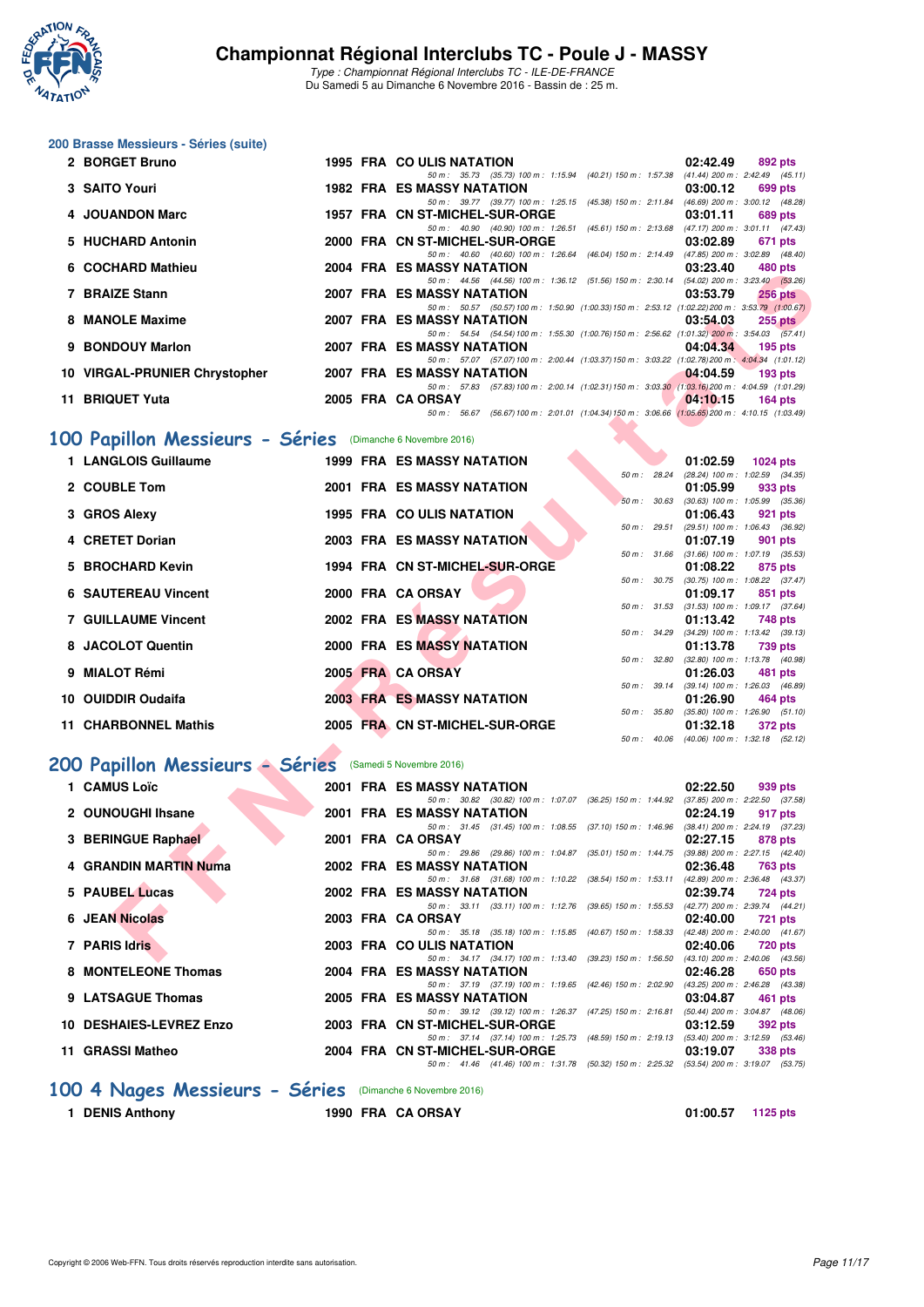

Type : Championnat Régional Interclubs TC - ILE-DE-FRANCE Du Samedi 5 au Dimanche 6 Novembre 2016 - Bassin de : 25 m.

#### **200 Brasse Messieurs - Séries (suite)**

| 2 BORGET Bruno                |  | <b>1995 FRA COULIS NATATION</b>   |                                                                                                | 02:42.49 | 892 pts   |
|-------------------------------|--|-----------------------------------|------------------------------------------------------------------------------------------------|----------|-----------|
|                               |  |                                   | 50 m: 35.73 (35.73) 100 m: 1:15.94 (40.21) 150 m: 1:57.38 (41.44) 200 m: 2:42.49 (45.11)       |          |           |
| 3 SAITO Youri                 |  | 1982 FRA ES MASSY NATATION        |                                                                                                | 03:00.12 | 699 pts   |
|                               |  |                                   | 50 m: 39.77 (39.77) 100 m: 1:25.15 (45.38) 150 m: 2:11.84 (46.69) 200 m: 3:00.12 (48.28)       |          |           |
| 4 JOUANDON Marc               |  | 1957 FRA CN ST-MICHEL-SUR-ORGE    |                                                                                                | 03:01.11 | 689 pts   |
|                               |  | 50 m : 40.90                      | (40.90) 100 m: 1:26.51 (45.61) 150 m: 2:13.68 (47.17) 200 m: 3:01.11 (47.43)                   |          |           |
| 5 HUCHARD Antonin             |  | 2000 FRA CN ST-MICHEL-SUR-ORGE    |                                                                                                | 03:02.89 | 671 pts   |
|                               |  |                                   | 50 m: 40.60 (40.60) 100 m: 1:26.64 (46.04) 150 m: 2:14.49 (47.85) 200 m: 3:02.89 (48.40)       |          |           |
| 6 COCHARD Mathieu             |  | <b>2004 FRA ES MASSY NATATION</b> |                                                                                                | 03:23.40 | 480 pts   |
|                               |  |                                   | 50 m: 44.56 (44.56) 100 m: 1:36.12 (51.56) 150 m: 2:30.14 (54.02) 200 m: 3:23.40 (53.26)       |          |           |
| 7 BRAIZE Stann                |  | 2007 FRA ES MASSY NATATION        |                                                                                                | 03:53.79 | $256$ pts |
|                               |  |                                   | 50 m: 50.57 (50.57) 100 m: 1:50.90 (1:00.33) 150 m: 2:53.12 (1:02.22) 200 m: 3:53.79 (1:00.67) |          |           |
| 8 MANOLE Maxime               |  | 2007 FRA ES MASSY NATATION        |                                                                                                | 03:54.03 | $255$ pts |
|                               |  |                                   | 50 m: 54.54 (54.54) 100 m: 1:55.30 (1:00.76) 150 m: 2:56.62 (1:01.32) 200 m: 3:54.03 (57.41)   |          |           |
| 9 BONDOUY Marlon              |  | 2007 FRA ES MASSY NATATION        |                                                                                                | 04:04:34 | 195 $pts$ |
|                               |  |                                   | 50 m: 57.07 (57.07) 100 m: 2:00.44 (1:03.37) 150 m: 3:03.22 (1:02.78) 200 m: 4:04.34 (1:01.12) |          |           |
| 10 VIRGAL-PRUNIER Chrystopher |  | 2007 FRA ES MASSY NATATION        |                                                                                                | 04:04.59 | 193 $pts$ |
|                               |  |                                   | 50 m: 57.83 (57.83) 100 m: 2:00.14 (1:02.31) 150 m: 3:03.30 (1:03.16) 200 m: 4:04.59 (1:01.29) |          |           |
| 11 BRIQUET Yuta               |  | 2005 FRA CA ORSAY                 |                                                                                                | 04:10.15 | 164 pts   |
|                               |  |                                   | 50 m: 56.67 (56.67) 100 m: 2:01.01 (1:04.34) 150 m: 3:06.66 (1:05.65) 200 m: 4:10.15 (1:03.49) |          |           |

# **[100 Papillon Messieurs - Séries](http://www.ffnatation.fr/webffn/resultats.php?idact=nat&go=epr&idcpt=42139&idepr=82)** (Dimanche 6 Novembre 2016)

| 50 m: 44.56 (44.56) 100 m: 1:36.12 (51.56) 150 m: 2:30.14 (54.02) 200 m: 3:23.40 (53.26)<br>7 BRAIZE Stann<br><b>2007 FRA ES MASSY NATATION</b><br>03:53.79<br><b>256 pts</b><br>50 m: 50.57 (50.57) 100 m: 1:50.90 (1:00.33) 150 m: 2:53.12 (1:02.22) 200 m: 3:53.79 (1:00.67)<br>8 MANOLE Maxime<br><b>2007 FRA ES MASSY NATATION</b><br>03:54.03<br><b>255 pts</b><br>50 m: 54.54 (54.54) 100 m: 1:55.30 (1:00.76) 150 m: 2:56.62 (1:01.32) 200 m: 3:54.03 (57.41)<br>9 BONDOUY Marlon<br><b>2007 FRA ES MASSY NATATION</b><br>04:04.34<br>$195$ pts<br>50 m: 57.07 (57.07) 100 m: 2:00.44 (1:03.37) 150 m: 3:03.22 (1:02.78) 200 m: 4:04.34 (1:01.12)<br>10 VIRGAL-PRUNIER Chrystopher<br>2007 FRA ES MASSY NATATION<br>04:04.59<br>$193$ pts<br>50 m: 57.83 (57.83) 100 m: 2:00.14 (1:02.31) 150 m: 3:03.30 (1:03.16) 200 m: 4:04.59 (1:01.29)<br>11 BRIQUET Yuta<br>2005 FRA CA ORSAY<br>04:10.15<br>$164$ pts<br>50 m: 56.67 (56.67) 100 m: 2:01.01 (1:04.34) 150 m: 3:06.66 (1:05.65) 200 m: 4:10.15 (1:03.49)<br>00 Papillon Messieurs - Séries (Dimanche 6 Novembre 2016)<br>1 LANGLOIS Guillaume<br><b>1999 FRA ES MASSY NATATION</b><br>01:02.59<br>1024 pts<br>(28.24) 100 m: 1:02.59 (34.35)<br>50 m : 28.24<br>2 COUBLE Tom<br><b>2001 FRA ES MASSY NATATION</b><br>01:05.99<br>933 pts<br>50 m: 30.63 (30.63) 100 m: 1:05.99 (35.36)<br><b>1995 FRA COULIS NATATION</b><br>3 GROS Alexy<br>01:06.43<br>921 pts<br>(29.51) 100 m: 1:06.43 (36.92)<br>50 m : 29.51<br>4 CRETET Dorian<br><b>2003 FRA ES MASSY NATATION</b><br>01:07.19<br>901 pts<br>50 m : 31.66<br>$(31.66)$ 100 m : 1:07.19 $(35.53)$<br>5 BROCHARD Kevin<br>1994 FRA CN ST-MICHEL-SUR-ORGE<br>01:08.22<br>875 pts<br>50 m: 30.75 (30.75) 100 m: 1:08.22 (37.47)<br><b>6 SAUTEREAU Vincent</b><br>2000 FRA CA ORSAY<br>01:09.17<br>851 pts<br>50 m: 31.53 (31.53) 100 m: 1:09.17 (37.64)<br><b>7 GUILLAUME Vincent</b><br><b>2002 FRA ES MASSY NATATION</b><br>01:13.42<br>748 pts<br>50 m: 34.29 (34.29) 100 m: 1:13.42 (39.13)<br><b>2000 FRA ES MASSY NATATION</b><br>8 JACOLOT Quentin<br>01:13.78<br>739 pts<br>50 m: 32.80 (32.80) 100 m: 1:13.78 (40.98)<br>2005 FRA CA ORSAY<br>9 MIALOT Rémi<br>01:26.03<br>481 pts<br>50 m: 39.14 (39.14) 100 m: 1:26.03 (46.89)<br><b>2003 FRA ES MASSY NATATION</b><br>10 OUIDDIR Oudaifa<br>01:26.90<br>464 pts<br>50 m : 35.80<br>$(35.80)$ 100 m : 1:26.90 $(51.10)$<br>2005 FRA CN ST-MICHEL-SUR-ORGE<br>11 CHARBONNEL Mathis<br>01:32.18<br>372 pts<br>50 m: 40.06 (40.06) 100 m: 1:32.18 (52.12)<br>00 Papillon Messieurs - Séries<br>(Samedi 5 Novembre 2016)<br>1 CAMUS Loïc<br>2001 FRA ES MASSY NATATION<br>02:22.50<br>939 pts<br>50 m: 30.82 (30.82) 100 m: 1:07.07 (36.25) 150 m: 1:44.92 (37.85) 200 m: 2:22.50 (37.58)<br>2 OUNOUGHI Ihsane<br><b>2001 FRA ES MASSY NATATION</b><br>02:24.19<br>917 pts<br>50 m: 31.45 (31.45) 100 m: 1:08.55 (37.10) 150 m: 1:46.96 (38.41) 200 m: 2:24.19 (37.23)<br>3 BERINGUE Raphael<br>2001 FRA CA ORSAY<br>02:27.15<br>878 pts<br>50 m: 29.86 (29.86) 100 m: 1:04.87 (35.01) 150 m: 1:44.75 (39.88) 200 m: 2:27.15 (42.40)<br><b>4 GRANDIN MARTIN Numa</b><br><b>2002 FRA ES MASSY NATATION</b><br>02:36.48<br><b>763 pts</b><br>50 m: 31.68 (31.68) 100 m: 1:10.22 (38.54) 150 m: 1:53.11 (42.89) 200 m: 2:36.48 (43.37)<br>5 PAUBEL Lucas<br>2002 FRA ES MASSY NATATION<br>02:39.74<br>724 pts<br>50 m: 33.11 (33.11) 100 m: 1:12.76 (39.65) 150 m: 1:55.53 (42.77) 200 m: 2:39.74 (44.21)<br><b>6 JEAN Nicolas</b><br>2003 FRA CA ORSAY<br>02:40.00<br><b>721 pts</b><br>50 m: 35.18 (35.18) 100 m: 1:15.85 (40.67) 150 m: 1:58.33 (42.48) 200 m: 2:40.00 (41.67)<br>7 PARIS Idris<br>2003 FRA COULIS NATATION<br>02:40.06<br><b>720 pts</b><br>50 m: 34.17 (34.17) 100 m: 1:13.40 (39.23) 150 m: 1:56.50 (43.10) 200 m: 2:40.06 (43.56) | <b>UUUI IANU MAUIICU</b> |  |  | <b>FRA ES MASSINAIAINN</b> |  | 00.ZO.40 | 400 DIS |
|--------------------------------------------------------------------------------------------------------------------------------------------------------------------------------------------------------------------------------------------------------------------------------------------------------------------------------------------------------------------------------------------------------------------------------------------------------------------------------------------------------------------------------------------------------------------------------------------------------------------------------------------------------------------------------------------------------------------------------------------------------------------------------------------------------------------------------------------------------------------------------------------------------------------------------------------------------------------------------------------------------------------------------------------------------------------------------------------------------------------------------------------------------------------------------------------------------------------------------------------------------------------------------------------------------------------------------------------------------------------------------------------------------------------------------------------------------------------------------------------------------------------------------------------------------------------------------------------------------------------------------------------------------------------------------------------------------------------------------------------------------------------------------------------------------------------------------------------------------------------------------------------------------------------------------------------------------------------------------------------------------------------------------------------------------------------------------------------------------------------------------------------------------------------------------------------------------------------------------------------------------------------------------------------------------------------------------------------------------------------------------------------------------------------------------------------------------------------------------------------------------------------------------------------------------------------------------------------------------------------------------------------------------------------------------------------------------------------------------------------------------------------------------------------------------------------------------------------------------------------------------------------------------------------------------------------------------------------------------------------------------------------------------------------------------------------------------------------------------------------------------------------------------------------------------------------------------------------------------------------------------------------------------------------------------------------------------------------------------------------------------------------------------------------------------------------------------------------------------------------------------------------------------------------------------------------------------------------------------------------------------------------------------------------------------------------------------------------------------------------------------------------------------------------------------------------------------|--------------------------|--|--|----------------------------|--|----------|---------|
|                                                                                                                                                                                                                                                                                                                                                                                                                                                                                                                                                                                                                                                                                                                                                                                                                                                                                                                                                                                                                                                                                                                                                                                                                                                                                                                                                                                                                                                                                                                                                                                                                                                                                                                                                                                                                                                                                                                                                                                                                                                                                                                                                                                                                                                                                                                                                                                                                                                                                                                                                                                                                                                                                                                                                                                                                                                                                                                                                                                                                                                                                                                                                                                                                                                                                                                                                                                                                                                                                                                                                                                                                                                                                                                                                                                                                                |                          |  |  |                            |  |          |         |
|                                                                                                                                                                                                                                                                                                                                                                                                                                                                                                                                                                                                                                                                                                                                                                                                                                                                                                                                                                                                                                                                                                                                                                                                                                                                                                                                                                                                                                                                                                                                                                                                                                                                                                                                                                                                                                                                                                                                                                                                                                                                                                                                                                                                                                                                                                                                                                                                                                                                                                                                                                                                                                                                                                                                                                                                                                                                                                                                                                                                                                                                                                                                                                                                                                                                                                                                                                                                                                                                                                                                                                                                                                                                                                                                                                                                                                |                          |  |  |                            |  |          |         |
|                                                                                                                                                                                                                                                                                                                                                                                                                                                                                                                                                                                                                                                                                                                                                                                                                                                                                                                                                                                                                                                                                                                                                                                                                                                                                                                                                                                                                                                                                                                                                                                                                                                                                                                                                                                                                                                                                                                                                                                                                                                                                                                                                                                                                                                                                                                                                                                                                                                                                                                                                                                                                                                                                                                                                                                                                                                                                                                                                                                                                                                                                                                                                                                                                                                                                                                                                                                                                                                                                                                                                                                                                                                                                                                                                                                                                                |                          |  |  |                            |  |          |         |
|                                                                                                                                                                                                                                                                                                                                                                                                                                                                                                                                                                                                                                                                                                                                                                                                                                                                                                                                                                                                                                                                                                                                                                                                                                                                                                                                                                                                                                                                                                                                                                                                                                                                                                                                                                                                                                                                                                                                                                                                                                                                                                                                                                                                                                                                                                                                                                                                                                                                                                                                                                                                                                                                                                                                                                                                                                                                                                                                                                                                                                                                                                                                                                                                                                                                                                                                                                                                                                                                                                                                                                                                                                                                                                                                                                                                                                |                          |  |  |                            |  |          |         |
|                                                                                                                                                                                                                                                                                                                                                                                                                                                                                                                                                                                                                                                                                                                                                                                                                                                                                                                                                                                                                                                                                                                                                                                                                                                                                                                                                                                                                                                                                                                                                                                                                                                                                                                                                                                                                                                                                                                                                                                                                                                                                                                                                                                                                                                                                                                                                                                                                                                                                                                                                                                                                                                                                                                                                                                                                                                                                                                                                                                                                                                                                                                                                                                                                                                                                                                                                                                                                                                                                                                                                                                                                                                                                                                                                                                                                                |                          |  |  |                            |  |          |         |
|                                                                                                                                                                                                                                                                                                                                                                                                                                                                                                                                                                                                                                                                                                                                                                                                                                                                                                                                                                                                                                                                                                                                                                                                                                                                                                                                                                                                                                                                                                                                                                                                                                                                                                                                                                                                                                                                                                                                                                                                                                                                                                                                                                                                                                                                                                                                                                                                                                                                                                                                                                                                                                                                                                                                                                                                                                                                                                                                                                                                                                                                                                                                                                                                                                                                                                                                                                                                                                                                                                                                                                                                                                                                                                                                                                                                                                |                          |  |  |                            |  |          |         |
|                                                                                                                                                                                                                                                                                                                                                                                                                                                                                                                                                                                                                                                                                                                                                                                                                                                                                                                                                                                                                                                                                                                                                                                                                                                                                                                                                                                                                                                                                                                                                                                                                                                                                                                                                                                                                                                                                                                                                                                                                                                                                                                                                                                                                                                                                                                                                                                                                                                                                                                                                                                                                                                                                                                                                                                                                                                                                                                                                                                                                                                                                                                                                                                                                                                                                                                                                                                                                                                                                                                                                                                                                                                                                                                                                                                                                                |                          |  |  |                            |  |          |         |
|                                                                                                                                                                                                                                                                                                                                                                                                                                                                                                                                                                                                                                                                                                                                                                                                                                                                                                                                                                                                                                                                                                                                                                                                                                                                                                                                                                                                                                                                                                                                                                                                                                                                                                                                                                                                                                                                                                                                                                                                                                                                                                                                                                                                                                                                                                                                                                                                                                                                                                                                                                                                                                                                                                                                                                                                                                                                                                                                                                                                                                                                                                                                                                                                                                                                                                                                                                                                                                                                                                                                                                                                                                                                                                                                                                                                                                |                          |  |  |                            |  |          |         |
|                                                                                                                                                                                                                                                                                                                                                                                                                                                                                                                                                                                                                                                                                                                                                                                                                                                                                                                                                                                                                                                                                                                                                                                                                                                                                                                                                                                                                                                                                                                                                                                                                                                                                                                                                                                                                                                                                                                                                                                                                                                                                                                                                                                                                                                                                                                                                                                                                                                                                                                                                                                                                                                                                                                                                                                                                                                                                                                                                                                                                                                                                                                                                                                                                                                                                                                                                                                                                                                                                                                                                                                                                                                                                                                                                                                                                                |                          |  |  |                            |  |          |         |
|                                                                                                                                                                                                                                                                                                                                                                                                                                                                                                                                                                                                                                                                                                                                                                                                                                                                                                                                                                                                                                                                                                                                                                                                                                                                                                                                                                                                                                                                                                                                                                                                                                                                                                                                                                                                                                                                                                                                                                                                                                                                                                                                                                                                                                                                                                                                                                                                                                                                                                                                                                                                                                                                                                                                                                                                                                                                                                                                                                                                                                                                                                                                                                                                                                                                                                                                                                                                                                                                                                                                                                                                                                                                                                                                                                                                                                |                          |  |  |                            |  |          |         |
|                                                                                                                                                                                                                                                                                                                                                                                                                                                                                                                                                                                                                                                                                                                                                                                                                                                                                                                                                                                                                                                                                                                                                                                                                                                                                                                                                                                                                                                                                                                                                                                                                                                                                                                                                                                                                                                                                                                                                                                                                                                                                                                                                                                                                                                                                                                                                                                                                                                                                                                                                                                                                                                                                                                                                                                                                                                                                                                                                                                                                                                                                                                                                                                                                                                                                                                                                                                                                                                                                                                                                                                                                                                                                                                                                                                                                                |                          |  |  |                            |  |          |         |
|                                                                                                                                                                                                                                                                                                                                                                                                                                                                                                                                                                                                                                                                                                                                                                                                                                                                                                                                                                                                                                                                                                                                                                                                                                                                                                                                                                                                                                                                                                                                                                                                                                                                                                                                                                                                                                                                                                                                                                                                                                                                                                                                                                                                                                                                                                                                                                                                                                                                                                                                                                                                                                                                                                                                                                                                                                                                                                                                                                                                                                                                                                                                                                                                                                                                                                                                                                                                                                                                                                                                                                                                                                                                                                                                                                                                                                |                          |  |  |                            |  |          |         |
|                                                                                                                                                                                                                                                                                                                                                                                                                                                                                                                                                                                                                                                                                                                                                                                                                                                                                                                                                                                                                                                                                                                                                                                                                                                                                                                                                                                                                                                                                                                                                                                                                                                                                                                                                                                                                                                                                                                                                                                                                                                                                                                                                                                                                                                                                                                                                                                                                                                                                                                                                                                                                                                                                                                                                                                                                                                                                                                                                                                                                                                                                                                                                                                                                                                                                                                                                                                                                                                                                                                                                                                                                                                                                                                                                                                                                                |                          |  |  |                            |  |          |         |
|                                                                                                                                                                                                                                                                                                                                                                                                                                                                                                                                                                                                                                                                                                                                                                                                                                                                                                                                                                                                                                                                                                                                                                                                                                                                                                                                                                                                                                                                                                                                                                                                                                                                                                                                                                                                                                                                                                                                                                                                                                                                                                                                                                                                                                                                                                                                                                                                                                                                                                                                                                                                                                                                                                                                                                                                                                                                                                                                                                                                                                                                                                                                                                                                                                                                                                                                                                                                                                                                                                                                                                                                                                                                                                                                                                                                                                |                          |  |  |                            |  |          |         |
|                                                                                                                                                                                                                                                                                                                                                                                                                                                                                                                                                                                                                                                                                                                                                                                                                                                                                                                                                                                                                                                                                                                                                                                                                                                                                                                                                                                                                                                                                                                                                                                                                                                                                                                                                                                                                                                                                                                                                                                                                                                                                                                                                                                                                                                                                                                                                                                                                                                                                                                                                                                                                                                                                                                                                                                                                                                                                                                                                                                                                                                                                                                                                                                                                                                                                                                                                                                                                                                                                                                                                                                                                                                                                                                                                                                                                                |                          |  |  |                            |  |          |         |
|                                                                                                                                                                                                                                                                                                                                                                                                                                                                                                                                                                                                                                                                                                                                                                                                                                                                                                                                                                                                                                                                                                                                                                                                                                                                                                                                                                                                                                                                                                                                                                                                                                                                                                                                                                                                                                                                                                                                                                                                                                                                                                                                                                                                                                                                                                                                                                                                                                                                                                                                                                                                                                                                                                                                                                                                                                                                                                                                                                                                                                                                                                                                                                                                                                                                                                                                                                                                                                                                                                                                                                                                                                                                                                                                                                                                                                |                          |  |  |                            |  |          |         |
|                                                                                                                                                                                                                                                                                                                                                                                                                                                                                                                                                                                                                                                                                                                                                                                                                                                                                                                                                                                                                                                                                                                                                                                                                                                                                                                                                                                                                                                                                                                                                                                                                                                                                                                                                                                                                                                                                                                                                                                                                                                                                                                                                                                                                                                                                                                                                                                                                                                                                                                                                                                                                                                                                                                                                                                                                                                                                                                                                                                                                                                                                                                                                                                                                                                                                                                                                                                                                                                                                                                                                                                                                                                                                                                                                                                                                                |                          |  |  |                            |  |          |         |
|                                                                                                                                                                                                                                                                                                                                                                                                                                                                                                                                                                                                                                                                                                                                                                                                                                                                                                                                                                                                                                                                                                                                                                                                                                                                                                                                                                                                                                                                                                                                                                                                                                                                                                                                                                                                                                                                                                                                                                                                                                                                                                                                                                                                                                                                                                                                                                                                                                                                                                                                                                                                                                                                                                                                                                                                                                                                                                                                                                                                                                                                                                                                                                                                                                                                                                                                                                                                                                                                                                                                                                                                                                                                                                                                                                                                                                |                          |  |  |                            |  |          |         |
|                                                                                                                                                                                                                                                                                                                                                                                                                                                                                                                                                                                                                                                                                                                                                                                                                                                                                                                                                                                                                                                                                                                                                                                                                                                                                                                                                                                                                                                                                                                                                                                                                                                                                                                                                                                                                                                                                                                                                                                                                                                                                                                                                                                                                                                                                                                                                                                                                                                                                                                                                                                                                                                                                                                                                                                                                                                                                                                                                                                                                                                                                                                                                                                                                                                                                                                                                                                                                                                                                                                                                                                                                                                                                                                                                                                                                                |                          |  |  |                            |  |          |         |
|                                                                                                                                                                                                                                                                                                                                                                                                                                                                                                                                                                                                                                                                                                                                                                                                                                                                                                                                                                                                                                                                                                                                                                                                                                                                                                                                                                                                                                                                                                                                                                                                                                                                                                                                                                                                                                                                                                                                                                                                                                                                                                                                                                                                                                                                                                                                                                                                                                                                                                                                                                                                                                                                                                                                                                                                                                                                                                                                                                                                                                                                                                                                                                                                                                                                                                                                                                                                                                                                                                                                                                                                                                                                                                                                                                                                                                |                          |  |  |                            |  |          |         |
|                                                                                                                                                                                                                                                                                                                                                                                                                                                                                                                                                                                                                                                                                                                                                                                                                                                                                                                                                                                                                                                                                                                                                                                                                                                                                                                                                                                                                                                                                                                                                                                                                                                                                                                                                                                                                                                                                                                                                                                                                                                                                                                                                                                                                                                                                                                                                                                                                                                                                                                                                                                                                                                                                                                                                                                                                                                                                                                                                                                                                                                                                                                                                                                                                                                                                                                                                                                                                                                                                                                                                                                                                                                                                                                                                                                                                                |                          |  |  |                            |  |          |         |
|                                                                                                                                                                                                                                                                                                                                                                                                                                                                                                                                                                                                                                                                                                                                                                                                                                                                                                                                                                                                                                                                                                                                                                                                                                                                                                                                                                                                                                                                                                                                                                                                                                                                                                                                                                                                                                                                                                                                                                                                                                                                                                                                                                                                                                                                                                                                                                                                                                                                                                                                                                                                                                                                                                                                                                                                                                                                                                                                                                                                                                                                                                                                                                                                                                                                                                                                                                                                                                                                                                                                                                                                                                                                                                                                                                                                                                |                          |  |  |                            |  |          |         |
|                                                                                                                                                                                                                                                                                                                                                                                                                                                                                                                                                                                                                                                                                                                                                                                                                                                                                                                                                                                                                                                                                                                                                                                                                                                                                                                                                                                                                                                                                                                                                                                                                                                                                                                                                                                                                                                                                                                                                                                                                                                                                                                                                                                                                                                                                                                                                                                                                                                                                                                                                                                                                                                                                                                                                                                                                                                                                                                                                                                                                                                                                                                                                                                                                                                                                                                                                                                                                                                                                                                                                                                                                                                                                                                                                                                                                                |                          |  |  |                            |  |          |         |
|                                                                                                                                                                                                                                                                                                                                                                                                                                                                                                                                                                                                                                                                                                                                                                                                                                                                                                                                                                                                                                                                                                                                                                                                                                                                                                                                                                                                                                                                                                                                                                                                                                                                                                                                                                                                                                                                                                                                                                                                                                                                                                                                                                                                                                                                                                                                                                                                                                                                                                                                                                                                                                                                                                                                                                                                                                                                                                                                                                                                                                                                                                                                                                                                                                                                                                                                                                                                                                                                                                                                                                                                                                                                                                                                                                                                                                |                          |  |  |                            |  |          |         |
|                                                                                                                                                                                                                                                                                                                                                                                                                                                                                                                                                                                                                                                                                                                                                                                                                                                                                                                                                                                                                                                                                                                                                                                                                                                                                                                                                                                                                                                                                                                                                                                                                                                                                                                                                                                                                                                                                                                                                                                                                                                                                                                                                                                                                                                                                                                                                                                                                                                                                                                                                                                                                                                                                                                                                                                                                                                                                                                                                                                                                                                                                                                                                                                                                                                                                                                                                                                                                                                                                                                                                                                                                                                                                                                                                                                                                                |                          |  |  |                            |  |          |         |
|                                                                                                                                                                                                                                                                                                                                                                                                                                                                                                                                                                                                                                                                                                                                                                                                                                                                                                                                                                                                                                                                                                                                                                                                                                                                                                                                                                                                                                                                                                                                                                                                                                                                                                                                                                                                                                                                                                                                                                                                                                                                                                                                                                                                                                                                                                                                                                                                                                                                                                                                                                                                                                                                                                                                                                                                                                                                                                                                                                                                                                                                                                                                                                                                                                                                                                                                                                                                                                                                                                                                                                                                                                                                                                                                                                                                                                |                          |  |  |                            |  |          |         |
|                                                                                                                                                                                                                                                                                                                                                                                                                                                                                                                                                                                                                                                                                                                                                                                                                                                                                                                                                                                                                                                                                                                                                                                                                                                                                                                                                                                                                                                                                                                                                                                                                                                                                                                                                                                                                                                                                                                                                                                                                                                                                                                                                                                                                                                                                                                                                                                                                                                                                                                                                                                                                                                                                                                                                                                                                                                                                                                                                                                                                                                                                                                                                                                                                                                                                                                                                                                                                                                                                                                                                                                                                                                                                                                                                                                                                                |                          |  |  |                            |  |          |         |
|                                                                                                                                                                                                                                                                                                                                                                                                                                                                                                                                                                                                                                                                                                                                                                                                                                                                                                                                                                                                                                                                                                                                                                                                                                                                                                                                                                                                                                                                                                                                                                                                                                                                                                                                                                                                                                                                                                                                                                                                                                                                                                                                                                                                                                                                                                                                                                                                                                                                                                                                                                                                                                                                                                                                                                                                                                                                                                                                                                                                                                                                                                                                                                                                                                                                                                                                                                                                                                                                                                                                                                                                                                                                                                                                                                                                                                |                          |  |  |                            |  |          |         |
|                                                                                                                                                                                                                                                                                                                                                                                                                                                                                                                                                                                                                                                                                                                                                                                                                                                                                                                                                                                                                                                                                                                                                                                                                                                                                                                                                                                                                                                                                                                                                                                                                                                                                                                                                                                                                                                                                                                                                                                                                                                                                                                                                                                                                                                                                                                                                                                                                                                                                                                                                                                                                                                                                                                                                                                                                                                                                                                                                                                                                                                                                                                                                                                                                                                                                                                                                                                                                                                                                                                                                                                                                                                                                                                                                                                                                                |                          |  |  |                            |  |          |         |
|                                                                                                                                                                                                                                                                                                                                                                                                                                                                                                                                                                                                                                                                                                                                                                                                                                                                                                                                                                                                                                                                                                                                                                                                                                                                                                                                                                                                                                                                                                                                                                                                                                                                                                                                                                                                                                                                                                                                                                                                                                                                                                                                                                                                                                                                                                                                                                                                                                                                                                                                                                                                                                                                                                                                                                                                                                                                                                                                                                                                                                                                                                                                                                                                                                                                                                                                                                                                                                                                                                                                                                                                                                                                                                                                                                                                                                |                          |  |  |                            |  |          |         |
|                                                                                                                                                                                                                                                                                                                                                                                                                                                                                                                                                                                                                                                                                                                                                                                                                                                                                                                                                                                                                                                                                                                                                                                                                                                                                                                                                                                                                                                                                                                                                                                                                                                                                                                                                                                                                                                                                                                                                                                                                                                                                                                                                                                                                                                                                                                                                                                                                                                                                                                                                                                                                                                                                                                                                                                                                                                                                                                                                                                                                                                                                                                                                                                                                                                                                                                                                                                                                                                                                                                                                                                                                                                                                                                                                                                                                                |                          |  |  |                            |  |          |         |
|                                                                                                                                                                                                                                                                                                                                                                                                                                                                                                                                                                                                                                                                                                                                                                                                                                                                                                                                                                                                                                                                                                                                                                                                                                                                                                                                                                                                                                                                                                                                                                                                                                                                                                                                                                                                                                                                                                                                                                                                                                                                                                                                                                                                                                                                                                                                                                                                                                                                                                                                                                                                                                                                                                                                                                                                                                                                                                                                                                                                                                                                                                                                                                                                                                                                                                                                                                                                                                                                                                                                                                                                                                                                                                                                                                                                                                |                          |  |  |                            |  |          |         |
|                                                                                                                                                                                                                                                                                                                                                                                                                                                                                                                                                                                                                                                                                                                                                                                                                                                                                                                                                                                                                                                                                                                                                                                                                                                                                                                                                                                                                                                                                                                                                                                                                                                                                                                                                                                                                                                                                                                                                                                                                                                                                                                                                                                                                                                                                                                                                                                                                                                                                                                                                                                                                                                                                                                                                                                                                                                                                                                                                                                                                                                                                                                                                                                                                                                                                                                                                                                                                                                                                                                                                                                                                                                                                                                                                                                                                                |                          |  |  |                            |  |          |         |
|                                                                                                                                                                                                                                                                                                                                                                                                                                                                                                                                                                                                                                                                                                                                                                                                                                                                                                                                                                                                                                                                                                                                                                                                                                                                                                                                                                                                                                                                                                                                                                                                                                                                                                                                                                                                                                                                                                                                                                                                                                                                                                                                                                                                                                                                                                                                                                                                                                                                                                                                                                                                                                                                                                                                                                                                                                                                                                                                                                                                                                                                                                                                                                                                                                                                                                                                                                                                                                                                                                                                                                                                                                                                                                                                                                                                                                |                          |  |  |                            |  |          |         |
|                                                                                                                                                                                                                                                                                                                                                                                                                                                                                                                                                                                                                                                                                                                                                                                                                                                                                                                                                                                                                                                                                                                                                                                                                                                                                                                                                                                                                                                                                                                                                                                                                                                                                                                                                                                                                                                                                                                                                                                                                                                                                                                                                                                                                                                                                                                                                                                                                                                                                                                                                                                                                                                                                                                                                                                                                                                                                                                                                                                                                                                                                                                                                                                                                                                                                                                                                                                                                                                                                                                                                                                                                                                                                                                                                                                                                                |                          |  |  |                            |  |          |         |
|                                                                                                                                                                                                                                                                                                                                                                                                                                                                                                                                                                                                                                                                                                                                                                                                                                                                                                                                                                                                                                                                                                                                                                                                                                                                                                                                                                                                                                                                                                                                                                                                                                                                                                                                                                                                                                                                                                                                                                                                                                                                                                                                                                                                                                                                                                                                                                                                                                                                                                                                                                                                                                                                                                                                                                                                                                                                                                                                                                                                                                                                                                                                                                                                                                                                                                                                                                                                                                                                                                                                                                                                                                                                                                                                                                                                                                |                          |  |  |                            |  |          |         |
|                                                                                                                                                                                                                                                                                                                                                                                                                                                                                                                                                                                                                                                                                                                                                                                                                                                                                                                                                                                                                                                                                                                                                                                                                                                                                                                                                                                                                                                                                                                                                                                                                                                                                                                                                                                                                                                                                                                                                                                                                                                                                                                                                                                                                                                                                                                                                                                                                                                                                                                                                                                                                                                                                                                                                                                                                                                                                                                                                                                                                                                                                                                                                                                                                                                                                                                                                                                                                                                                                                                                                                                                                                                                                                                                                                                                                                |                          |  |  |                            |  |          |         |
|                                                                                                                                                                                                                                                                                                                                                                                                                                                                                                                                                                                                                                                                                                                                                                                                                                                                                                                                                                                                                                                                                                                                                                                                                                                                                                                                                                                                                                                                                                                                                                                                                                                                                                                                                                                                                                                                                                                                                                                                                                                                                                                                                                                                                                                                                                                                                                                                                                                                                                                                                                                                                                                                                                                                                                                                                                                                                                                                                                                                                                                                                                                                                                                                                                                                                                                                                                                                                                                                                                                                                                                                                                                                                                                                                                                                                                |                          |  |  |                            |  |          |         |
|                                                                                                                                                                                                                                                                                                                                                                                                                                                                                                                                                                                                                                                                                                                                                                                                                                                                                                                                                                                                                                                                                                                                                                                                                                                                                                                                                                                                                                                                                                                                                                                                                                                                                                                                                                                                                                                                                                                                                                                                                                                                                                                                                                                                                                                                                                                                                                                                                                                                                                                                                                                                                                                                                                                                                                                                                                                                                                                                                                                                                                                                                                                                                                                                                                                                                                                                                                                                                                                                                                                                                                                                                                                                                                                                                                                                                                |                          |  |  |                            |  |          |         |
|                                                                                                                                                                                                                                                                                                                                                                                                                                                                                                                                                                                                                                                                                                                                                                                                                                                                                                                                                                                                                                                                                                                                                                                                                                                                                                                                                                                                                                                                                                                                                                                                                                                                                                                                                                                                                                                                                                                                                                                                                                                                                                                                                                                                                                                                                                                                                                                                                                                                                                                                                                                                                                                                                                                                                                                                                                                                                                                                                                                                                                                                                                                                                                                                                                                                                                                                                                                                                                                                                                                                                                                                                                                                                                                                                                                                                                |                          |  |  |                            |  |          |         |
|                                                                                                                                                                                                                                                                                                                                                                                                                                                                                                                                                                                                                                                                                                                                                                                                                                                                                                                                                                                                                                                                                                                                                                                                                                                                                                                                                                                                                                                                                                                                                                                                                                                                                                                                                                                                                                                                                                                                                                                                                                                                                                                                                                                                                                                                                                                                                                                                                                                                                                                                                                                                                                                                                                                                                                                                                                                                                                                                                                                                                                                                                                                                                                                                                                                                                                                                                                                                                                                                                                                                                                                                                                                                                                                                                                                                                                |                          |  |  |                            |  |          |         |
|                                                                                                                                                                                                                                                                                                                                                                                                                                                                                                                                                                                                                                                                                                                                                                                                                                                                                                                                                                                                                                                                                                                                                                                                                                                                                                                                                                                                                                                                                                                                                                                                                                                                                                                                                                                                                                                                                                                                                                                                                                                                                                                                                                                                                                                                                                                                                                                                                                                                                                                                                                                                                                                                                                                                                                                                                                                                                                                                                                                                                                                                                                                                                                                                                                                                                                                                                                                                                                                                                                                                                                                                                                                                                                                                                                                                                                |                          |  |  |                            |  |          |         |

# **[200 Papillon Messieurs - Séries](http://www.ffnatation.fr/webffn/resultats.php?idact=nat&go=epr&idcpt=42139&idepr=83)** (Samedi 5 Novembre 2016)

| 1 CAMUS Loïc            |  | <b>2001 FRA ES MASSY NATATION</b>                                                        | 02:22.50 | 939 pts                             |
|-------------------------|--|------------------------------------------------------------------------------------------|----------|-------------------------------------|
|                         |  | 50 m: 30.82 (30.82) 100 m: 1:07.07 (36.25) 150 m: 1:44.92                                |          | $(37.85)$ 200 m : 2:22.50 $(37.58)$ |
| 2 OUNOUGHI Ihsane       |  | <b>2001 FRA ES MASSY NATATION</b>                                                        | 02:24.19 | 917 pts                             |
|                         |  | 50 m: 31.45 (31.45) 100 m: 1:08.55 (37.10) 150 m: 1:46.96                                |          | $(38.41)$ 200 m : 2:24.19 $(37.23)$ |
| 3 BERINGUE Raphael      |  | 2001 FRA CA ORSAY                                                                        | 02:27.15 | 878 pts                             |
|                         |  | 50 m: 29.86 (29.86) 100 m: 1:04.87 (35.01) 150 m: 1:44.75 (39.88) 200 m: 2:27.15 (42.40) |          |                                     |
| 4 GRANDIN MARTIN Numa   |  | 2002 FRA ES MASSY NATATION                                                               | 02:36.48 | 763 pts                             |
|                         |  | 50 m: 31.68 (31.68) 100 m: 1:10.22 (38.54) 150 m: 1:53.11 (42.89) 200 m: 2:36.48 (43.37) |          |                                     |
| 5 PAUBEL Lucas          |  | 2002 FRA ES MASSY NATATION                                                               | 02:39.74 | 724 pts                             |
|                         |  | 50 m: 33.11 (33.11) 100 m: 1:12.76 (39.65) 150 m: 1:55.53 (42.77) 200 m: 2:39.74 (44.21) |          |                                     |
| <b>6 JEAN Nicolas</b>   |  | 2003 FRA CA ORSAY                                                                        | 02:40.00 | 721 pts                             |
|                         |  | 50 m: 35.18 (35.18) 100 m: 1:15.85 (40.67) 150 m: 1:58.33 (42.48) 200 m: 2:40.00 (41.67) |          |                                     |
| 7 PARIS Idris           |  | 2003 FRA COULIS NATATION                                                                 | 02:40.06 | 720 pts                             |
|                         |  | 50 m: 34.17 (34.17) 100 m: 1:13.40 (39.23) 150 m: 1:56.50 (43.10) 200 m: 2:40.06 (43.56) |          |                                     |
| 8 MONTELEONE Thomas     |  | 2004 FRA ES MASSY NATATION                                                               | 02:46.28 | 650 pts                             |
|                         |  | 50 m: 37.19 (37.19) 100 m: 1:19.65 (42.46) 150 m: 2:02.90                                |          | (43.25) 200 m : 2:46.28 (43.38)     |
| 9 LATSAGUE Thomas       |  | 2005 FRA ES MASSY NATATION                                                               | 03:04.87 | 461 pts                             |
|                         |  | 50 m: 39.12 (39.12) 100 m: 1:26.37 (47.25) 150 m: 2:16.81 (50.44) 200 m: 3:04.87 (48.06) |          |                                     |
| 10 DESHAIES-LEVREZ Enzo |  | 2003 FRA CN ST-MICHEL-SUR-ORGE                                                           | 03:12.59 | <b>392 pts</b>                      |
|                         |  | 50 m: 37.14 (37.14) 100 m: 1:25.73 (48.59) 150 m: 2:19.13 (53.40) 200 m: 3:12.59 (53.46) |          |                                     |
| 11 GRASSI Matheo        |  | 2004 FRA CN ST-MICHEL-SUR-ORGE                                                           | 03:19.07 | 338 pts                             |
|                         |  | 50 m: 41.46 (41.46) 100 m: 1:31.78 (50.32) 150 m: 2:25.32 (53.54) 200 m: 3:19.07 (53.75) |          |                                     |

### **[100 4 Nages Messieurs - Séries](http://www.ffnatation.fr/webffn/resultats.php?idact=nat&go=epr&idcpt=42139&idepr=90)** (Dimanche 6 Novembre 2016)

**1 DENIS Anthony 1990 FRA CA ORSAY 01:00.57 1125 pts**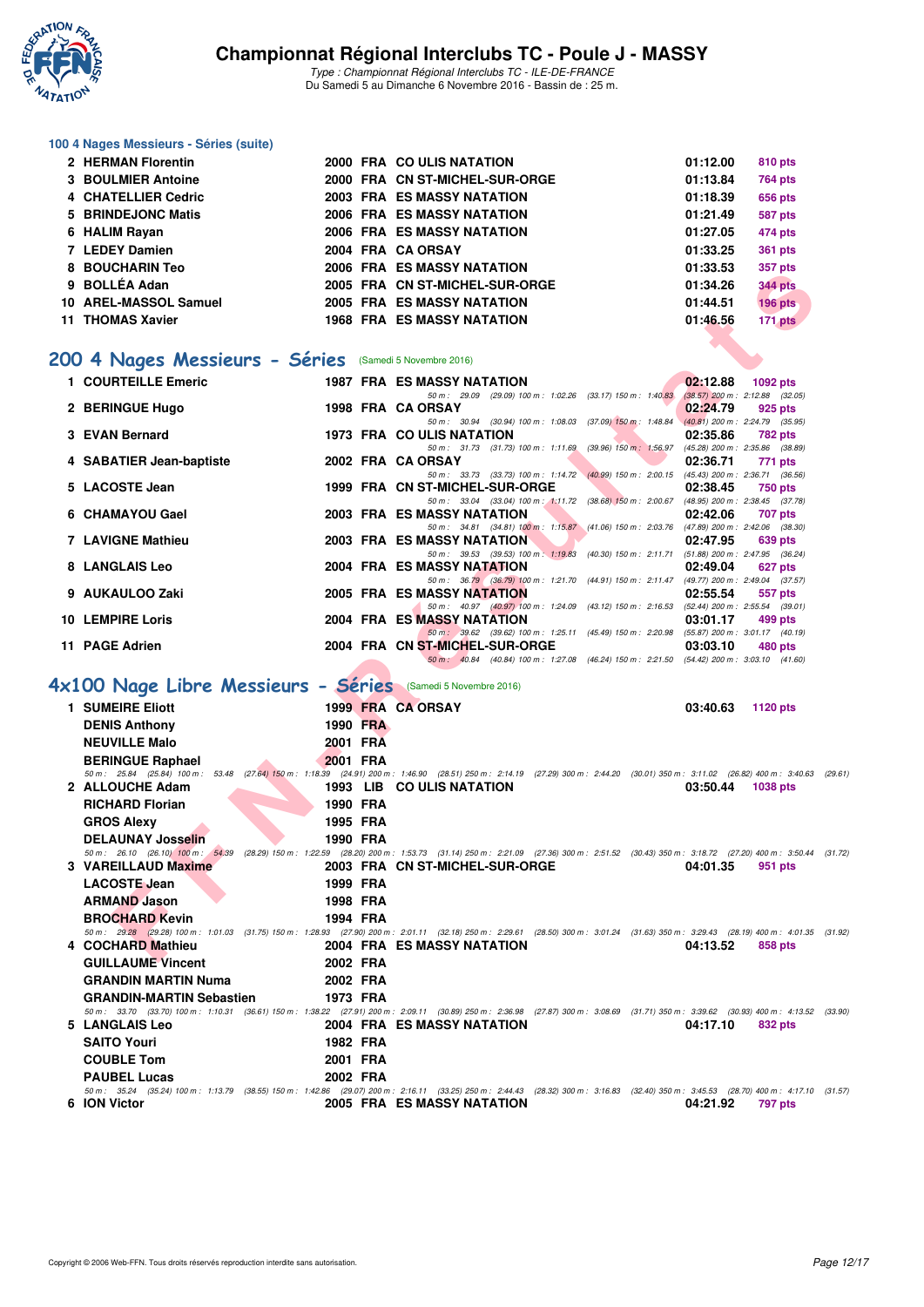

#### **100 4 Nages Messieurs - Séries (suite)**

| 2 HERMAN Florentin    |  | 2000 FRA COULIS NATATION          | 01:12.00 | 810 pts        |
|-----------------------|--|-----------------------------------|----------|----------------|
| 3 BOULMIER Antoine    |  | 2000 FRA CN ST-MICHEL-SUR-ORGE    | 01:13.84 | <b>764 pts</b> |
| 4 CHATELLIER Cedric   |  | <b>2003 FRA ES MASSY NATATION</b> | 01:18.39 | <b>656 pts</b> |
| 5 BRINDEJONC Matis    |  | 2006 FRA ES MASSY NATATION        | 01:21.49 | <b>587 pts</b> |
| 6 HALIM Rayan         |  | 2006 FRA ES MASSY NATATION        | 01:27.05 | 474 pts        |
| 7 LEDEY Damien        |  | 2004 FRA CA ORSAY                 | 01:33.25 | <b>361 pts</b> |
| 8 BOUCHARIN Teo       |  | 2006 FRA ES MASSY NATATION        | 01:33.53 | 357 pts        |
| 9 BOLLÉA Adan         |  | 2005 FRA CN ST-MICHEL-SUR-ORGE    | 01:34.26 | <b>344 pts</b> |
| 10 AREL-MASSOL Samuel |  | 2005 FRA ES MASSY NATATION        | 01:44.51 | <b>196 pts</b> |
| 11 THOMAS Xavier      |  | <b>1968 FRA ES MASSY NATATION</b> | 01:46.56 | <b>171 pts</b> |

# **[200 4 Nages Messieurs - Séries](http://www.ffnatation.fr/webffn/resultats.php?idact=nat&go=epr&idcpt=42139&idepr=91)** (Samedi 5 Novembre 2016)

| 0 DUUUIIANII ITU                                            |          |          | ZUUU FRA ESIWASSI NAIAIIUN                                                                                                                                                                                      | <u> u i .jj.jj</u> | <i>ວວາ</i> µເວ |  |
|-------------------------------------------------------------|----------|----------|-----------------------------------------------------------------------------------------------------------------------------------------------------------------------------------------------------------------|--------------------|----------------|--|
| 9 BOLLÉA Adan                                               |          |          | 2005 FRA CN ST-MICHEL-SUR-ORGE                                                                                                                                                                                  | 01:34.26           | <b>344 pts</b> |  |
| 10 AREL-MASSOL Samuel                                       |          |          | <b>2005 FRA ES MASSY NATATION</b>                                                                                                                                                                               | 01:44.51           | <b>196 pts</b> |  |
| 11 THOMAS Xavier                                            |          |          | <b>1968 FRA ES MASSY NATATION</b>                                                                                                                                                                               | 01:46.56           | 171 pts        |  |
|                                                             |          |          |                                                                                                                                                                                                                 |                    |                |  |
|                                                             |          |          |                                                                                                                                                                                                                 |                    |                |  |
| 00 4 Nages Messieurs - Séries (Samedi 5 Novembre 2016)      |          |          |                                                                                                                                                                                                                 |                    |                |  |
| 1 COURTEILLE Emeric                                         |          |          | <b>1987 FRA ES MASSY NATATION</b>                                                                                                                                                                               | 02:12.88           | 1092 pts       |  |
|                                                             |          |          | 50 m: 29.09 (29.09) 100 m: 1:02.26 (33.17) 150 m: 1:40.83 (38.57) 200 m: 2:12.88 (32.05)                                                                                                                        |                    |                |  |
| 2 BERINGUE Hugo                                             |          |          | 1998 FRA CA ORSAY                                                                                                                                                                                               | 02:24.79           | 925 pts        |  |
|                                                             |          |          | 50 m: 30.94 (30.94) 100 m: 1:08.03 (37.09) 150 m: 1:48.84 (40.81) 200 m: 2:24.79 (35.95)                                                                                                                        |                    |                |  |
| 3 EVAN Bernard                                              |          |          | 1973 FRA COULIS NATATION                                                                                                                                                                                        | 02:35.86           | 782 pts        |  |
| 4 SABATIER Jean-baptiste                                    |          |          | 50 m: 31.73 (31.73) 100 m: 1:11.69 (39.96) 150 m: 1:56.97 (45.28) 200 m: 2:35.86 (38.89)<br>2002 FRA CA ORSAY                                                                                                   | 02:36.71           | 771 pts        |  |
|                                                             |          |          | 50 m: 33.73 (33.73) 100 m: 1:14.72 (40.99) 150 m: 2:00.15 (45.43) 200 m: 2:36.71 (36.56)                                                                                                                        |                    |                |  |
| 5 LACOSTE Jean                                              |          |          | 1999 FRA CN ST-MICHEL-SUR-ORGE                                                                                                                                                                                  | 02:38.45           | <b>750 pts</b> |  |
|                                                             |          |          | 50 m: 33.04 (33.04) 100 m: 1:11.72 (38.68) 150 m: 2:00.67 (48.95) 200 m: 2:38.45 (37.78)                                                                                                                        |                    |                |  |
| 6 CHAMAYOU Gael                                             |          |          | <b>2003 FRA ES MASSY NATATION</b>                                                                                                                                                                               | 02:42.06           | <b>707 pts</b> |  |
|                                                             |          |          | 50 m: 34.81 (34.81) 100 m: 1:15.87 (41.06) 150 m: 2:03.76 (47.89) 200 m: 2:42.06 (38.30)                                                                                                                        |                    |                |  |
| <b>7 LAVIGNE Mathieu</b>                                    |          |          | <b>2003 FRA ES MASSY NATATION</b>                                                                                                                                                                               | 02:47.95           | 639 pts        |  |
| 8 LANGLAIS Leo                                              |          |          | 50 m: 39.53 (39.53) 100 m: 1:19.83 (40.30) 150 m: 2:11.71 (51.88) 200 m: 2:47.95 (36.24)                                                                                                                        |                    |                |  |
|                                                             |          |          | 2004 FRA ES MASSY NATATION<br>50 m: 36.79 (36.79) 100 m: 1:21.70 (44.91) 150 m: 2:11.47 (49.77) 200 m: 2:49.04 (37.57)                                                                                          | 02:49.04           | 627 pts        |  |
| 9 AUKAULOO Zaki                                             |          |          | 2005 FRA ES MASSY NATATION                                                                                                                                                                                      | 02:55.54           | 557 pts        |  |
|                                                             |          |          | 50 m: 40.97 (40.97) 100 m: 1:24.09 (43.12) 150 m: 2:16.53 (52.44) 200 m: 2:55.54 (39.01)                                                                                                                        |                    |                |  |
| <b>10 LEMPIRE Loris</b>                                     |          |          | 2004 FRA ES MASSY NATATION                                                                                                                                                                                      | 03:01.17           | 499 pts        |  |
|                                                             |          |          | 50 m: 39.62 (39.62) 100 m: 1:25.11 (45.49) 150 m: 2:20.98 (55.87) 200 m: 3:01.17 (40.19)                                                                                                                        |                    |                |  |
| 11 PAGE Adrien                                              |          |          | 2004 FRA CN ST-MICHEL-SUR-ORGE                                                                                                                                                                                  | 03:03.10           | 480 pts        |  |
|                                                             |          |          | 50 m: 40.84 (40.84) 100 m: 1:27.08 (46.24) 150 m: 2:21.50 (54.42) 200 m: 3:03.10 (41.60)                                                                                                                        |                    |                |  |
| X100 Nage Libre Messieurs - Séries (Samedi 5 Novembre 2016) |          |          |                                                                                                                                                                                                                 |                    |                |  |
|                                                             |          |          |                                                                                                                                                                                                                 |                    |                |  |
| 1 SUMEIRE Eliott                                            |          |          | 1999 FRA CA ORSAY                                                                                                                                                                                               | 03:40.63           | 1120 pts       |  |
| <b>DENIS Anthony</b>                                        |          | 1990 FRA |                                                                                                                                                                                                                 |                    |                |  |
| <b>NEUVILLE Malo</b>                                        | 2001 FRA |          |                                                                                                                                                                                                                 |                    |                |  |
| <b>BERINGUE Raphael</b>                                     | 2001 FRA |          |                                                                                                                                                                                                                 |                    |                |  |
|                                                             |          |          | 50 m: 25.84 (25.84) 100 m: 53.48 (27.64) 150 m: 1:18.39 (24.91) 200 m: 1:46.90 (28.51) 250 m: 2:14.19 (27.29) 300 m: 2:44.20 (30.01) 350 m: 3:11.02 (26.82) 400 m: 3:40.63 (2                                   |                    |                |  |
| 2 ALLOUCHE Adam                                             |          |          | 1993 LIB CO ULIS NATATION                                                                                                                                                                                       | 03:50.44           | 1038 pts       |  |
| <b>RICHARD Florian</b>                                      | 1990 FRA |          |                                                                                                                                                                                                                 |                    |                |  |
|                                                             | 1995 FRA |          |                                                                                                                                                                                                                 |                    |                |  |
| <b>GROS Alexy</b>                                           |          |          |                                                                                                                                                                                                                 |                    |                |  |
| <b>DELAUNAY Josselin</b>                                    | 1990 FRA |          |                                                                                                                                                                                                                 |                    |                |  |
| 3 VAREILLAUD Maxime                                         |          |          | 50 m: 26.10 (26.10) 100 m: 54.39 (28.29) 150 m: 1:22.59 (28.20) 200 m: 1:53.73 (31.14) 250 m: 2:21.09 (27.36) 300 m: 2:51.52 (30.43) 350 m: 3:18.72 (27.20) 400 m: 3:50.44 (3<br>2003 FRA CN ST-MICHEL-SUR-ORGE | 04:01.35           | 951 pts        |  |
|                                                             |          |          |                                                                                                                                                                                                                 |                    |                |  |
| <b>LACOSTE Jean</b>                                         | 1999 FRA |          |                                                                                                                                                                                                                 |                    |                |  |
| <b>ARMAND Jason</b>                                         | 1998 FRA |          |                                                                                                                                                                                                                 |                    |                |  |
| <b>BROCHARD Kevin</b>                                       | 1994 FRA |          |                                                                                                                                                                                                                 |                    |                |  |
|                                                             |          |          | 50 m: 29.28 (29.28) 100 m: 1:01.03 (31.75) 150 m: 1:28.93 (27.90) 200 m: 2:01.11 (32.18) 250 m: 2:29.61 (28.50) 300 m: 3:01.24 (31.63) 350 m: 3:29.43 (28.19) 400 m: 4:01.35 (3                                 |                    |                |  |
| 4 COCHARD Mathieu                                           |          |          | 2004 FRA ES MASSY NATATION                                                                                                                                                                                      | 04:13.52           | 858 pts        |  |
| $Q$ UU LAUME Vincent                                        | 0000EBA  |          |                                                                                                                                                                                                                 |                    |                |  |

#### **[4x100 Nage Libre Messieurs - Séries](http://www.ffnatation.fr/webffn/resultats.php?idact=nat&go=epr&idcpt=42139&idepr=93)** (Samedi 5 Novembre 2016)

| 1 SUMEIRE Eliott                                                                                                                                                                     |          |                 | 1999 FRA CA ORSAY                 | 03:40.63 | 1120 pts       |         |
|--------------------------------------------------------------------------------------------------------------------------------------------------------------------------------------|----------|-----------------|-----------------------------------|----------|----------------|---------|
| <b>DENIS Anthony</b>                                                                                                                                                                 |          | <b>1990 FRA</b> |                                   |          |                |         |
| <b>NEUVILLE Malo</b>                                                                                                                                                                 | 2001 FRA |                 |                                   |          |                |         |
| <b>BERINGUE Raphael</b>                                                                                                                                                              | 2001 FRA |                 |                                   |          |                |         |
| 50 m: 25.84 (25.84) 100 m: 53.48 (27.64) 150 m: 1:18.39 (24.91) 200 m: 1:46.90 (28.51) 250 m: 2:14.19 (27.29) 300 m: 2:44.20 (30.01) 350 m: 3:11.02 (26.82) 400 m: 3:40.63           |          |                 |                                   |          |                | (29.61) |
| 2 ALLOUCHE Adam                                                                                                                                                                      |          |                 | 1993 LIB COULIS NATATION          | 03:50.44 | 1038 pts       |         |
| <b>RICHARD Florian</b>                                                                                                                                                               | 1990 FRA |                 |                                   |          |                |         |
| <b>GROS Alexy</b>                                                                                                                                                                    | 1995 FRA |                 |                                   |          |                |         |
| <b>DELAUNAY Josselin</b>                                                                                                                                                             | 1990 FRA |                 |                                   |          |                |         |
| 50 m: 26.10 (26.10) 100 m: 54.39 (28.29) 150 m: 1:22.59 (28.20) 200 m: 1:53.73 (31.14) 250 m: 2:21.09 (27.36) 300 m: 2:51.52 (30.43) 350 m: 3:18.72 (27.20) 400 m: 3:50.44 (31.72)   |          |                 |                                   |          |                |         |
| 3 VAREILLAUD Maxime                                                                                                                                                                  |          |                 | 2003 FRA CN ST-MICHEL-SUR-ORGE    | 04:01.35 | 951 pts        |         |
| <b>LACOSTE Jean</b>                                                                                                                                                                  | 1999 FRA |                 |                                   |          |                |         |
| <b>ARMAND Jason</b>                                                                                                                                                                  | 1998 FRA |                 |                                   |          |                |         |
| <b>BROCHARD Kevin</b>                                                                                                                                                                | 1994 FRA |                 |                                   |          |                |         |
| 50 m: 29.28 (29.28) 100 m: 1:01.03 (31.75) 150 m: 1:28.93 (27.90) 200 m: 2:01.11 (32.18) 250 m: 2:29.61 (28.50) 300 m: 3:01.24 (31.63) 350 m: 3:29.43 (28.19) 400 m: 4:01.35 (31.92) |          |                 |                                   |          |                |         |
| 4 COCHARD Mathieu                                                                                                                                                                    |          |                 | 2004 FRA ES MASSY NATATION        | 04:13.52 | 858 pts        |         |
| <b>GUILLAUME Vincent</b>                                                                                                                                                             | 2002 FRA |                 |                                   |          |                |         |
| <b>GRANDIN MARTIN Numa</b>                                                                                                                                                           | 2002 FRA |                 |                                   |          |                |         |
| <b>GRANDIN-MARTIN Sebastien</b>                                                                                                                                                      | 1973 FRA |                 |                                   |          |                |         |
| 50 m: 33.70 (33.70) 100 m: 1:10.31 (36.61) 150 m: 1:38.22 (27.91) 200 m: 2:09.11 (30.89) 250 m: 2:36.98 (27.87) 300 m: 3:08.69 (31.71) 350 m: 3:39.62 (30.93) 400 m: 4:13.52 (33.90) |          |                 |                                   |          |                |         |
| 5 LANGLAIS Leo                                                                                                                                                                       |          |                 | 2004 FRA ES MASSY NATATION        | 04:17.10 | 832 pts        |         |
| <b>SAITO Youri</b>                                                                                                                                                                   | 1982 FRA |                 |                                   |          |                |         |
| <b>COUBLE Tom</b>                                                                                                                                                                    | 2001 FRA |                 |                                   |          |                |         |
| <b>PAUBEL Lucas</b>                                                                                                                                                                  | 2002 FRA |                 |                                   |          |                |         |
| 50 m: 35.24 (35.24) 100 m: 1:13.79 (38.55) 150 m: 1:42.86 (29.07) 200 m: 2:16.11 (33.25) 250 m: 2:44.43 (28.32) 300 m: 3:16.83 (32.40) 350 m: 3:45.53 (28.70) 400 m: 4:17.10         |          |                 |                                   |          |                | (31.57) |
| 6 ION Victor                                                                                                                                                                         |          |                 | <b>2005 FRA ES MASSY NATATION</b> | 04:21.92 | <b>797 pts</b> |         |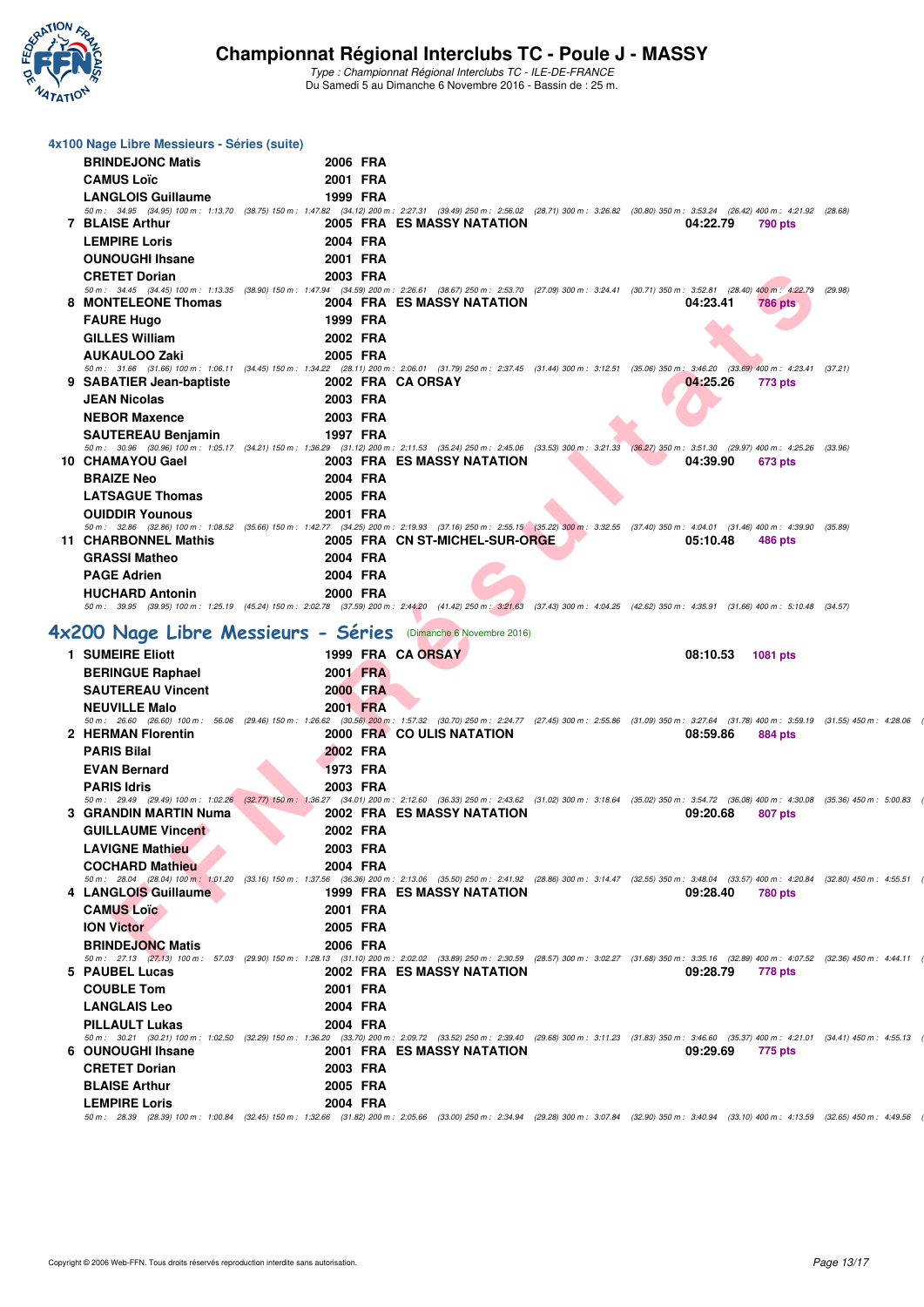

| 4x100 Nage Libre Messieurs - Séries (suite)                    |                                                                                                                                                                                                          |                                |          |                |         |  |
|----------------------------------------------------------------|----------------------------------------------------------------------------------------------------------------------------------------------------------------------------------------------------------|--------------------------------|----------|----------------|---------|--|
| <b>BRINDEJONC Matis</b>                                        | 2006 FRA                                                                                                                                                                                                 |                                |          |                |         |  |
| <b>CAMUS Loïc</b>                                              | 2001 FRA                                                                                                                                                                                                 |                                |          |                |         |  |
| <b>LANGLOIS Guillaume</b>                                      | 1999 FRA                                                                                                                                                                                                 |                                |          |                |         |  |
|                                                                | 50 m: 34.95 (34.95) 100 m: 1:13.70 (38.75) 150 m: 1:47.82 (34.12) 200 m: 2:27.31 (39.49) 250 m: 2:56.02 (28.71) 300 m: 3:26.82 (30.80) 350 m: 3:53.24 (26.42) 400 m: 4:21.92 (28.68)                     |                                |          | <b>790 pts</b> |         |  |
| <b>7 BLAISE Arthur</b><br><b>LEMPIRE Loris</b>                 | 2004 FRA                                                                                                                                                                                                 | 2005 FRA ES MASSY NATATION     | 04:22.79 |                |         |  |
|                                                                |                                                                                                                                                                                                          |                                |          |                |         |  |
| <b>OUNOUGHI Ihsane</b>                                         | 2001 FRA                                                                                                                                                                                                 |                                |          |                |         |  |
| <b>CRETET Dorian</b>                                           | 2003 FRA<br>50 m: 34.45 (34.45) 100 m: 1:13.35 (38.90) 150 m: 1:47.94 (34.59) 200 m: 2:26.61 (38.67) 250 m: 2:53.70 (27.09) 300 m: 3:24.41 (30.71) 350 m: 3:52.81 (28.40) 400 m: 4:22.79                 |                                |          |                | (29.98) |  |
| 8 MONTELEONE Thomas                                            |                                                                                                                                                                                                          | 2004 FRA ES MASSY NATATION     | 04:23.41 | <b>786 pts</b> |         |  |
| <b>FAURE Hugo</b>                                              | 1999 FRA                                                                                                                                                                                                 |                                |          |                |         |  |
| <b>GILLES William</b>                                          | 2002 FRA                                                                                                                                                                                                 |                                |          |                |         |  |
| <b>AUKAULOO Zaki</b>                                           | 2005 FRA                                                                                                                                                                                                 |                                |          |                |         |  |
|                                                                | 50 m: 31.66 (31.66) 100 m: 1:06.11 (34.45) 150 m: 1:34.22 (28.11) 200 m: 2:06.01 (31.79) 250 m: 2:37.45 (31.44) 300 m: 3:12.51 (35.06) 350 m: 3:46.20 (33.69) 400 m: 4:23.41 (37.21)                     |                                |          |                |         |  |
| 9 SABATIER Jean-baptiste                                       | 2002 FRA CA ORSAY                                                                                                                                                                                        |                                | 04.25.26 | 773 pts        |         |  |
| JEAN Nicolas                                                   | 2003 FRA                                                                                                                                                                                                 |                                |          |                |         |  |
| <b>NEBOR Maxence</b>                                           | 2003 FRA                                                                                                                                                                                                 |                                |          |                |         |  |
| <b>SAUTEREAU Benjamin</b>                                      | 1997 FRA<br>50 m : 30.96 (30.96) 100 m : 1:05.17 (34.21) 150 m : 1:36.29 (31.12) 200 m : 2:11.53 (35.24) 250 m : 2:45.06 (33.53) 300 m : 3:21.33 (36.27) 350 m : 3:51.30 (29.97) 400 m : 4:25.26 (33.96) |                                |          |                |         |  |
| 10 CHAMAYOU Gael                                               |                                                                                                                                                                                                          | 2003 FRA ES MASSY NATATION     | 04:39.90 | 673 pts        |         |  |
| <b>BRAIZE Neo</b>                                              | 2004 FRA                                                                                                                                                                                                 |                                |          |                |         |  |
| <b>LATSAGUE Thomas</b>                                         | 2005 FRA                                                                                                                                                                                                 |                                |          |                |         |  |
| <b>OUIDDIR Younous</b>                                         | 2001 FRA                                                                                                                                                                                                 |                                |          |                |         |  |
|                                                                | 50 m: 32.86 (32.86) 100 m: 1:08.52 (35.66) 150 m: 1:42.77 (34.25) 200 m: 2:19.93 (37.16) 250 m: 2:55.15 (35.22) 300 m: 3:32.55 (37.40) 350 m: 4:04.01 (31.46) 400 m: 4:39.90 (35.89)                     |                                |          |                |         |  |
| 11 CHARBONNEL Mathis                                           |                                                                                                                                                                                                          | 2005 FRA CN ST-MICHEL-SUR-ORGE | 05:10.48 | 486 pts        |         |  |
| <b>GRASSI Matheo</b>                                           | 2004 FRA                                                                                                                                                                                                 |                                |          |                |         |  |
| <b>PAGE Adrien</b>                                             | 2004 FRA                                                                                                                                                                                                 |                                |          |                |         |  |
| <b>HUCHARD Antonin</b>                                         | 2000 FRA<br>50 m: 39.95 (39.95) 100 m: 1:25.19 (45.24) 150 m: 2:02.78 (37.59) 200 m: 2:44.20 (41.42) 250 m: 3:21.63 (37.43) 300 m: 4:04.25 (42.62) 350 m: 4:35.91 (31.66) 400 m: 5:10.48 (34.57)         |                                |          |                |         |  |
|                                                                |                                                                                                                                                                                                          |                                |          |                |         |  |
| 4x200 Nage Libre Messieurs - Séries (Dimanche 6 Novembre 2016) |                                                                                                                                                                                                          |                                |          |                |         |  |
| 1 SUMEIRE Eliott                                               |                                                                                                                                                                                                          | 1999 FRA CA ORSAY              | 08:10.53 | 1081 pts       |         |  |
| <b>BERINGUE Raphael</b>                                        | 2001 FRA                                                                                                                                                                                                 |                                |          |                |         |  |
| <b>SAUTEREAU Vincent</b>                                       | 2000 FRA                                                                                                                                                                                                 |                                |          |                |         |  |
| <b>NEUVILLE Malo</b>                                           | 2001 FRA                                                                                                                                                                                                 |                                |          |                |         |  |
| 2 HERMAN Florentin                                             | 50 m: 26.60 (26.60) 100 m: 56.06 (29.46) 150 m: 1:26.62 (30.56) 200 m: 1:57.32 (30.70) 250 m: 2:24.77 (27.45) 300 m: 2:55.86 (31.09) 350 m: 3:27.64 (31.78) 400 m: 3:59.19 (31.55) 450 m: 4:28.06        | 2000 FRA COULIS NATATION       | 08:59.86 | 884 pts        |         |  |
| <b>PARIS Bilal</b>                                             | 2002 FRA                                                                                                                                                                                                 |                                |          |                |         |  |
| <b>EVAN Bernard</b>                                            | 1973 FRA                                                                                                                                                                                                 |                                |          |                |         |  |
| <b>PARIS Idris</b>                                             | 2003 FRA                                                                                                                                                                                                 |                                |          |                |         |  |
|                                                                | 50 m: 29.49 (29.49) 100 m: 1:02.26 (32.77) 150 m: 1:36.27 (34.01) 200 m: 2:12.60 (36.33) 250 m: 2:43.62 (31.02) 300 m: 3:18.64 (35.02) 350 m: 3:54.72 (36.08) 400 m: 4:30.08 (35.36) 450 m: 5:00.83      |                                |          |                |         |  |
| 3 GRANDIN MARTIN Numa                                          |                                                                                                                                                                                                          | 2002 FRA ES MASSY NATATION     | 09:20.68 | 807 pts        |         |  |
| <b>GUILLAUME Vincent</b>                                       | 2002 FRA                                                                                                                                                                                                 |                                |          |                |         |  |
| <b>LAVIGNE Mathieu</b>                                         | 2003 FRA                                                                                                                                                                                                 |                                |          |                |         |  |
| <b>COCHARD Mathieu</b>                                         | 2004 FRA                                                                                                                                                                                                 |                                |          |                |         |  |
| 4 LANGLOIS Guillaume                                           | 50 m: 28.04 (28.04) 100 m: 1:01.20 (33.16) 150 m: 1:37.56 (36.36) 200 m: 2:13.06 (35.50) 250 m: 2:41.92 (28.86) 300 m: 3:14.47 (32.55) 350 m: 3:48.04 (33.57) 400 m: 4:20.84 (32.80) 450 m: 4:55.51      | 1999 FRA ES MASSY NATATION     | 09:28.40 | <b>780 pts</b> |         |  |
| <b>CAMUS Loïc</b>                                              | 2001 FRA                                                                                                                                                                                                 |                                |          |                |         |  |
| <b>ION Victor</b>                                              | 2005 FRA                                                                                                                                                                                                 |                                |          |                |         |  |
| <b>BRINDEJONC Matis</b>                                        | 2006 FRA                                                                                                                                                                                                 |                                |          |                |         |  |
|                                                                | 50 m: 27.13 (27.13) 100 m: 57.03 (29.90) 150 m: 1:28.13 (31.10) 200 m: 2:02.02 (33.89) 250 m: 2:30.59 (28.57) 300 m: 3:02.27 (31.68) 350 m: 3:35.16 (32.89) 400 m: 4:07.52 (32.36) 450 m: 4:44.11        |                                |          |                |         |  |
| 5 PAUBEL Lucas                                                 |                                                                                                                                                                                                          | 2002 FRA ES MASSY NATATION     | 09:28.79 | 778 pts        |         |  |
| <b>COUBLE Tom</b>                                              | 2001 FRA                                                                                                                                                                                                 |                                |          |                |         |  |
| <b>LANGLAIS Leo</b>                                            | 2004 FRA                                                                                                                                                                                                 |                                |          |                |         |  |
| <b>PILLAULT Lukas</b>                                          | 2004 FRA                                                                                                                                                                                                 |                                |          |                |         |  |
| 6 OUNOUGHI Ihsane                                              | 50 m: 30.21 (30.21) 100 m: 1:02.50 (32.29) 150 m: 1:36.20 (33.70) 200 m: 2:09.72 (33.52) 250 m: 2:39.40 (29.68) 300 m: 3:11.23 (31.83) 350 m: 3:46.60 (35.37) 400 m: 4:21.01 (34.41) 450 m: 4:55.13      | 2001 FRA ES MASSY NATATION     | 09:29.69 | 775 pts        |         |  |
| <b>CRETET Dorian</b>                                           | 2003 FRA                                                                                                                                                                                                 |                                |          |                |         |  |
| <b>BLAISE Arthur</b>                                           | 2005 FRA                                                                                                                                                                                                 |                                |          |                |         |  |
| <b>LEMPIRE Loris</b>                                           | 2004 FRA                                                                                                                                                                                                 |                                |          |                |         |  |
|                                                                |                                                                                                                                                                                                          |                                |          |                |         |  |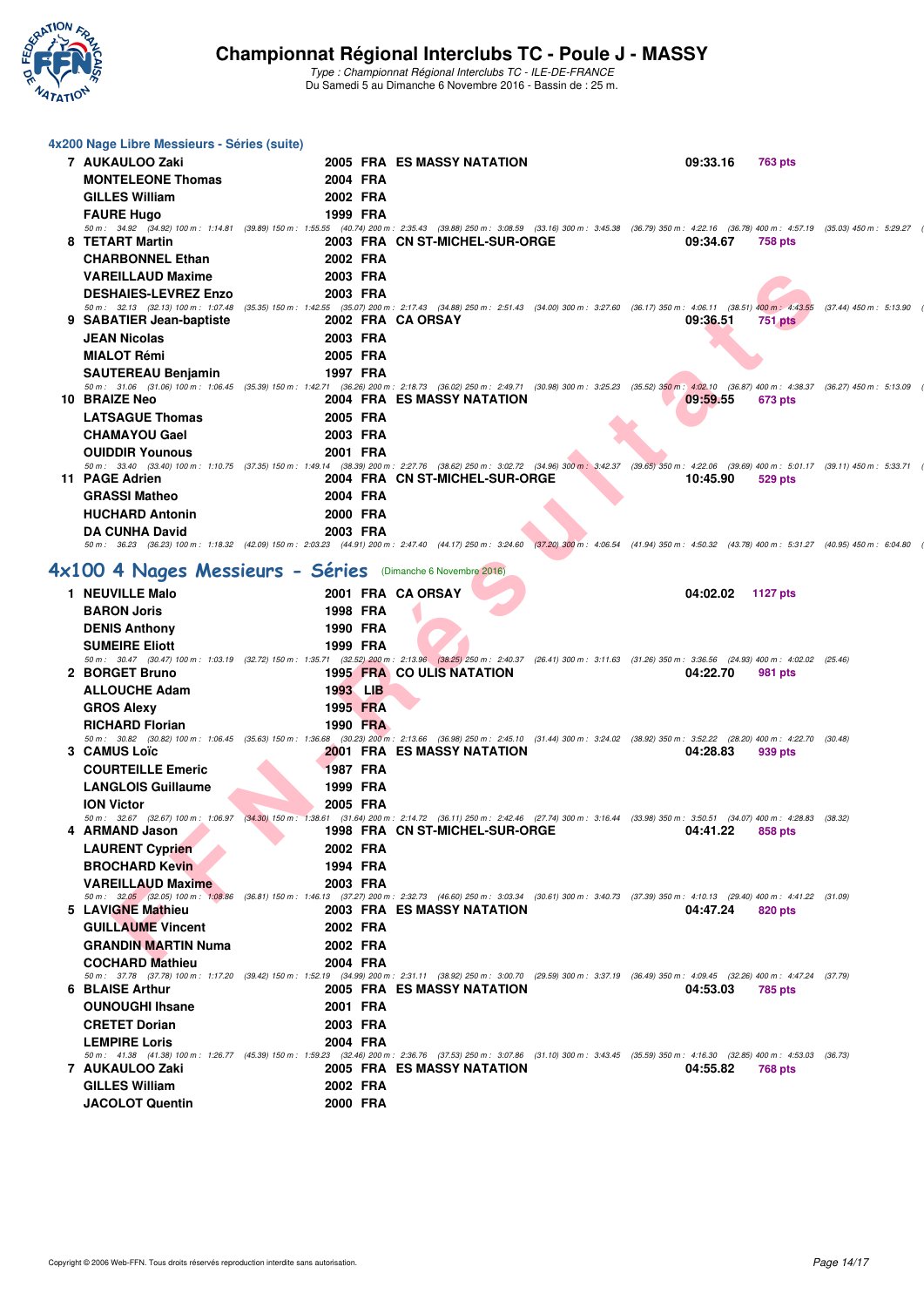

| 4x200 Nage Libre Messieurs - Séries (suite)                                                                                                                                                                                     |                      |                                                 |  |          |                 |  |
|---------------------------------------------------------------------------------------------------------------------------------------------------------------------------------------------------------------------------------|----------------------|-------------------------------------------------|--|----------|-----------------|--|
| 7 AUKAULOO Zaki                                                                                                                                                                                                                 |                      | 2005 FRA ES MASSY NATATION                      |  | 09:33.16 | <b>763 pts</b>  |  |
| <b>MONTELEONE Thomas</b>                                                                                                                                                                                                        | 2004 FRA             |                                                 |  |          |                 |  |
| <b>GILLES William</b>                                                                                                                                                                                                           | 2002 FRA             |                                                 |  |          |                 |  |
| <b>FAURE Hugo</b>                                                                                                                                                                                                               | 1999 FRA             |                                                 |  |          |                 |  |
| 50 m: 34.92 (34.92) 100 m: 1:14.81 (39.89) 150 m: 1:55.55 (40.74) 200 m: 2:35.43 (39.88) 250 m: 3:08.59 (33.16) 300 m: 3:45.38 (36.79) 350 m: 4:22.16 (36.78) 400 m: 4:57.19 (35.03) 450 m: 5:29.27<br>8 TETART Martin          |                      | 2003 FRA CN ST-MICHEL-SUR-ORGE                  |  | 09:34.67 | 758 pts         |  |
| <b>CHARBONNEL Ethan</b>                                                                                                                                                                                                         | 2002 FRA             |                                                 |  |          |                 |  |
| <b>VAREILLAUD Maxime</b>                                                                                                                                                                                                        | 2003 FRA             |                                                 |  |          |                 |  |
| <b>DESHAIES-LEVREZ Enzo</b>                                                                                                                                                                                                     | 2003 FRA             |                                                 |  |          |                 |  |
| 50 m: 32.13 (32.13) 100 m: 1:07.48 (35.35) 150 m: 1:42.55 (35.07) 200 m: 2:17.43 (34.88) 250 m: 2:51.43 (34.00) 300 m: 3:27.60 (36.17) 350 m: 4:06.11 (38.51) 400 m: 4:43.55 (37.44) 450 m: 5:13.90<br>9 SABATIER Jean-baptiste |                      | 2002 FRA CA ORSAY                               |  | 09:36.51 |                 |  |
| <b>JEAN Nicolas</b>                                                                                                                                                                                                             | 2003 FRA             |                                                 |  |          | <b>751 pts</b>  |  |
| <b>MIALOT Rémi</b>                                                                                                                                                                                                              | 2005 FRA             |                                                 |  |          |                 |  |
| <b>SAUTEREAU Benjamin</b>                                                                                                                                                                                                       | 1997 FRA             |                                                 |  |          |                 |  |
| 50 m: 31.06 (31.06) 100 m: 1:06.45 (35.39) 150 m: 1:42.71 (36.26) 200 m: 2:18.73 (36.02) 250 m: 2:49.71 (30.98) 300 m: 3:25.23 (35.52) 350 m: 4:02.10 (36.87) 400 m: 4:38.37 (36.27) 450 m: 5:13.09                             |                      |                                                 |  |          |                 |  |
| 10 BRAIZE Neo                                                                                                                                                                                                                   |                      | 2004 FRA ES MASSY NATATION                      |  | 09:59.55 | 673 pts         |  |
| <b>LATSAGUE Thomas</b>                                                                                                                                                                                                          | 2005 FRA             |                                                 |  |          |                 |  |
| <b>CHAMAYOU Gael</b>                                                                                                                                                                                                            | 2003 FRA             |                                                 |  |          |                 |  |
| <b>OUIDDIR Younous</b><br>50 m: 33.40 (33.40) 100 m: 1:10.75 (37.35) 150 m: 1:49.14 (38.39) 200 m: 2:27.76 (38.62) 250 m: 3:02.72 (34.96) 300 m: 3:42.37 (39.65) 350 m: 4:22.06 (39.69) 400 m: 5:01.17 (39.11) 450 m: 5:33.71   | 2001 FRA             |                                                 |  |          |                 |  |
| 11 PAGE Adrien                                                                                                                                                                                                                  |                      | 2004 FRA CN ST-MICHEL-SUR-ORGE                  |  | 10:45.90 | 529 pts         |  |
| <b>GRASSI Matheo</b>                                                                                                                                                                                                            | 2004 FRA             |                                                 |  |          |                 |  |
| <b>HUCHARD Antonin</b>                                                                                                                                                                                                          | 2000 FRA             |                                                 |  |          |                 |  |
| <b>DA CUNHA David</b>                                                                                                                                                                                                           | 2003 FRA             |                                                 |  |          |                 |  |
| 50 m: 36.23 (36.23) 100 m: 1:18.32 (42.09) 150 m: 2:03.23 (44.91) 200 m: 2:47.40 (44.17) 250 m: 3:24.60 (37.20) 300 m: 4:06.54 (41.94) 350 m: 4:50.32 (43.78) 400 m: 5:31.27 (40.95) 450 m: 6:04.80                             |                      |                                                 |  |          |                 |  |
| 4x100 4 Nages Messieurs - Séries (Dimanche 6 Novembre 2016)                                                                                                                                                                     |                      |                                                 |  |          |                 |  |
| 1 NEUVILLE Malo                                                                                                                                                                                                                 |                      | 2001 FRA CA ORSAY                               |  | 04:02.02 | <b>1127 pts</b> |  |
| <b>BARON Joris</b>                                                                                                                                                                                                              | 1998 FRA             |                                                 |  |          |                 |  |
| <b>DENIS Anthony</b>                                                                                                                                                                                                            | 1990 FRA             |                                                 |  |          |                 |  |
| <b>SUMEIRE Eliott</b>                                                                                                                                                                                                           | 1999 FRA             |                                                 |  |          |                 |  |
| 50 m: 30.47 (30.47) 100 m: 1:03.19 (32.72) 150 m: 1:35.71 (32.52) 200 m: 2:13.96 (38.25) 250 m: 2:40.37 (26.41) 300 m: 3:11.63 (31.26) 350 m: 3:36.56 (24.93) 400 m: 4:02.02 (25.46)<br>2 BORGET Bruno                          |                      | <b>1995 FRA CO ULIS NATATION</b>                |  | 04:22.70 | 981 pts         |  |
| <b>ALLOUCHE Adam</b>                                                                                                                                                                                                            | 1993 LIB             |                                                 |  |          |                 |  |
| <b>GROS Alexy</b>                                                                                                                                                                                                               | 1995 FRA             |                                                 |  |          |                 |  |
| <b>RICHARD Florian</b>                                                                                                                                                                                                          | 1990 FRA             |                                                 |  |          |                 |  |
| 50 m: 30.82 (30.82) 100 m: 1:06.45 (35.63) 150 m: 1:36.68 (30.23) 200 m: 2:13.66 (36.98) 250 m: 2:45.10 (31.44) 300 m: 3:24.02 (38.92) 350 m: 3:52.22 (28.20) 400 m: 4:22.70 (30.48)                                            |                      | <b>2001 FRA ES MASSY NATATION</b>               |  |          | 939 pts         |  |
| 3 CAMUS Loïc<br><b>COURTEILLE Emeric</b>                                                                                                                                                                                        | <b>1987 FRA</b>      |                                                 |  | 04:28.83 |                 |  |
| <b>LANGLOIS Guillaume</b>                                                                                                                                                                                                       | 1999 FRA             |                                                 |  |          |                 |  |
| <b>ION Victor</b>                                                                                                                                                                                                               | 2005 FRA             |                                                 |  |          |                 |  |
| 50 m: 32.67 (32.67) 100 m: 1:06.97 (34.30) 150 m: 1:38.61 (31.64) 200 m: 2:14.72 (36.11) 250 m: 2:42.46 (27.74) 300 m: 3:16.44 (33.98) 350 m: 3:50.51 (34.07) 400 m: 4:28.83 (38.32)                                            |                      |                                                 |  |          |                 |  |
| 4 ARMAND Jason                                                                                                                                                                                                                  |                      | 1998 FRA CN ST-MICHEL-SUR-ORGE 04:41.22 858 pts |  |          |                 |  |
| <b>LAURENT Cyprien</b>                                                                                                                                                                                                          | 2002 FRA             |                                                 |  |          |                 |  |
| <b>BROCHARD Kevin</b><br><b>VAREILLAUD Maxime</b>                                                                                                                                                                               | 1994 FRA<br>2003 FRA |                                                 |  |          |                 |  |
| 50 m: 32,05 (32.05) 100 m: 1:08.86 (36.81) 150 m: 1:46.13 (37.27) 200 m: 2:32.73 (46.60) 250 m: 3:03.34 (30.61) 300 m: 3:40.73 (37.39) 350 m: 4:10.13 (29.40) 400 m: 4:41.22 (31.09)                                            |                      |                                                 |  |          |                 |  |
| 5 LAVIGNE Mathieu                                                                                                                                                                                                               |                      | <b>2003 FRA ES MASSY NATATION</b>               |  | 04:47.24 | 820 pts         |  |
| <b>GUILLAUME Vincent</b>                                                                                                                                                                                                        | 2002 FRA             |                                                 |  |          |                 |  |
| <b>GRANDIN MARTIN Numa</b>                                                                                                                                                                                                      | 2002 FRA             |                                                 |  |          |                 |  |
| <b>COCHARD Mathieu</b><br>50 m: 37.78 (37.78) 100 m: 1:17.20 (39.42) 150 m: 1:52.19 (34.99) 200 m: 2:31.11 (38.92) 250 m: 3:00.70 (29.59) 300 m: 3:37.19 (36.49) 350 m: 4:09.45 (32.26) 400 m: 4:47.24 (37.79)                  | 2004 FRA             |                                                 |  |          |                 |  |
| 6 BLAISE Arthur                                                                                                                                                                                                                 |                      | 2005 FRA ES MASSY NATATION                      |  | 04:53.03 | 785 pts         |  |
| <b>OUNOUGHI Ihsane</b>                                                                                                                                                                                                          | 2001 FRA             |                                                 |  |          |                 |  |
| <b>CRETET Dorian</b>                                                                                                                                                                                                            | 2003 FRA             |                                                 |  |          |                 |  |
| <b>LEMPIRE Loris</b>                                                                                                                                                                                                            | 2004 FRA             |                                                 |  |          |                 |  |
| 50 m: 41.38 (41.38) 100 m: 1:26.77 (45.39) 150 m: 1:59.23 (32.46) 200 m: 2:36.76 (37.53) 250 m: 3:07.86 (31.10) 300 m: 3:43.45 (35.59) 350 m: 4:16.30 (32.85) 400 m: 4:53.03 (36.73)<br>7 AUKAULOO Zaki                         |                      | 2005 FRA ES MASSY NATATION                      |  | 04:55.82 | <b>768 pts</b>  |  |
| <b>GILLES William</b>                                                                                                                                                                                                           | 2002 FRA             |                                                 |  |          |                 |  |
| <b>JACOLOT Quentin</b>                                                                                                                                                                                                          | 2000 FRA             |                                                 |  |          |                 |  |
|                                                                                                                                                                                                                                 |                      |                                                 |  |          |                 |  |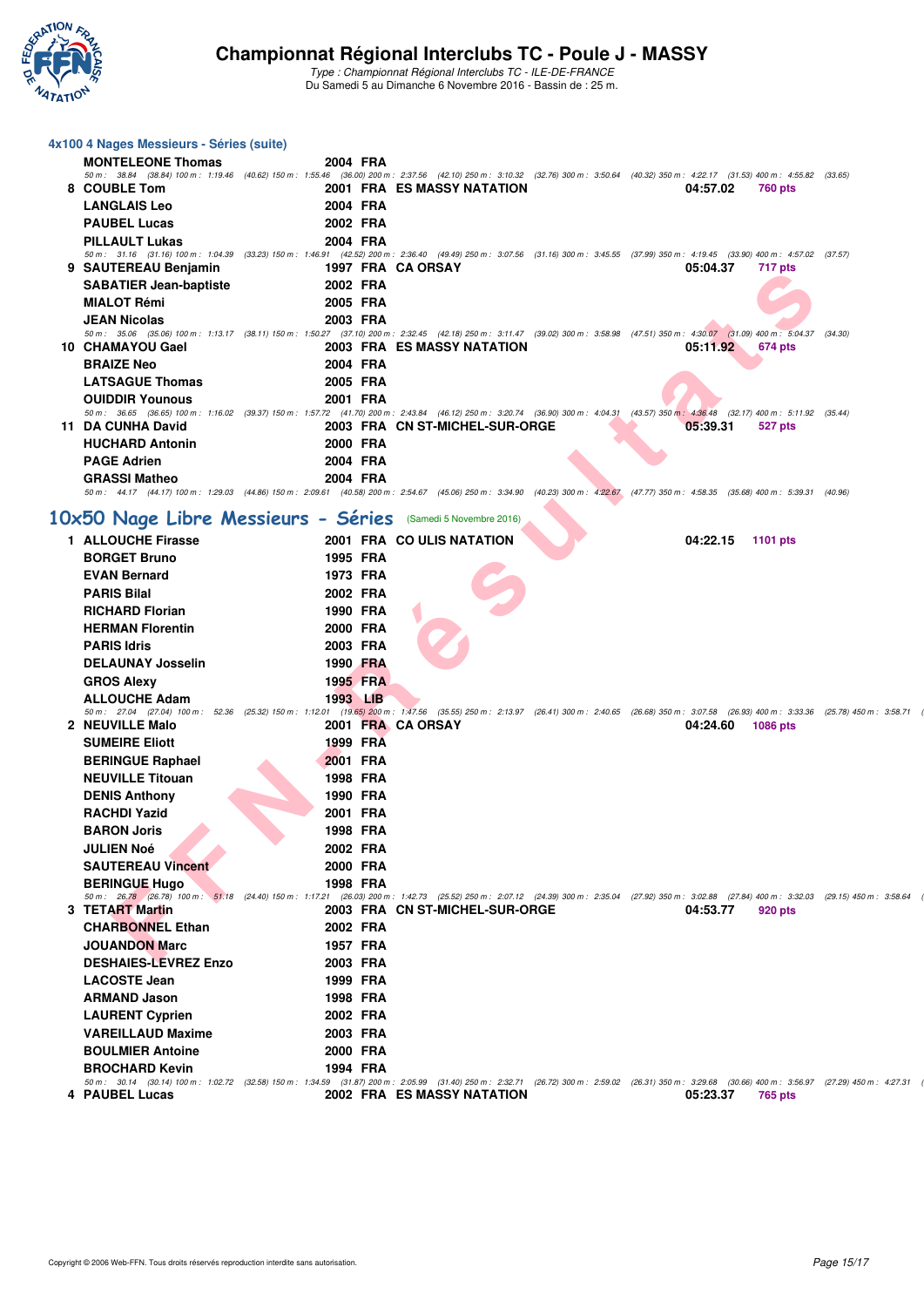

Type : Championnat Régional Interclubs TC - ILE-DE-FRANCE Du Samedi 5 au Dimanche 6 Novembre 2016 - Bassin de : 25 m.

#### **4x100 4 Nages Messieurs - Séries (suite)**

|    | <b>MONTELEONE Thomas</b>      | 2004 FRA                                                                                                                                                                             |         |
|----|-------------------------------|--------------------------------------------------------------------------------------------------------------------------------------------------------------------------------------|---------|
|    |                               | 50 m: 38.84 (38.84) 100 m: 1:19.46 (40.62) 150 m: 1:55.46 (36.00) 200 m: 2:37.56 (42.10) 250 m: 3:10.32 (32.76) 300 m: 3:50.64 (40.32) 350 m: 4:22.17 (31.53) 400 m: 4:55.82         | (33.65) |
|    | 8 COUBLE Tom                  | <b>2001 FRA ES MASSY NATATION</b><br>04:57.02<br>760 pts                                                                                                                             |         |
|    | <b>LANGLAIS Leo</b>           | 2004 FRA                                                                                                                                                                             |         |
|    | <b>PAUBEL Lucas</b>           | 2002 FRA                                                                                                                                                                             |         |
|    | <b>PILLAULT Lukas</b>         | 2004 FRA                                                                                                                                                                             |         |
|    |                               | 50 m: 31.16 (31.16) 100 m: 1:04.39 (33.23) 150 m: 1:46.91 (42.52) 200 m: 2:36.40 (49.49) 250 m: 3:07.56 (31.16) 300 m: 3:45.55 (37.99) 350 m: 4:19.45 (33.90) 400 m: 4:57.02         | (37.57) |
|    | 9 SAUTEREAU Benjamin          | 1997 FRA CA ORSAY<br>05:04.37<br>717 pts                                                                                                                                             |         |
|    | <b>SABATIER Jean-baptiste</b> | 2002 FRA                                                                                                                                                                             |         |
|    | <b>MIALOT Rémi</b>            | 2005 FRA                                                                                                                                                                             |         |
|    | <b>JEAN Nicolas</b>           | 2003 FRA                                                                                                                                                                             |         |
|    |                               | 50 m: 35.06 (35.06) 100 m: 1:13.17 (38.11) 150 m: 1:50.27 (37.10) 200 m: 2:32.45 (42.18) 250 m: 3:11.47 (39.02) 300 m: 3:58.98 (47.51) 350 m: 4:30.07 (31.09) 400 m: 5:04.37         | (34.30) |
|    | 10 CHAMAYOU Gael              | <b>2003 FRA ES MASSY NATATION</b><br>05:11.92<br>674 pts                                                                                                                             |         |
|    | <b>BRAIZE Neo</b>             | 2004 FRA                                                                                                                                                                             |         |
|    | <b>LATSAGUE Thomas</b>        | 2005 FRA                                                                                                                                                                             |         |
|    | <b>OUIDDIR Younous</b>        | 2001 FRA                                                                                                                                                                             |         |
|    |                               | 50 m: 36.65 (36.65) 100 m: 1:16.02 (39.37) 150 m: 1:57.72 (41.70) 200 m: 2:43.84 (46.12) 250 m: 3:20.74 (36.90) 300 m: 4:04.31<br>(43.57) 350 m : 4:36.48 (32.17) 400 m : 5:11.92    | (35.44) |
| 11 | <b>DA CUNHA David</b>         | 2003 FRA CN ST-MICHEL-SUR-ORGE<br>05:39.31<br>527 pts                                                                                                                                |         |
|    | <b>HUCHARD Antonin</b>        | 2000 FRA                                                                                                                                                                             |         |
|    | <b>PAGE Adrien</b>            | 2004 FRA                                                                                                                                                                             |         |
|    | <b>GRASSI Matheo</b>          | 2004 FRA                                                                                                                                                                             |         |
|    |                               | 50 m: 44.17 (44.17) 100 m: 1:29.03 (44.86) 150 m: 2:09.61 (40.58) 200 m: 2:54.67 (45.06) 250 m: 3:34.90 (40.23) 300 m: 4:22.67 (47.77) 350 m: 4:58.35 (35.68) 400 m: 5:39.31 (40.96) |         |

# [10x50 Nage Libre Messieurs - Séries](http://www.ffnatation.fr/webffn/resultats.php?idact=nat&go=epr&idcpt=42139&idepr=59) **(Samedi 5 Novembre 2016**)

| <b>3 JAUTENEAU DEIJAIIIII</b>      |          | 1997 FRA VA VROAT                                                                                                                                                                                                         |          | $111$ pm        |
|------------------------------------|----------|---------------------------------------------------------------------------------------------------------------------------------------------------------------------------------------------------------------------------|----------|-----------------|
| <b>SABATIER Jean-baptiste</b>      | 2002 FRA |                                                                                                                                                                                                                           |          |                 |
| <b>MIALOT Rémi</b>                 | 2005 FRA |                                                                                                                                                                                                                           |          |                 |
| <b>JEAN Nicolas</b>                | 2003 FRA |                                                                                                                                                                                                                           |          |                 |
|                                    |          | 50 m: 35.06 (35.06) 100 m: 1:13.17 (38.11) 150 m: 1:50.27 (37.10) 200 m: 2:32.45 (42.18) 250 m: 3:11.47 (39.02) 300 m: 3:58.98 (47.51) 350 m: 4:30.07 (31.09) 400 m: 5:04.37 (34.30)<br><b>2003 FRA ES MASSY NATATION</b> |          |                 |
| 10 CHAMAYOU Gael                   |          |                                                                                                                                                                                                                           | 05:11.92 | 674 pts         |
| <b>BRAIZE Neo</b>                  | 2004 FRA |                                                                                                                                                                                                                           |          |                 |
| <b>LATSAGUE Thomas</b>             | 2005 FRA |                                                                                                                                                                                                                           |          |                 |
| <b>OUIDDIR Younous</b>             | 2001 FRA | 50 m : 36.65 (36.65) 100 m : 1:16.02 (39.37) 150 m : 1:57.72 (41.70) 200 m : 2:43.84 (46.12) 250 m : 3:20.74 (36.90) 300 m : 4:04.31 (43.57) 350 m : 4:36.48 (32.17) 400 m : 5:11.92 (35.44)                              |          |                 |
| 11 DA CUNHA David                  |          | 2003 FRA CN ST-MICHEL-SUR-ORGE                                                                                                                                                                                            | 05:39.31 | <b>527 pts</b>  |
| <b>HUCHARD Antonin</b>             | 2000 FRA |                                                                                                                                                                                                                           |          |                 |
| <b>PAGE Adrien</b>                 | 2004 FRA |                                                                                                                                                                                                                           |          |                 |
| <b>GRASSI Matheo</b>               | 2004 FRA |                                                                                                                                                                                                                           |          |                 |
|                                    |          | 50 m: 44.17 (44.17) 100 m: 1:29.03 (44.86) 150 m: 2:09.61 (40.58) 200 m: 2:54.67 (45.06) 250 m: 3:34.90 (40.23) 300 m: 4:22.67 (47.77) 350 m: 4:58.35 (35.68) 400 m: 5:39.31 (40.96)                                      |          |                 |
| 0x50 Nage Libre Messieurs - Séries |          | (Samedi 5 Novembre 2016)                                                                                                                                                                                                  |          |                 |
| 1 ALLOUCHE Firasse                 |          | 2001 FRA CO ULIS NATATION                                                                                                                                                                                                 | 04:22.15 | <b>1101 pts</b> |
| <b>BORGET Bruno</b>                | 1995 FRA |                                                                                                                                                                                                                           |          |                 |
| <b>EVAN Bernard</b>                | 1973 FRA |                                                                                                                                                                                                                           |          |                 |
| <b>PARIS Bilal</b>                 | 2002 FRA |                                                                                                                                                                                                                           |          |                 |
| <b>RICHARD Florian</b>             | 1990 FRA |                                                                                                                                                                                                                           |          |                 |
| <b>HERMAN Florentin</b>            | 2000 FRA |                                                                                                                                                                                                                           |          |                 |
| <b>PARIS Idris</b>                 | 2003 FRA |                                                                                                                                                                                                                           |          |                 |
| <b>DELAUNAY Josselin</b>           | 1990 FRA |                                                                                                                                                                                                                           |          |                 |
| <b>GROS Alexy</b>                  | 1995 FRA |                                                                                                                                                                                                                           |          |                 |
| <b>ALLOUCHE Adam</b>               | 1993 LIB |                                                                                                                                                                                                                           |          |                 |
|                                    |          | 50 m: 27.04 (27.04) 100 m: 52.36 (25.32) 150 m: 1:12.01 (19.65) 200 m: 1:47.56 (35.55) 250 m: 2:13.97 (26.41) 300 m: 2:40.65 (26.68) 350 m: 3:07.58 (26.93) 400 m: 3:33.36 (25.78) 450 m: 3:52.75                         |          |                 |
| 2 NEUVILLE Malo                    |          | 2001 FRA CA ORSAY                                                                                                                                                                                                         | 04:24.60 | 1086 pts        |
| <b>SUMEIRE Eliott</b>              | 1999 FRA |                                                                                                                                                                                                                           |          |                 |
| <b>BERINGUE Raphael</b>            | 2001 FRA |                                                                                                                                                                                                                           |          |                 |
| <b>NEUVILLE Titouan</b>            | 1998 FRA |                                                                                                                                                                                                                           |          |                 |
| <b>DENIS Anthony</b>               | 1990 FRA |                                                                                                                                                                                                                           |          |                 |
| <b>RACHDI Yazid</b>                | 2001 FRA |                                                                                                                                                                                                                           |          |                 |
| <b>BARON Joris</b>                 | 1998 FRA |                                                                                                                                                                                                                           |          |                 |
| <b>JULIEN Noé</b>                  | 2002 FRA |                                                                                                                                                                                                                           |          |                 |
| <b>SAUTEREAU Vincent</b>           | 2000 FRA |                                                                                                                                                                                                                           |          |                 |
| <b>BERINGUE Hugo</b>               | 1998 FRA | 50 m: 26.78 (26.78) 100 m: 51.18 (24.40) 150 m: 1:17.21 (26.03) 200 m: 1:42.73 (25.52) 250 m: 2:07.12 (24.39) 300 m: 2:35.04 (27.92) 350 m: 3:02.88 (27.84) 400 m: 3:32.03 (29.15) 450 m: 3:52.64                         |          |                 |
| 3 TETART Martin                    |          | 2003 FRA CN ST-MICHEL-SUR-ORGE                                                                                                                                                                                            | 04:53.77 | 920 pts         |
| <b>CHARBONNEL Ethan</b>            | 2002 FRA |                                                                                                                                                                                                                           |          |                 |
| <b>JOUANDON Marc</b>               | 1957 FRA |                                                                                                                                                                                                                           |          |                 |
| <b>DESHAIES-LEVREZ Enzo</b>        | 2003 FRA |                                                                                                                                                                                                                           |          |                 |
| <b>LACOSTE Jean</b>                | 1999 FRA |                                                                                                                                                                                                                           |          |                 |
| <b>ARMAND Jason</b>                | 1998 FRA |                                                                                                                                                                                                                           |          |                 |
| <b>LAURENT Cyprien</b>             | 2002 FRA |                                                                                                                                                                                                                           |          |                 |
| <b>VAREILLAUD Maxime</b>           | 2003 FRA |                                                                                                                                                                                                                           |          |                 |
| <b>BOULMIER Antoine</b>            | 2000 FRA |                                                                                                                                                                                                                           |          |                 |
| <b>BROCHARD Kevin</b>              | 1994 FRA |                                                                                                                                                                                                                           |          |                 |
|                                    |          | 50 m: 30.14 (30.14) 100 m: 1:02.72 (32.58) 150 m: 1:34.59 (31.87) 200 m: 2:05.99 (31.40) 250 m: 2:32.71 (26.72) 300 m: 2:59.02 (26.31) 350 m: 3:29.68 (30.66) 400 m: 3:56.97 (27.29) 450 m: 4:27.31                       |          |                 |
| 4 PAUBEL Lucas                     |          | 2002 FRA ES MASSY NATATION                                                                                                                                                                                                | 05:23.37 | 765 pts         |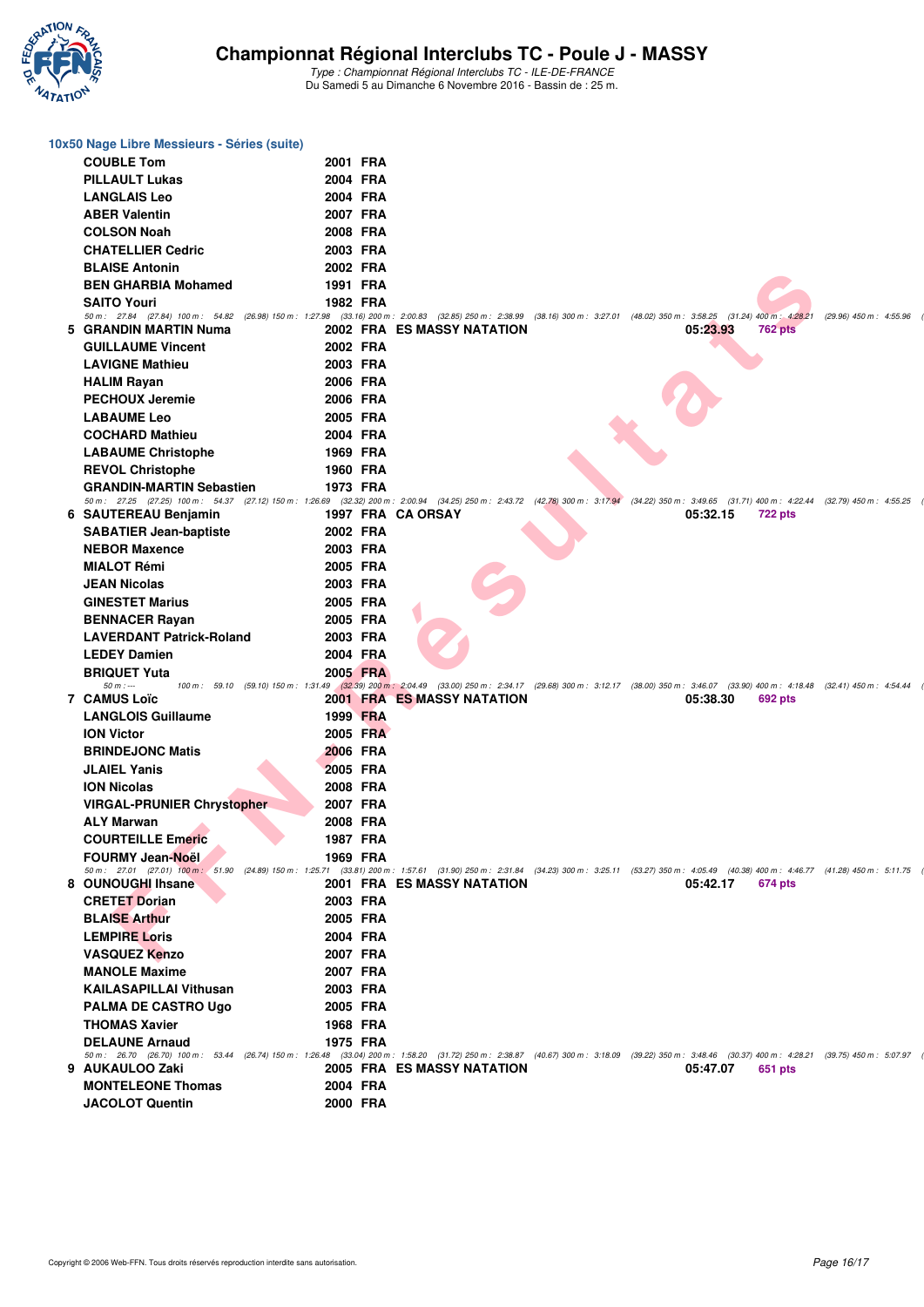

| 10x50 Nage Libre Messieurs - Séries (suite)                                                                                                                                                                               |          |                                   |                                                                                                                                                                               |                           |
|---------------------------------------------------------------------------------------------------------------------------------------------------------------------------------------------------------------------------|----------|-----------------------------------|-------------------------------------------------------------------------------------------------------------------------------------------------------------------------------|---------------------------|
| <b>COUBLE Tom</b>                                                                                                                                                                                                         | 2001 FRA |                                   |                                                                                                                                                                               |                           |
| <b>PILLAULT Lukas</b>                                                                                                                                                                                                     | 2004 FRA |                                   |                                                                                                                                                                               |                           |
| <b>LANGLAIS Leo</b>                                                                                                                                                                                                       | 2004 FRA |                                   |                                                                                                                                                                               |                           |
| <b>ABER Valentin</b>                                                                                                                                                                                                      | 2007 FRA |                                   |                                                                                                                                                                               |                           |
| <b>COLSON Noah</b>                                                                                                                                                                                                        | 2008 FRA |                                   |                                                                                                                                                                               |                           |
| <b>CHATELLIER Cedric</b>                                                                                                                                                                                                  | 2003 FRA |                                   |                                                                                                                                                                               |                           |
| <b>BLAISE Antonin</b>                                                                                                                                                                                                     | 2002 FRA |                                   |                                                                                                                                                                               |                           |
| <b>BEN GHARBIA Mohamed</b>                                                                                                                                                                                                | 1991 FRA |                                   |                                                                                                                                                                               |                           |
| <b>SAITO Youri</b>                                                                                                                                                                                                        | 1982 FRA |                                   |                                                                                                                                                                               |                           |
| 50 m: 27.84 (27.84) 100 m: 54.82 (26.98) 150 m: 1:27.98 (33.16) 200 m: 2:00.83 (32.85) 250 m: 2:38.99 (38.16) 300 m: 3:27.01 (48.02) 350 m: 3:58.25 (31.24) 400 m; 4:28.21                                                |          |                                   |                                                                                                                                                                               | $(29.96)$ 450 m : 4:55.96 |
| 5 GRANDIN MARTIN Numa                                                                                                                                                                                                     |          | 2002 FRA ES MASSY NATATION        | 05:23.93<br>762 pts                                                                                                                                                           |                           |
| <b>GUILLAUME Vincent</b>                                                                                                                                                                                                  | 2002 FRA |                                   |                                                                                                                                                                               |                           |
| <b>LAVIGNE Mathieu</b>                                                                                                                                                                                                    | 2003 FRA |                                   |                                                                                                                                                                               |                           |
| <b>HALIM Rayan</b>                                                                                                                                                                                                        | 2006 FRA |                                   |                                                                                                                                                                               |                           |
| <b>PECHOUX Jeremie</b>                                                                                                                                                                                                    | 2006 FRA |                                   |                                                                                                                                                                               |                           |
| <b>LABAUME Leo</b>                                                                                                                                                                                                        | 2005 FRA |                                   |                                                                                                                                                                               |                           |
| <b>COCHARD Mathieu</b>                                                                                                                                                                                                    | 2004 FRA |                                   |                                                                                                                                                                               |                           |
| <b>LABAUME Christophe</b>                                                                                                                                                                                                 | 1969 FRA |                                   |                                                                                                                                                                               |                           |
| <b>REVOL Christophe</b>                                                                                                                                                                                                   | 1960 FRA |                                   |                                                                                                                                                                               |                           |
| <b>GRANDIN-MARTIN Sebastien</b>                                                                                                                                                                                           | 1973 FRA |                                   |                                                                                                                                                                               |                           |
| 50 m: 27.25 (27.25) 100 m: 54.37 (27.12) 150 m: 1:26.69 (32.32) 200 m: 2:00.94 (34.25) 250 m: 2:43.72 (42.78) 300 m: 3:17.94 (34.22) 350 m: 3:49.65 (31.71) 400 m: 4:22.44 (32.79) 450 m: 4:55.25<br>6 SAUTEREAU Benjamin |          | 1997 FRA CA ORSAY                 | 05:32.15<br>722 pts                                                                                                                                                           |                           |
| <b>SABATIER Jean-baptiste</b>                                                                                                                                                                                             | 2002 FRA |                                   |                                                                                                                                                                               |                           |
|                                                                                                                                                                                                                           | 2003 FRA |                                   |                                                                                                                                                                               |                           |
| <b>NEBOR Maxence</b>                                                                                                                                                                                                      |          |                                   |                                                                                                                                                                               |                           |
| <b>MIALOT Rémi</b>                                                                                                                                                                                                        | 2005 FRA |                                   |                                                                                                                                                                               |                           |
| <b>JEAN Nicolas</b>                                                                                                                                                                                                       | 2003 FRA |                                   |                                                                                                                                                                               |                           |
| <b>GINESTET Marius</b>                                                                                                                                                                                                    | 2005 FRA |                                   |                                                                                                                                                                               |                           |
| <b>BENNACER Rayan</b>                                                                                                                                                                                                     | 2005 FRA |                                   |                                                                                                                                                                               |                           |
| <b>LAVERDANT Patrick-Roland</b>                                                                                                                                                                                           | 2003 FRA |                                   |                                                                                                                                                                               |                           |
| <b>LEDEY Damien</b>                                                                                                                                                                                                       | 2004 FRA |                                   |                                                                                                                                                                               |                           |
| <b>BRIQUET Yuta</b><br>$50 m: -$                                                                                                                                                                                          | 2005 FRA |                                   | 100 m: 59.10 (59.10) 150 m: 1:31.49 (32.39) 200 m: 2:04.49 (33.00) 250 m: 2:34.17 (29.68) 300 m: 3:12.17 (38.00) 350 m: 3:46.07 (33.90) 400 m: 4:18.48 (32.41) 450 m: 4:54.44 |                           |
| <b>7 CAMUS Loïc</b>                                                                                                                                                                                                       |          | <b>2001 FRA ES MASSY NATATION</b> | 05:38.30<br>692 pts                                                                                                                                                           |                           |
| <b>LANGLOIS Guillaume</b>                                                                                                                                                                                                 | 1999 FRA |                                   |                                                                                                                                                                               |                           |
| <b>ION Victor</b>                                                                                                                                                                                                         | 2005 FRA |                                   |                                                                                                                                                                               |                           |
| <b>BRINDEJONC Matis</b>                                                                                                                                                                                                   | 2006 FRA |                                   |                                                                                                                                                                               |                           |
| <b>JLAIEL Yanis</b>                                                                                                                                                                                                       | 2005 FRA |                                   |                                                                                                                                                                               |                           |
| <b>ION Nicolas</b>                                                                                                                                                                                                        | 2008 FRA |                                   |                                                                                                                                                                               |                           |
| <b>VIRGAL-PRUNIER Chrystopher</b>                                                                                                                                                                                         | 2007 FRA |                                   |                                                                                                                                                                               |                           |
| <b>ALY Marwan</b>                                                                                                                                                                                                         | 2008 FRA |                                   |                                                                                                                                                                               |                           |
| <b>COURTEILLE Emeric</b>                                                                                                                                                                                                  | 1987 FRA |                                   |                                                                                                                                                                               |                           |
| <b>FOURMY Jean-Noël</b>                                                                                                                                                                                                   | 1969 FRA |                                   |                                                                                                                                                                               |                           |
| 50 m: 27.01 (27.01) 100 m: 51.90 (24.89) 150 m: 1:25.71 (33.81) 200 m: 1:57.61 (31.90) 250 m: 2:31.84 (34.23) 300 m: 3:25.11 (53.27) 350 m: 4:05.49 (40.38) 400 m: 4:46.77 (41.28) 450 m: 5:11.75                         |          |                                   |                                                                                                                                                                               |                           |
| 8 OUNOUGHI Ihsane                                                                                                                                                                                                         |          | <b>2001 FRA ES MASSY NATATION</b> | 05:42.17<br>674 pts                                                                                                                                                           |                           |
| <b>CRETET Dorian</b>                                                                                                                                                                                                      | 2003 FRA |                                   |                                                                                                                                                                               |                           |
| <b>BLAISE Arthur</b>                                                                                                                                                                                                      | 2005 FRA |                                   |                                                                                                                                                                               |                           |
| <b>LEMPIRE Loris</b>                                                                                                                                                                                                      | 2004 FRA |                                   |                                                                                                                                                                               |                           |
| <b>VASQUEZ Kenzo</b>                                                                                                                                                                                                      | 2007 FRA |                                   |                                                                                                                                                                               |                           |
| <b>MANOLE Maxime</b>                                                                                                                                                                                                      | 2007 FRA |                                   |                                                                                                                                                                               |                           |
| <b>KAILASAPILLAI Vithusan</b>                                                                                                                                                                                             | 2003 FRA |                                   |                                                                                                                                                                               |                           |
| <b>PALMA DE CASTRO Ugo</b>                                                                                                                                                                                                | 2005 FRA |                                   |                                                                                                                                                                               |                           |
| <b>THOMAS Xavier</b>                                                                                                                                                                                                      | 1968 FRA |                                   |                                                                                                                                                                               |                           |
| <b>DELAUNE Arnaud</b>                                                                                                                                                                                                     | 1975 FRA |                                   |                                                                                                                                                                               |                           |
| 50 m: 26.70 (26.70) 100 m: 53.44 (26.74) 150 m: 1:26.48 (33.04) 200 m: 1:58.20 (31.72) 250 m: 2:38.87 (40.67) 300 m: 3:18.09 (39.22) 350 m: 3:48.46 (30.37) 400 m: 4:28.21 (39.75) 450 m: 5:07.97                         |          |                                   |                                                                                                                                                                               |                           |
| 9 AUKAULOO Zaki                                                                                                                                                                                                           |          | 2005 FRA ES MASSY NATATION        | 05:47.07<br>651 pts                                                                                                                                                           |                           |
| <b>MONTELEONE Thomas</b>                                                                                                                                                                                                  | 2004 FRA |                                   |                                                                                                                                                                               |                           |
| <b>JACOLOT Quentin</b>                                                                                                                                                                                                    | 2000 FRA |                                   |                                                                                                                                                                               |                           |